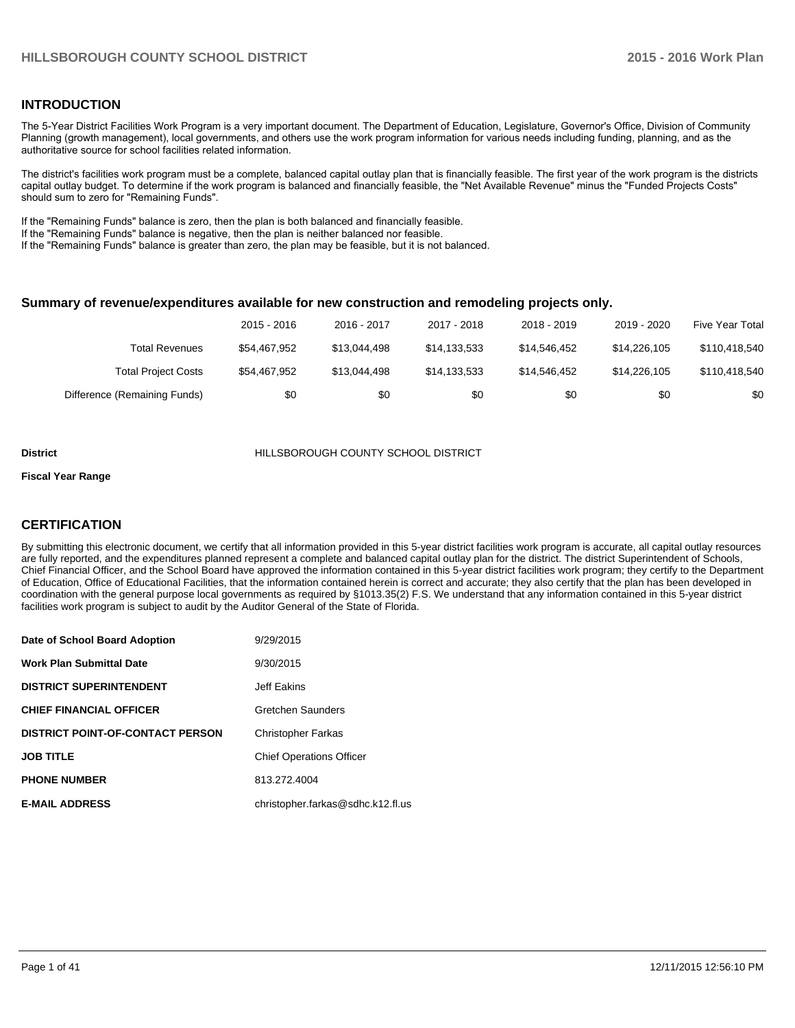#### **INTRODUCTION**

The 5-Year District Facilities Work Program is a very important document. The Department of Education, Legislature, Governor's Office, Division of Community Planning (growth management), local governments, and others use the work program information for various needs including funding, planning, and as the authoritative source for school facilities related information.

The district's facilities work program must be a complete, balanced capital outlay plan that is financially feasible. The first year of the work program is the districts capital outlay budget. To determine if the work program is balanced and financially feasible, the "Net Available Revenue" minus the "Funded Projects Costs" should sum to zero for "Remaining Funds".

If the "Remaining Funds" balance is zero, then the plan is both balanced and financially feasible.

If the "Remaining Funds" balance is negative, then the plan is neither balanced nor feasible.

If the "Remaining Funds" balance is greater than zero, the plan may be feasible, but it is not balanced.

#### **Summary of revenue/expenditures available for new construction and remodeling projects only.**

|                              | 2015 - 2016  | 2016 - 2017  | 2017 - 2018  | 2018 - 2019  | 2019 - 2020  | Five Year Total |
|------------------------------|--------------|--------------|--------------|--------------|--------------|-----------------|
| <b>Total Revenues</b>        | \$54,467,952 | \$13.044.498 | \$14.133.533 | \$14,546,452 | \$14.226.105 | \$110,418,540   |
| <b>Total Project Costs</b>   | \$54,467.952 | \$13.044.498 | \$14.133.533 | \$14,546,452 | \$14,226,105 | \$110,418,540   |
| Difference (Remaining Funds) | \$0          | \$0          | \$0          | \$0          | \$0          | \$0             |

#### **District** HILLSBOROUGH COUNTY SCHOOL DISTRICT

#### **Fiscal Year Range**

#### **CERTIFICATION**

By submitting this electronic document, we certify that all information provided in this 5-year district facilities work program is accurate, all capital outlay resources are fully reported, and the expenditures planned represent a complete and balanced capital outlay plan for the district. The district Superintendent of Schools, Chief Financial Officer, and the School Board have approved the information contained in this 5-year district facilities work program; they certify to the Department of Education, Office of Educational Facilities, that the information contained herein is correct and accurate; they also certify that the plan has been developed in coordination with the general purpose local governments as required by §1013.35(2) F.S. We understand that any information contained in this 5-year district facilities work program is subject to audit by the Auditor General of the State of Florida.

| Date of School Board Adoption           | 9/29/2015                         |
|-----------------------------------------|-----------------------------------|
| <b>Work Plan Submittal Date</b>         | 9/30/2015                         |
| <b>DISTRICT SUPERINTENDENT</b>          | Jeff Eakins                       |
| <b>CHIEF FINANCIAL OFFICER</b>          | Gretchen Saunders                 |
| <b>DISTRICT POINT-OF-CONTACT PERSON</b> | <b>Christopher Farkas</b>         |
| <b>JOB TITLE</b>                        | <b>Chief Operations Officer</b>   |
| <b>PHONE NUMBER</b>                     | 813.272.4004                      |
| <b>E-MAIL ADDRESS</b>                   | christopher.farkas@sdhc.k12.fl.us |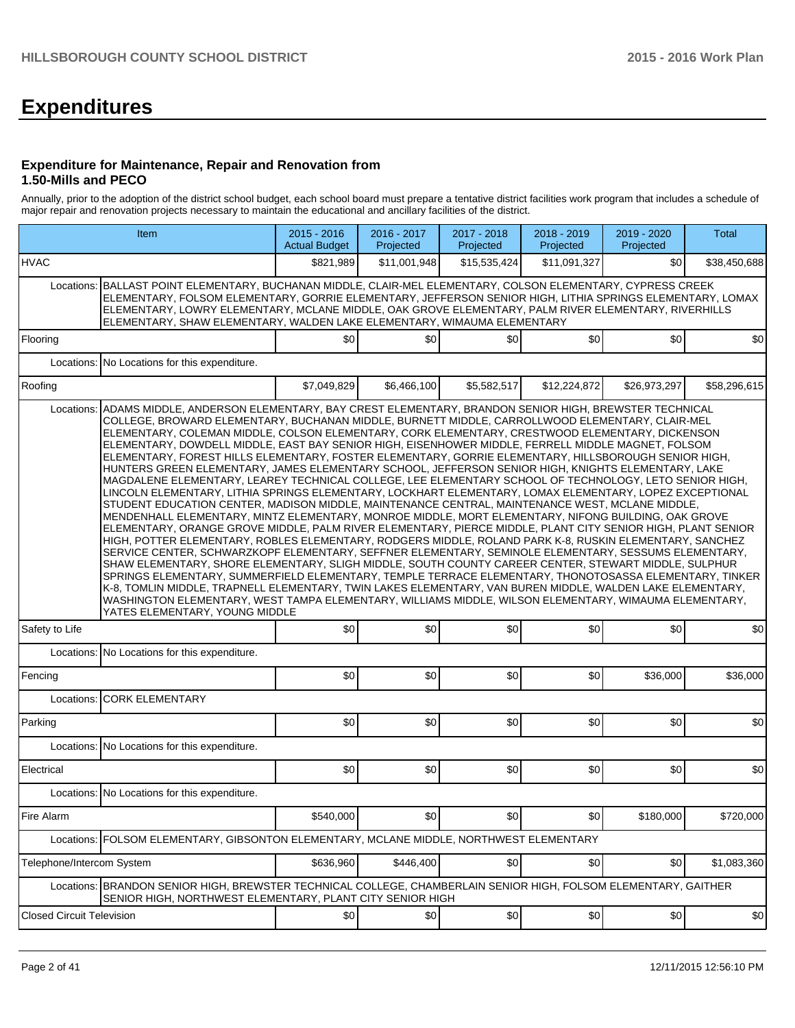# **Expenditures**

#### **Expenditure for Maintenance, Repair and Renovation from 1.50-Mills and PECO**

Annually, prior to the adoption of the district school budget, each school board must prepare a tentative district facilities work program that includes a schedule of major repair and renovation projects necessary to maintain the educational and ancillary facilities of the district.

|                                  | Item                                                                                                                                                                                                                                                                                                                                                                                                                                                                                                                                                                                                                                                                                                                                                                                                                                                                                                                                                                                                                                                                                                                                                                                                                                                                                                                                                                                                                                                                                                                                                                                                                                                                                                                                                                                                                                                                  | $2015 - 2016$<br><b>Actual Budget</b> | 2016 - 2017<br>Projected | 2017 - 2018<br>Projected | 2018 - 2019<br>Projected | 2019 - 2020<br>Projected | <b>Total</b> |
|----------------------------------|-----------------------------------------------------------------------------------------------------------------------------------------------------------------------------------------------------------------------------------------------------------------------------------------------------------------------------------------------------------------------------------------------------------------------------------------------------------------------------------------------------------------------------------------------------------------------------------------------------------------------------------------------------------------------------------------------------------------------------------------------------------------------------------------------------------------------------------------------------------------------------------------------------------------------------------------------------------------------------------------------------------------------------------------------------------------------------------------------------------------------------------------------------------------------------------------------------------------------------------------------------------------------------------------------------------------------------------------------------------------------------------------------------------------------------------------------------------------------------------------------------------------------------------------------------------------------------------------------------------------------------------------------------------------------------------------------------------------------------------------------------------------------------------------------------------------------------------------------------------------------|---------------------------------------|--------------------------|--------------------------|--------------------------|--------------------------|--------------|
| <b>HVAC</b>                      |                                                                                                                                                                                                                                                                                                                                                                                                                                                                                                                                                                                                                                                                                                                                                                                                                                                                                                                                                                                                                                                                                                                                                                                                                                                                                                                                                                                                                                                                                                                                                                                                                                                                                                                                                                                                                                                                       | \$821,989                             | \$11.001.948             | \$15,535,424             | \$11,091,327             | \$0                      | \$38,450,688 |
|                                  | Locations: BALLAST POINT ELEMENTARY, BUCHANAN MIDDLE, CLAIR-MEL ELEMENTARY, COLSON ELEMENTARY, CYPRESS CREEK<br>ELEMENTARY, FOLSOM ELEMENTARY, GORRIE ELEMENTARY, JEFFERSON SENIOR HIGH, LITHIA SPRINGS ELEMENTARY, LOMAX<br>ELEMENTARY, LOWRY ELEMENTARY, MCLANE MIDDLE, OAK GROVE ELEMENTARY, PALM RIVER ELEMENTARY, RIVERHILLS<br>ELEMENTARY, SHAW ELEMENTARY, WALDEN LAKE ELEMENTARY, WIMAUMA ELEMENTARY                                                                                                                                                                                                                                                                                                                                                                                                                                                                                                                                                                                                                                                                                                                                                                                                                                                                                                                                                                                                                                                                                                                                                                                                                                                                                                                                                                                                                                                          |                                       |                          |                          |                          |                          |              |
| Flooring                         |                                                                                                                                                                                                                                                                                                                                                                                                                                                                                                                                                                                                                                                                                                                                                                                                                                                                                                                                                                                                                                                                                                                                                                                                                                                                                                                                                                                                                                                                                                                                                                                                                                                                                                                                                                                                                                                                       | \$0                                   | \$0                      | \$0                      | \$0                      | \$0                      | \$0          |
|                                  | Locations: No Locations for this expenditure.                                                                                                                                                                                                                                                                                                                                                                                                                                                                                                                                                                                                                                                                                                                                                                                                                                                                                                                                                                                                                                                                                                                                                                                                                                                                                                                                                                                                                                                                                                                                                                                                                                                                                                                                                                                                                         |                                       |                          |                          |                          |                          |              |
| Roofing                          |                                                                                                                                                                                                                                                                                                                                                                                                                                                                                                                                                                                                                                                                                                                                                                                                                                                                                                                                                                                                                                                                                                                                                                                                                                                                                                                                                                                                                                                                                                                                                                                                                                                                                                                                                                                                                                                                       | \$7,049,829                           | \$6,466,100              | \$5.582.517              | \$12,224,872             | \$26,973,297             | \$58,296,615 |
| Locations:                       | ADAMS MIDDLE. ANDERSON ELEMENTARY. BAY CREST ELEMENTARY. BRANDON SENIOR HIGH. BREWSTER TECHNICAL<br>COLLEGE, BROWARD ELEMENTARY, BUCHANAN MIDDLE, BURNETT MIDDLE, CARROLLWOOD ELEMENTARY, CLAIR-MEL<br>ELEMENTARY, COLEMAN MIDDLE, COLSON ELEMENTARY, CORK ELEMENTARY, CRESTWOOD ELEMENTARY, DICKENSON<br>ELEMENTARY, DOWDELL MIDDLE, EAST BAY SENIOR HIGH, EISENHOWER MIDDLE, FERRELL MIDDLE MAGNET, FOLSOM<br>ELEMENTARY, FOREST HILLS ELEMENTARY, FOSTER ELEMENTARY, GORRIE ELEMENTARY, HILLSBOROUGH SENIOR HIGH,<br>HUNTERS GREEN ELEMENTARY, JAMES ELEMENTARY SCHOOL, JEFFERSON SENIOR HIGH, KNIGHTS ELEMENTARY, LAKE<br>MAGDALENE ELEMENTARY, LEAREY TECHNICAL COLLEGE, LEE ELEMENTARY SCHOOL OF TECHNOLOGY, LETO SENIOR HIGH,<br>LINCOLN ELEMENTARY, LITHIA SPRINGS ELEMENTARY, LOCKHART ELEMENTARY, LOMAX ELEMENTARY, LOPEZ EXCEPTIONAL<br>STUDENT EDUCATION CENTER, MADISON MIDDLE, MAINTENANCE CENTRAL, MAINTENANCE WEST, MCLANE MIDDLE,<br>MENDENHALL ELEMENTARY, MINTZ ELEMENTARY, MONROE MIDDLE, MORT ELEMENTARY, NIFONG BUILDING, OAK GROVE<br>ELEMENTARY, ORANGE GROVE MIDDLE, PALM RIVER ELEMENTARY, PIERCE MIDDLE, PLANT CITY SENIOR HIGH, PLANT SENIOR<br>HIGH, POTTER ELEMENTARY, ROBLES ELEMENTARY, RODGERS MIDDLE, ROLAND PARK K-8, RUSKIN ELEMENTARY, SANCHEZ<br>SERVICE CENTER, SCHWARZKOPF ELEMENTARY, SEFFNER ELEMENTARY, SEMINOLE ELEMENTARY, SESSUMS ELEMENTARY,<br>SHAW ELEMENTARY, SHORE ELEMENTARY, SLIGH MIDDLE, SOUTH COUNTY CAREER CENTER, STEWART MIDDLE, SULPHUR<br>SPRINGS ELEMENTARY, SUMMERFIELD ELEMENTARY, TEMPLE TERRACE ELEMENTARY, THONOTOSASSA ELEMENTARY, TINKER<br>K-8, TOMLIN MIDDLE, TRAPNELL ELEMENTARY, TWIN LAKES ELEMENTARY, VAN BUREN MIDDLE, WALDEN LAKE ELEMENTARY,<br>WASHINGTON ELEMENTARY, WEST TAMPA ELEMENTARY, WILLIAMS MIDDLE, WILSON ELEMENTARY, WIMAUMA ELEMENTARY,<br>YATES ELEMENTARY, YOUNG MIDDLE |                                       |                          |                          |                          |                          |              |
| Safety to Life                   |                                                                                                                                                                                                                                                                                                                                                                                                                                                                                                                                                                                                                                                                                                                                                                                                                                                                                                                                                                                                                                                                                                                                                                                                                                                                                                                                                                                                                                                                                                                                                                                                                                                                                                                                                                                                                                                                       | \$0                                   | \$0                      | \$0                      | \$0]                     | \$0                      | \$0          |
|                                  | Locations: No Locations for this expenditure.                                                                                                                                                                                                                                                                                                                                                                                                                                                                                                                                                                                                                                                                                                                                                                                                                                                                                                                                                                                                                                                                                                                                                                                                                                                                                                                                                                                                                                                                                                                                                                                                                                                                                                                                                                                                                         |                                       |                          |                          |                          |                          |              |
| Fencing                          |                                                                                                                                                                                                                                                                                                                                                                                                                                                                                                                                                                                                                                                                                                                                                                                                                                                                                                                                                                                                                                                                                                                                                                                                                                                                                                                                                                                                                                                                                                                                                                                                                                                                                                                                                                                                                                                                       | \$0                                   | \$0                      | \$0                      | \$0]                     | \$36,000                 | \$36,000     |
|                                  | Locations: CORK ELEMENTARY                                                                                                                                                                                                                                                                                                                                                                                                                                                                                                                                                                                                                                                                                                                                                                                                                                                                                                                                                                                                                                                                                                                                                                                                                                                                                                                                                                                                                                                                                                                                                                                                                                                                                                                                                                                                                                            |                                       |                          |                          |                          |                          |              |
| Parking                          |                                                                                                                                                                                                                                                                                                                                                                                                                                                                                                                                                                                                                                                                                                                                                                                                                                                                                                                                                                                                                                                                                                                                                                                                                                                                                                                                                                                                                                                                                                                                                                                                                                                                                                                                                                                                                                                                       | \$0                                   | \$0                      | \$0                      | \$0]                     | \$0                      | \$0          |
|                                  | Locations: No Locations for this expenditure.                                                                                                                                                                                                                                                                                                                                                                                                                                                                                                                                                                                                                                                                                                                                                                                                                                                                                                                                                                                                                                                                                                                                                                                                                                                                                                                                                                                                                                                                                                                                                                                                                                                                                                                                                                                                                         |                                       |                          |                          |                          |                          |              |
| Electrical                       |                                                                                                                                                                                                                                                                                                                                                                                                                                                                                                                                                                                                                                                                                                                                                                                                                                                                                                                                                                                                                                                                                                                                                                                                                                                                                                                                                                                                                                                                                                                                                                                                                                                                                                                                                                                                                                                                       | \$0                                   | \$0                      | \$0                      | \$0]                     | \$0                      | \$0          |
|                                  | Locations: No Locations for this expenditure.                                                                                                                                                                                                                                                                                                                                                                                                                                                                                                                                                                                                                                                                                                                                                                                                                                                                                                                                                                                                                                                                                                                                                                                                                                                                                                                                                                                                                                                                                                                                                                                                                                                                                                                                                                                                                         |                                       |                          |                          |                          |                          |              |
| Fire Alarm                       |                                                                                                                                                                                                                                                                                                                                                                                                                                                                                                                                                                                                                                                                                                                                                                                                                                                                                                                                                                                                                                                                                                                                                                                                                                                                                                                                                                                                                                                                                                                                                                                                                                                                                                                                                                                                                                                                       | \$540,000                             | \$0]                     | \$0                      | \$0                      | \$180,000                | \$720,000    |
|                                  | Locations: FOLSOM ELEMENTARY, GIBSONTON ELEMENTARY, MCLANE MIDDLE, NORTHWEST ELEMENTARY                                                                                                                                                                                                                                                                                                                                                                                                                                                                                                                                                                                                                                                                                                                                                                                                                                                                                                                                                                                                                                                                                                                                                                                                                                                                                                                                                                                                                                                                                                                                                                                                                                                                                                                                                                               |                                       |                          |                          |                          |                          |              |
| Telephone/Intercom System        |                                                                                                                                                                                                                                                                                                                                                                                                                                                                                                                                                                                                                                                                                                                                                                                                                                                                                                                                                                                                                                                                                                                                                                                                                                                                                                                                                                                                                                                                                                                                                                                                                                                                                                                                                                                                                                                                       | \$636,960                             | \$446,400                | \$0                      | \$0]                     | \$0                      | \$1,083,360  |
|                                  | Locations: BRANDON SENIOR HIGH, BREWSTER TECHNICAL COLLEGE, CHAMBERLAIN SENIOR HIGH, FOLSOM ELEMENTARY, GAITHER<br>SENIOR HIGH, NORTHWEST ELEMENTARY, PLANT CITY SENIOR HIGH                                                                                                                                                                                                                                                                                                                                                                                                                                                                                                                                                                                                                                                                                                                                                                                                                                                                                                                                                                                                                                                                                                                                                                                                                                                                                                                                                                                                                                                                                                                                                                                                                                                                                          |                                       |                          |                          |                          |                          |              |
| <b>Closed Circuit Television</b> |                                                                                                                                                                                                                                                                                                                                                                                                                                                                                                                                                                                                                                                                                                                                                                                                                                                                                                                                                                                                                                                                                                                                                                                                                                                                                                                                                                                                                                                                                                                                                                                                                                                                                                                                                                                                                                                                       | $ 10\rangle$                          | \$0]                     | \$0                      | \$0]                     | \$0                      | \$0          |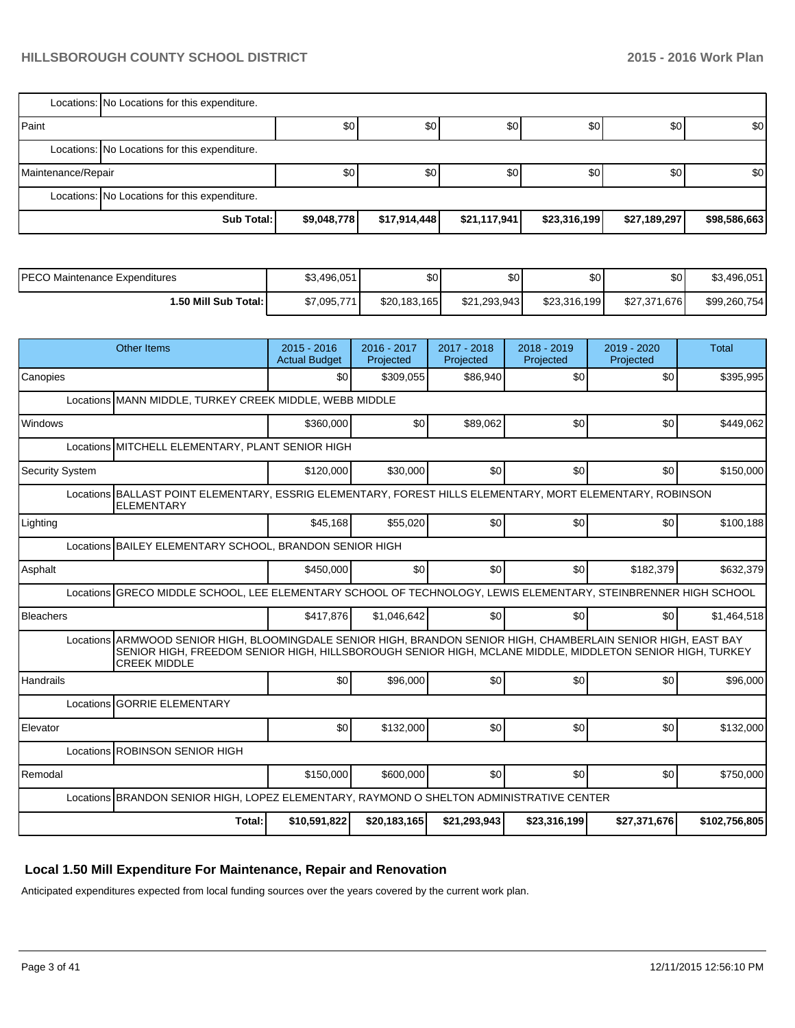|                    | Locations: No Locations for this expenditure. |             |              |                  |              |              |                  |
|--------------------|-----------------------------------------------|-------------|--------------|------------------|--------------|--------------|------------------|
| <b>I</b> Paint     |                                               | \$0         | \$0          | \$0 <sub>1</sub> | \$0          | \$0          | \$0 <sub>1</sub> |
|                    | Locations: No Locations for this expenditure. |             |              |                  |              |              |                  |
| Maintenance/Repair |                                               | \$0         | \$0          | \$0 <sub>1</sub> | \$0          | \$0          | \$0 <sub>1</sub> |
|                    | Locations: No Locations for this expenditure. |             |              |                  |              |              |                  |
|                    | Sub Total:                                    | \$9,048,778 | \$17,914,448 | \$21,117,941     | \$23,316,199 | \$27,189,297 | \$98,586,663     |

| IPECO Maintenance Expenditures | \$3.496.051 | \$0          | ሶሰ<br>งบ     | \$0          | \$0 <sub>1</sub> | \$3,496,051  |
|--------------------------------|-------------|--------------|--------------|--------------|------------------|--------------|
| 1.50 Mill Sub Total: İ         | \$7,095,771 | \$20,183,165 | \$21,293,943 | \$23,316,199 | \$27,371,676     | \$99,260,754 |

| \$0<br>\$0<br>\$395,995<br>\$0<br>\$309,055<br>\$86,940<br>Canopies<br>Locations MANN MIDDLE, TURKEY CREEK MIDDLE, WEBB MIDDLE<br>Windows<br>\$360,000<br>\$0<br>\$89,062<br>\$0<br>\$0<br>\$449,062<br>Locations MITCHELL ELEMENTARY, PLANT SENIOR HIGH<br>\$0<br>\$30,000<br>\$0<br>\$0<br>\$150,000<br><b>Security System</b><br>\$120,000<br>Locations BALLAST POINT ELEMENTARY, ESSRIG ELEMENTARY, FOREST HILLS ELEMENTARY, MORT ELEMENTARY, ROBINSON<br><b>ELEMENTARY</b><br>\$45,168<br>\$55,020<br>\$0<br>\$0<br>\$0<br>\$100,188<br>Lighting<br>Locations BAILEY ELEMENTARY SCHOOL, BRANDON SENIOR HIGH |
|------------------------------------------------------------------------------------------------------------------------------------------------------------------------------------------------------------------------------------------------------------------------------------------------------------------------------------------------------------------------------------------------------------------------------------------------------------------------------------------------------------------------------------------------------------------------------------------------------------------|
|                                                                                                                                                                                                                                                                                                                                                                                                                                                                                                                                                                                                                  |
|                                                                                                                                                                                                                                                                                                                                                                                                                                                                                                                                                                                                                  |
|                                                                                                                                                                                                                                                                                                                                                                                                                                                                                                                                                                                                                  |
|                                                                                                                                                                                                                                                                                                                                                                                                                                                                                                                                                                                                                  |
|                                                                                                                                                                                                                                                                                                                                                                                                                                                                                                                                                                                                                  |
|                                                                                                                                                                                                                                                                                                                                                                                                                                                                                                                                                                                                                  |
|                                                                                                                                                                                                                                                                                                                                                                                                                                                                                                                                                                                                                  |
|                                                                                                                                                                                                                                                                                                                                                                                                                                                                                                                                                                                                                  |
| \$0<br>Asphalt<br>\$450,000<br>\$0<br>\$0 <sub>1</sub><br>\$182,379<br>\$632,379                                                                                                                                                                                                                                                                                                                                                                                                                                                                                                                                 |
| Locations GRECO MIDDLE SCHOOL, LEE ELEMENTARY SCHOOL OF TECHNOLOGY, LEWIS ELEMENTARY, STEINBRENNER HIGH SCHOOL                                                                                                                                                                                                                                                                                                                                                                                                                                                                                                   |
| \$0<br><b>Bleachers</b><br>\$417,876<br>\$1,046,642<br>\$0<br>\$0<br>\$1,464,518                                                                                                                                                                                                                                                                                                                                                                                                                                                                                                                                 |
| Locations ARMWOOD SENIOR HIGH, BLOOMINGDALE SENIOR HIGH, BRANDON SENIOR HIGH, CHAMBERLAIN SENIOR HIGH, EAST BAY<br>SENIOR HIGH, FREEDOM SENIOR HIGH, HILLSBOROUGH SENIOR HIGH, MCLANE MIDDLE, MIDDLETON SENIOR HIGH, TURKEY<br><b>CREEK MIDDLE</b>                                                                                                                                                                                                                                                                                                                                                               |
| \$96,000<br>\$0<br>\$0<br>\$0<br>\$96,000<br>Handrails<br>\$0                                                                                                                                                                                                                                                                                                                                                                                                                                                                                                                                                    |
| Locations GORRIE ELEMENTARY                                                                                                                                                                                                                                                                                                                                                                                                                                                                                                                                                                                      |
| \$132,000<br>\$0<br>\$0<br>\$0<br>\$0<br>\$132,000<br>Elevator                                                                                                                                                                                                                                                                                                                                                                                                                                                                                                                                                   |
| Locations ROBINSON SENIOR HIGH                                                                                                                                                                                                                                                                                                                                                                                                                                                                                                                                                                                   |
| \$0<br>Remodal<br>\$600,000<br>\$0 <sub>1</sub><br>\$0<br>\$750,000<br>\$150,000                                                                                                                                                                                                                                                                                                                                                                                                                                                                                                                                 |
| Locations BRANDON SENIOR HIGH, LOPEZ ELEMENTARY, RAYMOND O SHELTON ADMINISTRATIVE CENTER                                                                                                                                                                                                                                                                                                                                                                                                                                                                                                                         |
| \$10,591,822<br>Total:<br>\$20,183,165<br>\$21,293,943<br>\$23,316,199<br>\$27,371,676<br>\$102,756,805                                                                                                                                                                                                                                                                                                                                                                                                                                                                                                          |

# **Local 1.50 Mill Expenditure For Maintenance, Repair and Renovation**

Anticipated expenditures expected from local funding sources over the years covered by the current work plan.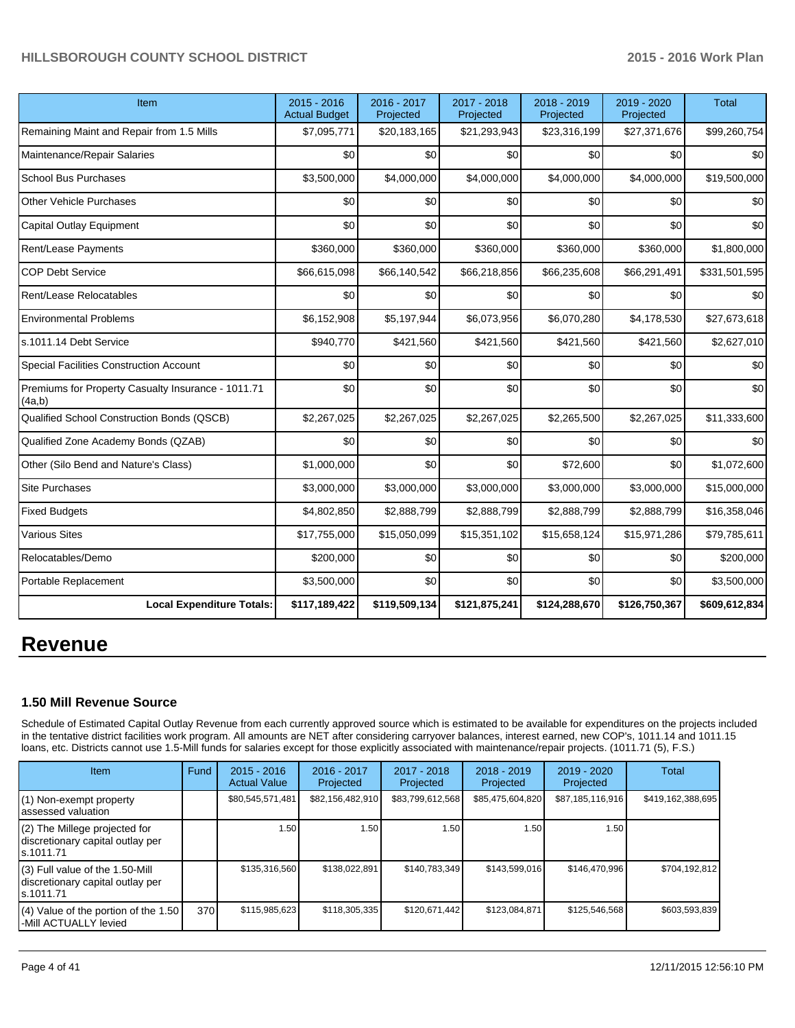| Item                                                         | 2015 - 2016<br><b>Actual Budget</b> | 2016 - 2017<br>Projected | 2017 - 2018<br>Projected | 2018 - 2019<br>Projected | 2019 - 2020<br>Projected | <b>Total</b>  |
|--------------------------------------------------------------|-------------------------------------|--------------------------|--------------------------|--------------------------|--------------------------|---------------|
| Remaining Maint and Repair from 1.5 Mills                    | \$7,095,771                         | \$20,183,165             | \$21,293,943             | \$23,316,199             | \$27,371,676             | \$99,260,754  |
| Maintenance/Repair Salaries                                  | \$0                                 | \$0                      | \$0                      | \$0                      | \$0                      | \$0           |
| <b>School Bus Purchases</b>                                  | \$3,500,000                         | \$4,000,000              | \$4,000,000              | \$4,000,000              | \$4,000,000              | \$19,500,000  |
| <b>Other Vehicle Purchases</b>                               | \$0                                 | \$0                      | \$0                      | \$0                      | \$0                      | \$0           |
| <b>Capital Outlay Equipment</b>                              | \$0                                 | \$0                      | \$0                      | \$0                      | \$0                      | \$0           |
| Rent/Lease Payments                                          | \$360,000                           | \$360,000                | \$360,000                | \$360,000                | \$360,000                | \$1,800,000   |
| <b>COP Debt Service</b>                                      | \$66,615,098                        | \$66,140,542             | \$66,218,856             | \$66,235,608             | \$66,291,491             | \$331,501,595 |
| Rent/Lease Relocatables                                      | \$0                                 | \$0                      | \$0                      | \$0                      | \$0                      | \$0           |
| <b>Environmental Problems</b>                                | \$6,152,908                         | \$5,197,944              | \$6,073,956              | \$6,070,280              | \$4,178,530              | \$27,673,618  |
| s.1011.14 Debt Service                                       | \$940,770                           | \$421,560                | \$421,560                | \$421,560                | \$421,560                | \$2,627,010   |
| <b>Special Facilities Construction Account</b>               | \$0                                 | \$0                      | \$0                      | \$0                      | \$0                      | \$0           |
| Premiums for Property Casualty Insurance - 1011.71<br>(4a,b) | \$0                                 | \$0                      | \$0                      | \$0                      | \$0                      | \$0           |
| Qualified School Construction Bonds (QSCB)                   | \$2,267,025                         | \$2,267,025              | \$2,267,025              | \$2,265,500              | \$2,267,025              | \$11,333,600  |
| Qualified Zone Academy Bonds (QZAB)                          | \$0                                 | \$0                      | \$0                      | \$0                      | \$0                      | \$0           |
| Other (Silo Bend and Nature's Class)                         | \$1,000,000                         | \$0                      | \$0                      | \$72,600                 | \$0                      | \$1,072,600   |
| <b>Site Purchases</b>                                        | \$3,000,000                         | \$3,000,000              | \$3,000,000              | \$3,000,000              | \$3,000,000              | \$15,000,000  |
| <b>Fixed Budgets</b>                                         | \$4,802,850                         | \$2,888,799              | \$2,888,799              | \$2,888,799              | \$2,888,799              | \$16,358,046  |
| <b>Various Sites</b>                                         | \$17,755,000                        | \$15,050,099             | \$15,351,102             | \$15,658,124             | \$15,971,286             | \$79,785,611  |
| Relocatables/Demo                                            | \$200,000                           | \$0                      | \$0                      | \$0                      | \$0                      | \$200,000     |
| Portable Replacement                                         | \$3,500,000                         | \$0                      | \$0                      | \$0                      | \$0                      | \$3,500,000   |
| <b>Local Expenditure Totals:</b>                             | \$117,189,422                       | \$119,509,134            | \$121,875,241            | \$124,288,670            | \$126,750,367            | \$609,612,834 |

# **Revenue**

#### **1.50 Mill Revenue Source**

Schedule of Estimated Capital Outlay Revenue from each currently approved source which is estimated to be available for expenditures on the projects included in the tentative district facilities work program. All amounts are NET after considering carryover balances, interest earned, new COP's, 1011.14 and 1011.15 loans, etc. Districts cannot use 1.5-Mill funds for salaries except for those explicitly associated with maintenance/repair projects. (1011.71 (5), F.S.)

| Item                                                                              | Fund | $2015 - 2016$<br><b>Actual Value</b> | $2016 - 2017$<br>Projected | $2017 - 2018$<br>Projected | $2018 - 2019$<br>Projected | $2019 - 2020$<br>Projected | Total             |
|-----------------------------------------------------------------------------------|------|--------------------------------------|----------------------------|----------------------------|----------------------------|----------------------------|-------------------|
| (1) Non-exempt property<br>lassessed valuation                                    |      | \$80,545,571,481                     | \$82,156,482,910           | \$83,799,612,568           | \$85,475,604,820           | \$87,185,116,916           | \$419,162,388,695 |
| (2) The Millege projected for<br>discretionary capital outlay per<br>ls.1011.71   |      | 1.50                                 | 1.50 l                     | 1.50                       | 1.50                       | 1.50                       |                   |
| (3) Full value of the 1.50-Mill<br>discretionary capital outlay per<br>ls.1011.71 |      | \$135,316,560                        | \$138,022,891              | \$140.783.349              | \$143.599.016              | \$146,470,996              | \$704.192.812     |
| $(4)$ Value of the portion of the 1.50<br>-Mill ACTUALLY levied                   | 370  | \$115,985,623                        | \$118.305.335              | \$120.671.442              | \$123,084,871              | \$125,546,568              | \$603.593.839     |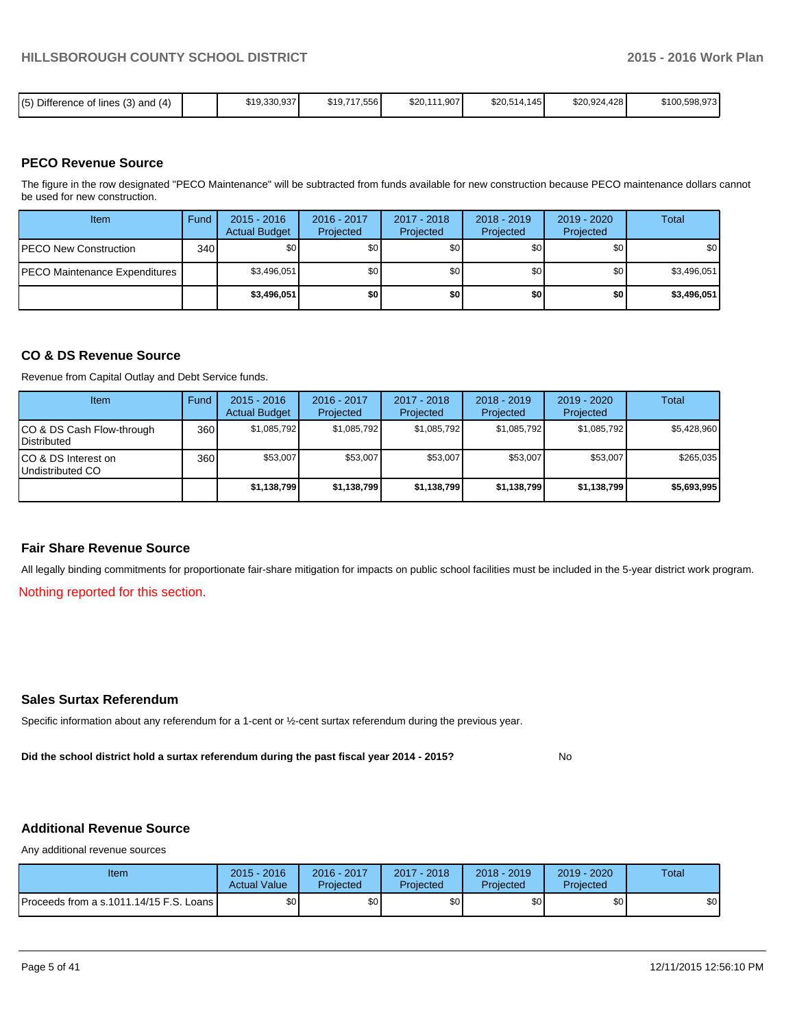| (5) Difference of lines (3)<br>and (4) |  | \$19,330,937 | \$19,717,556 | \$20,111,907 | \$20,514,145 | \$20,924,428 | \$100,598,973 |
|----------------------------------------|--|--------------|--------------|--------------|--------------|--------------|---------------|
|----------------------------------------|--|--------------|--------------|--------------|--------------|--------------|---------------|

#### **PECO Revenue Source**

The figure in the row designated "PECO Maintenance" will be subtracted from funds available for new construction because PECO maintenance dollars cannot be used for new construction.

| Item                                  | Fund | $2015 - 2016$<br><b>Actual Budget</b> | 2016 - 2017<br>Projected | 2017 - 2018<br>Projected | $2018 - 2019$<br>Projected | $2019 - 2020$<br>Projected | Total            |
|---------------------------------------|------|---------------------------------------|--------------------------|--------------------------|----------------------------|----------------------------|------------------|
| <b>PECO New Construction</b>          | 340  | \$O I                                 | \$0                      | \$0                      | \$0 <sub>0</sub>           | \$0                        | \$0 <sub>1</sub> |
| <b>IPECO Maintenance Expenditures</b> |      | \$3,496,051                           | \$0 <sub>1</sub>         | \$0                      | \$0                        | \$0                        | \$3,496,051      |
|                                       |      | \$3,496,051                           | \$0                      | \$0                      | \$0                        | \$0                        | \$3,496,051      |

#### **CO & DS Revenue Source**

Revenue from Capital Outlay and Debt Service funds.

| Item                                               | Fund | $2015 - 2016$<br><b>Actual Budget</b> | $2016 - 2017$<br>Projected | $2017 - 2018$<br>Projected | $2018 - 2019$<br>Projected | $2019 - 2020$<br>Projected | Total       |
|----------------------------------------------------|------|---------------------------------------|----------------------------|----------------------------|----------------------------|----------------------------|-------------|
| ICO & DS Cash Flow-through<br><b>I</b> Distributed | 360  | \$1,085,792                           | \$1,085,792                | \$1,085,792                | \$1,085,792                | \$1,085,792                | \$5,428,960 |
| ICO & DS Interest on<br>Undistributed CO           | 360  | \$53,007                              | \$53,007                   | \$53,007                   | \$53,007                   | \$53,007                   | \$265,035   |
|                                                    |      | \$1,138,799                           | \$1,138,799                | \$1,138,799                | \$1,138,799                | \$1,138,799                | \$5,693,995 |

#### **Fair Share Revenue Source**

All legally binding commitments for proportionate fair-share mitigation for impacts on public school facilities must be included in the 5-year district work program.

Nothing reported for this section.

#### **Sales Surtax Referendum**

Specific information about any referendum for a 1-cent or ½-cent surtax referendum during the previous year.

**Did the school district hold a surtax referendum during the past fiscal year 2014 - 2015?**

No

# **Additional Revenue Source**

Any additional revenue sources

| Item                                      | $2015 - 2016$<br><b>Actual Value</b> | 2016 - 2017<br>Projected | 2017 - 2018<br>Projected | 2018 - 2019<br>Projected | 2019 - 2020<br>Projected | Total |
|-------------------------------------------|--------------------------------------|--------------------------|--------------------------|--------------------------|--------------------------|-------|
| Proceeds from a s.1011.14/15 F.S. Loans I | \$0 <sub>1</sub>                     | \$0                      | \$0                      | \$0                      | \$0                      | \$0   |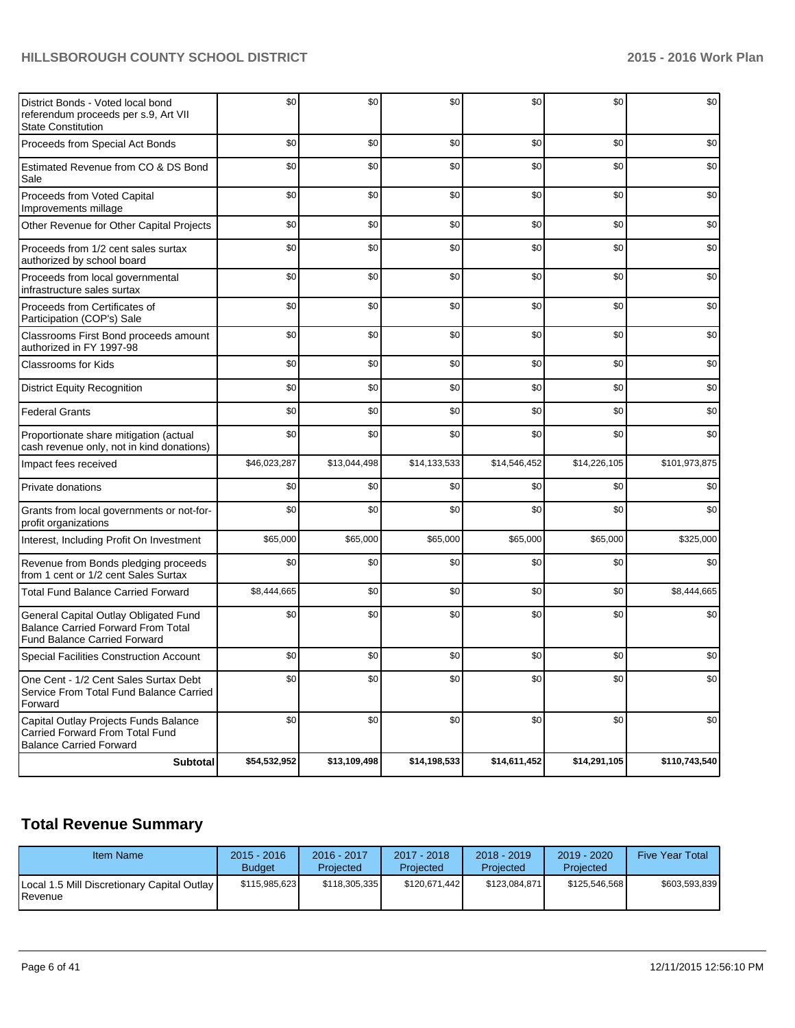| District Bonds - Voted local bond<br>referendum proceeds per s.9, Art VII<br><b>State Constitution</b>                    | \$0          | \$0          | \$0          | \$0          | \$0          | \$0           |
|---------------------------------------------------------------------------------------------------------------------------|--------------|--------------|--------------|--------------|--------------|---------------|
| Proceeds from Special Act Bonds                                                                                           | \$0          | \$0          | \$0          | \$0          | \$0          | \$0           |
| Estimated Revenue from CO & DS Bond<br>Sale                                                                               | \$0          | \$0          | \$0          | \$0          | \$0          | \$0           |
| Proceeds from Voted Capital<br>Improvements millage                                                                       | \$0          | \$0          | \$0          | \$0          | \$0          | \$0           |
| Other Revenue for Other Capital Projects                                                                                  | \$0          | \$0          | \$0          | \$0          | \$0          | \$0           |
| Proceeds from 1/2 cent sales surtax<br>authorized by school board                                                         | \$0          | \$0          | \$0          | \$0          | \$0          | \$0           |
| Proceeds from local governmental<br>infrastructure sales surtax                                                           | \$0          | \$0          | \$0          | \$0          | \$0          | \$0           |
| Proceeds from Certificates of<br>Participation (COP's) Sale                                                               | \$0          | \$0          | \$0          | \$0          | \$0          | \$0           |
| Classrooms First Bond proceeds amount<br>authorized in FY 1997-98                                                         | \$0          | \$0          | \$0          | \$0          | \$0          | \$0           |
| <b>Classrooms for Kids</b>                                                                                                | \$0          | \$0          | \$0          | \$0          | \$0          | \$0           |
| <b>District Equity Recognition</b>                                                                                        | \$0          | \$0          | \$0          | \$0          | \$0          | \$0           |
| <b>Federal Grants</b>                                                                                                     | \$0          | \$0          | \$0          | \$0          | \$0          | \$0           |
| Proportionate share mitigation (actual<br>cash revenue only, not in kind donations)                                       | \$0          | \$0          | \$0          | \$0          | \$0          | \$0           |
| Impact fees received                                                                                                      | \$46,023,287 | \$13,044,498 | \$14,133,533 | \$14,546,452 | \$14,226,105 | \$101,973,875 |
| Private donations                                                                                                         | \$0          | \$0          | \$0          | \$0          | \$0          | \$0           |
| Grants from local governments or not-for-<br>profit organizations                                                         | \$0          | \$0          | \$0          | \$0          | \$0          | \$0           |
| Interest, Including Profit On Investment                                                                                  | \$65,000     | \$65,000     | \$65,000     | \$65,000     | \$65,000     | \$325,000     |
| Revenue from Bonds pledging proceeds<br>from 1 cent or 1/2 cent Sales Surtax                                              | \$0          | \$0          | \$0          | \$0          | \$0          | \$0           |
| <b>Total Fund Balance Carried Forward</b>                                                                                 | \$8,444,665  | \$0          | \$0          | \$0          | \$0          | \$8,444,665   |
| General Capital Outlay Obligated Fund<br><b>Balance Carried Forward From Total</b><br><b>Fund Balance Carried Forward</b> | \$0          | \$0          | \$0          | \$0          | \$0          | \$0           |
| <b>Special Facilities Construction Account</b>                                                                            | \$0          | \$0          | \$0          | \$0          | \$0          | \$0           |
| One Cent - 1/2 Cent Sales Surtax Debt<br>Service From Total Fund Balance Carried<br>Forward                               | \$0          | \$0          | \$0          | \$0          | \$0          | \$0           |
| Capital Outlay Projects Funds Balance<br>Carried Forward From Total Fund<br><b>Balance Carried Forward</b>                | \$0          | \$0          | \$0          | \$0          | \$0          | \$0           |
| <b>Subtotal</b>                                                                                                           | \$54,532,952 | \$13,109,498 | \$14,198,533 | \$14,611,452 | \$14,291,105 | \$110,743,540 |

# **Total Revenue Summary**

| Item Name                                                       | $2015 - 2016$<br><b>Budget</b> | 2016 - 2017<br>Projected | $2017 - 2018$<br>Projected | $2018 - 2019$<br>Projected | 2019 - 2020<br>Projected | <b>Five Year Total</b> |
|-----------------------------------------------------------------|--------------------------------|--------------------------|----------------------------|----------------------------|--------------------------|------------------------|
| Local 1.5 Mill Discretionary Capital Outlay<br><b>I</b> Revenue | \$115,985,623                  | \$118.305.335            | \$120.671.442              | \$123.084.871              | \$125.546.568            | \$603.593.839          |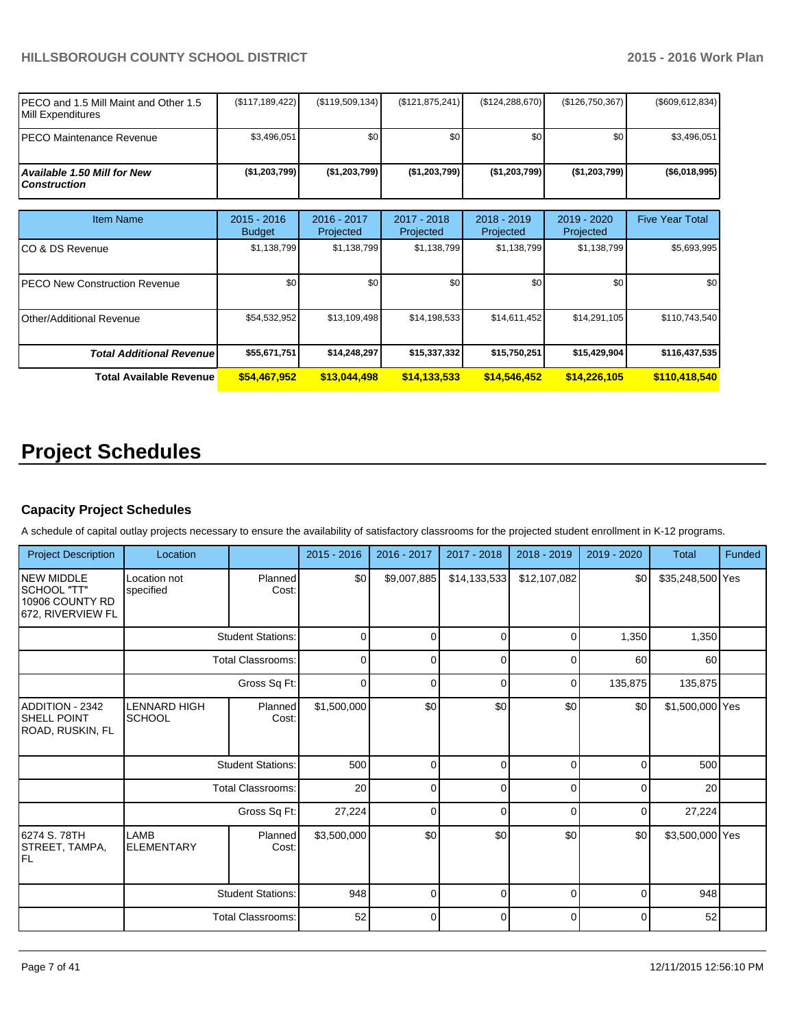| IPECO and 1.5 Mill Maint and Other 1.5<br><b>IMill Expenditures</b> | (\$117, 189, 422) | (S119, 509, 134) | (\$121, 875, 241) | (\$124, 288, 670) | (\$126,750,367)  | (\$609, 612, 834) |
|---------------------------------------------------------------------|-------------------|------------------|-------------------|-------------------|------------------|-------------------|
| IPECO Maintenance Revenue                                           | \$3.496.051       | \$0              | \$0               | \$0               | \$0 <sub>1</sub> | \$3.496.051       |
| <b>Available 1.50 Mill for New</b><br><i>Construction</i>           | ( \$1,203,799]    | ( \$1,203,799]   | (\$1,203,799)     | (S1, 203, 799)    | (\$1,203,799)    | (\$6,018,995)     |

| <b>Item Name</b>                      | $2015 - 2016$<br><b>Budget</b> | 2016 - 2017<br>Projected | $2017 - 2018$<br>Projected | $2018 - 2019$<br>Projected | $2019 - 2020$<br>Projected | <b>Five Year Total</b> |
|---------------------------------------|--------------------------------|--------------------------|----------------------------|----------------------------|----------------------------|------------------------|
| ICO & DS Revenue                      | \$1,138,799                    | \$1,138,799              | \$1,138,799                | \$1,138,799                | \$1,138,799                | \$5,693,995            |
| <b>IPECO New Construction Revenue</b> | \$0                            | \$0                      | \$0 <sub>1</sub>           | \$0                        | \$0                        | \$0                    |
| Other/Additional Revenue              | \$54,532,952                   | \$13,109,498             | \$14,198,533               | \$14,611,452               | \$14,291,105               | \$110,743,540          |
| <b>Total Additional Revenuel</b>      | \$55,671,751                   | \$14,248,297             | \$15,337,332               | \$15,750,251               | \$15,429,904               | \$116,437,535          |
| Total Available Revenue               | \$54,467,952                   | \$13,044,498             | \$14,133,533               | \$14,546,452               | \$14,226,105               | \$110,418,540          |

# **Project Schedules**

# **Capacity Project Schedules**

A schedule of capital outlay projects necessary to ensure the availability of satisfactory classrooms for the projected student enrollment in K-12 programs.

| <b>Project Description</b>                                                 | Location                             |                          | $2015 - 2016$ | 2016 - 2017 | 2017 - 2018  | 2018 - 2019  | 2019 - 2020 | <b>Total</b>     | Funded |
|----------------------------------------------------------------------------|--------------------------------------|--------------------------|---------------|-------------|--------------|--------------|-------------|------------------|--------|
| <b>INEW MIDDLE</b><br>ISCHOOL "TT"<br>10906 COUNTY RD<br>672. RIVERVIEW FL | Location not<br>specified            | Planned<br>Cost:         | \$0           | \$9,007,885 | \$14,133,533 | \$12,107,082 | \$0         | \$35,248,500 Yes |        |
|                                                                            |                                      | <b>Student Stations:</b> | 0             | $\Omega$    | 0            | 0            | 1,350       | 1,350            |        |
|                                                                            |                                      | <b>Total Classrooms:</b> | 0             | 0           | 0            | 0            | 60          | 60               |        |
|                                                                            |                                      | Gross Sq Ft:             | $\mathbf 0$   | $\Omega$    | $\mathbf 0$  | $\Omega$     | 135,875     | 135,875          |        |
| ADDITION - 2342<br>ISHELL POINT<br>ROAD, RUSKIN, FL                        | <b>LENNARD HIGH</b><br><b>SCHOOL</b> | Planned<br>Cost:         | \$1,500,000   | \$0         | \$0          | \$0          | \$0         | \$1,500,000 Yes  |        |
|                                                                            |                                      | <b>Student Stations:</b> | 500           | $\Omega$    | $\mathbf 0$  | 0            | 0           | 500              |        |
|                                                                            |                                      | <b>Total Classrooms:</b> | 20            | $\Omega$    | $\Omega$     | $\Omega$     | $\Omega$    | 20               |        |
|                                                                            |                                      | Gross Sq Ft:             | 27,224        | $\Omega$    | 0            | $\Omega$     | 0           | 27,224           |        |
| 6274 S. 78TH<br>STREET, TAMPA,<br>IFL                                      | LAMB<br><b>ELEMENTARY</b>            | Planned<br>Cost:         | \$3,500,000   | \$0         | \$0          | \$0          | \$0         | \$3,500,000 Yes  |        |
|                                                                            |                                      | <b>Student Stations:</b> | 948           | $\Omega$    | $\Omega$     | $\Omega$     | $\Omega$    | 948              |        |
|                                                                            |                                      | <b>Total Classrooms:</b> | 52            | 0           | $\mathbf 0$  | 0            | 0           | 52               |        |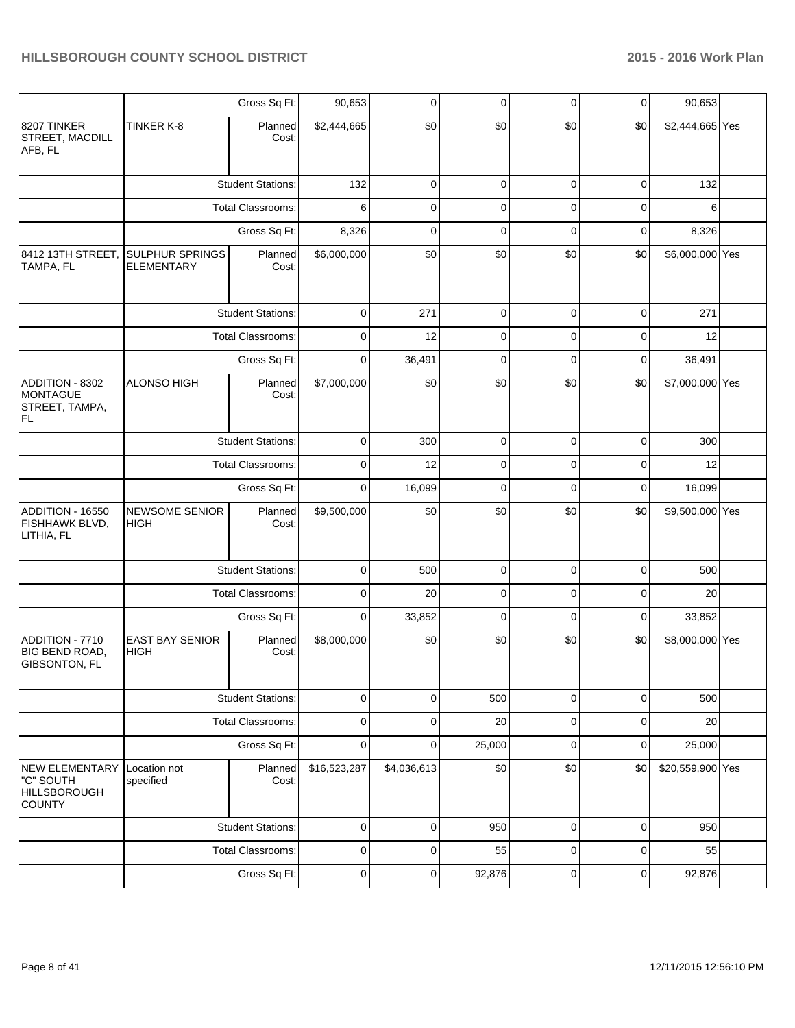|                                                                            |                                             | Gross Sq Ft:             | 90,653         | $\mathbf 0$ | $\mathbf 0$ | $\mathbf 0$ | $\mathbf 0$ | 90,653                                                                                       |  |
|----------------------------------------------------------------------------|---------------------------------------------|--------------------------|----------------|-------------|-------------|-------------|-------------|----------------------------------------------------------------------------------------------|--|
| 8207 TINKER<br>STREET, MACDILL<br>AFB, FL                                  | TINKER K-8                                  | Planned<br>Cost:         | \$2,444,665    | \$0         | \$0         | \$0         | \$0         | \$2,444,665 Yes<br>0<br>0<br>271<br>0<br>0<br>36,491<br>0<br>0<br>0<br>0<br>0<br>0<br>0<br>0 |  |
|                                                                            |                                             | <b>Student Stations:</b> | 132            | $\mathbf 0$ | $\mathbf 0$ | $\mathbf 0$ | $\mathbf 0$ | 132                                                                                          |  |
|                                                                            |                                             | <b>Total Classrooms:</b> | 6              | $\mathbf 0$ | $\mathbf 0$ | 0           |             | 6                                                                                            |  |
|                                                                            |                                             | Gross Sq Ft:             | 8,326          | $\mathbf 0$ | $\mathbf 0$ | $\mathbf 0$ | $\mathbf 0$ | 8,326                                                                                        |  |
| 8412 13TH STREET,<br>TAMPA, FL                                             | <b>SULPHUR SPRINGS</b><br><b>ELEMENTARY</b> | Planned<br>Cost:         | \$6,000,000    | \$0         | \$0         | \$0         | \$0         | \$6,000,000 Yes                                                                              |  |
|                                                                            |                                             | <b>Student Stations:</b> | $\mathbf 0$    | 271         | $\mathbf 0$ | $\mathbf 0$ |             |                                                                                              |  |
|                                                                            |                                             | <b>Total Classrooms:</b> | 0              | 12          | $\mathbf 0$ | 0           |             | 12                                                                                           |  |
|                                                                            |                                             | Gross Sq Ft:             | $\mathbf 0$    | 36,491      | $\mathbf 0$ | $\mathbf 0$ |             |                                                                                              |  |
| ADDITION - 8302<br><b>MONTAGUE</b><br>STREET, TAMPA,<br>FL                 | <b>ALONSO HIGH</b>                          | Planned<br>Cost:         | \$7,000,000    | \$0         | \$0         | \$0         | \$0         | \$7,000,000 Yes                                                                              |  |
|                                                                            |                                             | <b>Student Stations:</b> | $\overline{0}$ | 300         | $\mathbf 0$ | $\mathbf 0$ | $\mathbf 0$ | 300                                                                                          |  |
|                                                                            |                                             | <b>Total Classrooms:</b> | $\mathbf 0$    | 12          | $\mathbf 0$ | $\mathbf 0$ |             | 12                                                                                           |  |
|                                                                            |                                             | Gross Sq Ft:             | $\mathbf 0$    | 16,099      | $\mathbf 0$ | $\mathbf 0$ | $\mathbf 0$ | 16,099                                                                                       |  |
| ADDITION - 16550<br>FISHHAWK BLVD,<br>LITHIA, FL                           | <b>NEWSOME SENIOR</b><br><b>HIGH</b>        | Planned<br>Cost:         | \$9,500,000    | \$0         | \$0         | \$0         | \$0         | \$9,500,000 Yes                                                                              |  |
|                                                                            |                                             | <b>Student Stations:</b> | $\mathbf 0$    | 500         | $\mathbf 0$ | $\mathbf 0$ |             | 500                                                                                          |  |
|                                                                            |                                             | Total Classrooms:        | $\mathbf 0$    | 20          | $\mathbf 0$ | 0           |             | 20                                                                                           |  |
|                                                                            |                                             | Gross Sq Ft:             | $\mathbf 0$    | 33,852      | $\mathbf 0$ | $\mathbf 0$ |             | 33,852                                                                                       |  |
| ADDITION - 7710<br><b>BIG BEND ROAD,</b><br>GIBSONTON, FL                  | <b>EAST BAY SENIOR</b><br><b>HIGH</b>       | Planned<br>Cost:         | \$8,000,000    | \$0         | \$0         | \$0         | \$0         | \$8,000,000 Yes                                                                              |  |
|                                                                            |                                             | <b>Student Stations:</b> | $\mathbf 0$    | $\mathbf 0$ | 500         | $\mathbf 0$ |             | 500                                                                                          |  |
|                                                                            |                                             | Total Classrooms:        | $\mathbf 0$    | $\mathbf 0$ | 20          | $\mathbf 0$ | $\mathbf 0$ | 20                                                                                           |  |
|                                                                            |                                             | Gross Sq Ft:             | $\mathbf 0$    | 0           | 25,000      | $\mathbf 0$ | $\mathbf 0$ | 25,000                                                                                       |  |
| <b>NEW ELEMENTARY</b><br>"C" SOUTH<br><b>HILLSBOROUGH</b><br><b>COUNTY</b> | Location not<br>specified                   | Planned<br>Cost:         | \$16,523,287   | \$4,036,613 | \$0         | \$0         | \$0         | \$20,559,900 Yes                                                                             |  |
|                                                                            |                                             | <b>Student Stations:</b> | $\mathbf 0$    | $\mathbf 0$ | 950         | $\mathbf 0$ |             | 950                                                                                          |  |
|                                                                            |                                             | Total Classrooms:        | $\pmb{0}$      | 0           | 55          | 0           |             | 55                                                                                           |  |
|                                                                            |                                             | Gross Sq Ft:             | $\pmb{0}$      | 0           | 92,876      | 0           |             | 92,876                                                                                       |  |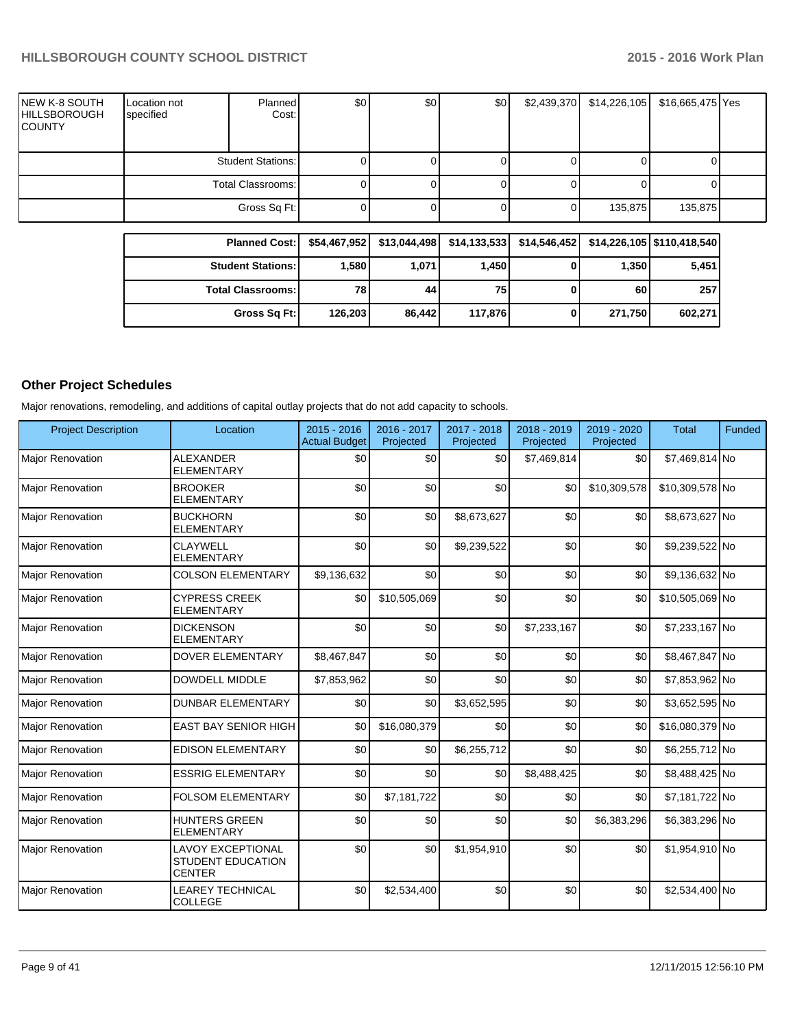| <b>NEW K-8 SOUTH</b><br><b>HILLSBOROUGH</b><br><b>COUNTY</b> | Location not<br>specified | <b>Planned</b><br>Cost:  | \$0 | \$0 | \$0 | \$2,439,370 | \$14,226,105 | \$16,665,475 Yes |  |
|--------------------------------------------------------------|---------------------------|--------------------------|-----|-----|-----|-------------|--------------|------------------|--|
|                                                              |                           | <b>Student Stations:</b> |     |     |     |             |              |                  |  |
|                                                              | Total Classrooms:         |                          |     |     |     |             |              |                  |  |
|                                                              |                           | Gross Sq Ft:             |     |     |     |             | 135,875      | 135,875          |  |

| <b>Planned Cost:</b>       |         |        |         |   |         | \$54,467,952 \$13,044,498 \$14,133,533 \$14,546,452 \$14,226,105 \$110,418,540 |
|----------------------------|---------|--------|---------|---|---------|--------------------------------------------------------------------------------|
| <b>Student Stations:</b>   | 1,580   | 1,071  | 1,450   |   | 1.350   | 5,451                                                                          |
| <b>Total Classrooms: I</b> | 78      | 44     | 75      |   | 60      | 257                                                                            |
| Gross Sq Ft:               | 126,203 | 86.442 | 117.876 | U | 271.750 | 602,271                                                                        |

#### **Other Project Schedules**

Major renovations, remodeling, and additions of capital outlay projects that do not add capacity to schools.

| <b>Project Description</b> | Location                                                              | $2015 - 2016$<br><b>Actual Budget</b> | 2016 - 2017<br>Projected | 2017 - 2018<br>Projected | 2018 - 2019<br>Projected | 2019 - 2020<br>Projected | <b>Total</b>    | <b>Funded</b> |
|----------------------------|-----------------------------------------------------------------------|---------------------------------------|--------------------------|--------------------------|--------------------------|--------------------------|-----------------|---------------|
| <b>Major Renovation</b>    | <b>ALEXANDER</b><br><b>ELEMENTARY</b>                                 | \$0                                   | \$0                      | \$0                      | \$7,469,814              | \$0                      | \$7,469,814 No  |               |
| <b>Major Renovation</b>    | <b>BROOKER</b><br><b>ELEMENTARY</b>                                   | \$0                                   | \$0                      | \$0                      | \$0                      | \$10,309,578             | \$10,309,578 No |               |
| <b>Major Renovation</b>    | <b>BUCKHORN</b><br><b>ELEMENTARY</b>                                  | \$0                                   | \$0                      | \$8,673,627              | \$0                      | \$0                      | \$8,673,627 No  |               |
| <b>Major Renovation</b>    | <b>CLAYWELL</b><br><b>ELEMENTARY</b>                                  | \$0                                   | \$0                      | \$9,239,522              | \$0                      | \$0                      | \$9,239,522 No  |               |
| <b>Major Renovation</b>    | <b>COLSON ELEMENTARY</b>                                              | \$9,136,632                           | \$0                      | \$0                      | \$0                      | \$0                      | \$9,136,632 No  |               |
| <b>Major Renovation</b>    | <b>CYPRESS CREEK</b><br><b>ELEMENTARY</b>                             | \$0                                   | \$10,505,069             | \$0                      | \$0                      | \$0                      | \$10,505,069 No |               |
| <b>Major Renovation</b>    | <b>DICKENSON</b><br><b>ELEMENTARY</b>                                 | \$0                                   | \$0                      | \$0                      | \$7,233,167              | \$0                      | \$7,233,167 No  |               |
| Major Renovation           | <b>DOVER ELEMENTARY</b>                                               | \$8,467,847                           | \$0                      | \$0                      | \$0                      | \$0                      | \$8,467,847 No  |               |
| Major Renovation           | <b>DOWDELL MIDDLE</b>                                                 | \$7,853,962                           | \$0                      | \$0                      | \$0                      | \$0                      | \$7,853,962 No  |               |
| <b>Major Renovation</b>    | <b>DUNBAR ELEMENTARY</b>                                              | \$0                                   | \$0                      | \$3,652,595              | \$0                      | \$0                      | \$3,652,595 No  |               |
| <b>Major Renovation</b>    | <b>EAST BAY SENIOR HIGH</b>                                           | \$0                                   | \$16,080,379             | \$0                      | \$0                      | \$0                      | \$16,080,379 No |               |
| <b>Major Renovation</b>    | <b>EDISON ELEMENTARY</b>                                              | \$0                                   | \$0                      | \$6,255,712              | \$0                      | \$0                      | \$6,255,712 No  |               |
| Major Renovation           | <b>ESSRIG ELEMENTARY</b>                                              | \$0                                   | \$0                      | \$0                      | \$8,488,425              | \$0                      | \$8,488,425 No  |               |
| <b>Major Renovation</b>    | <b>FOLSOM ELEMENTARY</b>                                              | \$0                                   | \$7,181,722              | \$0                      | \$0                      | \$0                      | \$7,181,722 No  |               |
| <b>Major Renovation</b>    | <b>HUNTERS GREEN</b><br><b>ELEMENTARY</b>                             | \$0                                   | \$0                      | \$0                      | \$0                      | \$6,383,296              | \$6,383,296 No  |               |
| <b>Major Renovation</b>    | <b>LAVOY EXCEPTIONAL</b><br><b>STUDENT EDUCATION</b><br><b>CENTER</b> | \$0                                   | \$0                      | \$1,954,910              | \$0                      | \$0                      | \$1,954,910 No  |               |
| <b>Major Renovation</b>    | <b>LEAREY TECHNICAL</b><br><b>COLLEGE</b>                             | \$0                                   | \$2,534,400              | \$0                      | \$0                      | \$0                      | \$2,534,400 No  |               |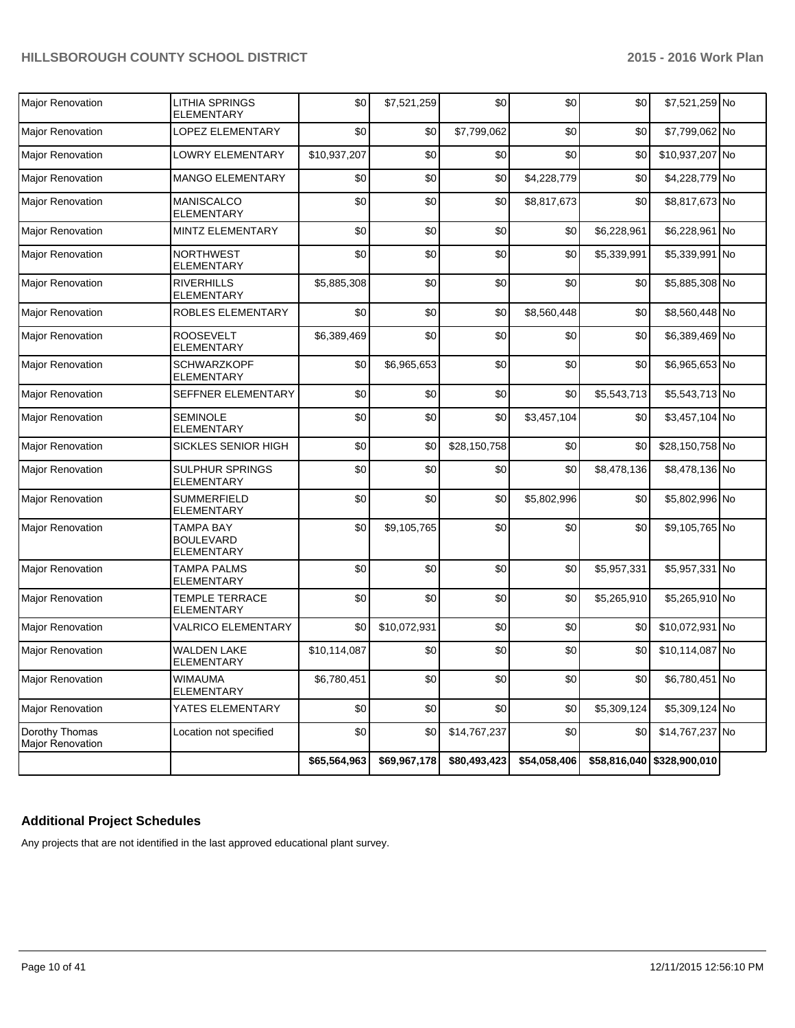| <b>Maior Renovation</b>            | LITHIA SPRINGS<br><b>ELEMENTARY</b>                       | \$0          | \$7,521,259  | \$0          | \$0          | \$0         | \$7,521,259 No               |  |
|------------------------------------|-----------------------------------------------------------|--------------|--------------|--------------|--------------|-------------|------------------------------|--|
| Major Renovation                   | LOPEZ ELEMENTARY                                          | \$0          | \$0          | \$7,799,062  | \$0          | \$0         | \$7,799,062 No               |  |
| Major Renovation                   | LOWRY ELEMENTARY                                          | \$10,937,207 | \$0          | \$0          | \$0          | \$0         | \$10,937,207 No              |  |
| <b>Major Renovation</b>            | <b>MANGO ELEMENTARY</b>                                   | \$0          | \$0          | \$0          | \$4,228,779  | \$0         | \$4,228,779 No               |  |
| <b>Major Renovation</b>            | <b>MANISCALCO</b><br><b>ELEMENTARY</b>                    | \$0          | \$0          | \$0          | \$8,817,673  | \$0         | \$8,817,673 No               |  |
| Major Renovation                   | MINTZ ELEMENTARY                                          | \$0          | \$0          | \$0          | \$0          | \$6,228,961 | \$6,228,961 No               |  |
| <b>Major Renovation</b>            | <b>NORTHWEST</b><br><b>ELEMENTARY</b>                     | \$0          | \$0          | \$0          | \$0          | \$5,339,991 | \$5,339,991 No               |  |
| <b>Major Renovation</b>            | <b>RIVERHILLS</b><br><b>ELEMENTARY</b>                    | \$5,885,308  | \$0          | \$0          | \$0          | \$0         | \$5,885,308 No               |  |
| Major Renovation                   | ROBLES ELEMENTARY                                         | \$0          | \$0          | \$0          | \$8,560,448  | \$0         | \$8,560,448 No               |  |
| <b>Major Renovation</b>            | <b>ROOSEVELT</b><br><b>ELEMENTARY</b>                     | \$6,389,469  | \$0          | \$0          | \$0          | \$0         | \$6,389,469 No               |  |
| Major Renovation                   | <b>SCHWARZKOPF</b><br><b>ELEMENTARY</b>                   | \$0          | \$6,965,653  | \$0          | \$0          | \$0         | \$6,965,653 No               |  |
| Major Renovation                   | SEFFNER ELEMENTARY                                        | \$0          | \$0          | \$0          | \$0          | \$5,543,713 | \$5,543,713 No               |  |
| <b>Major Renovation</b>            | <b>SEMINOLE</b><br><b>ELEMENTARY</b>                      | \$0          | \$0          | \$0          | \$3,457,104  | \$0         | \$3,457,104 No               |  |
| Major Renovation                   | SICKLES SENIOR HIGH                                       | \$0          | \$0          | \$28,150,758 | \$0          | \$0         | \$28,150,758 No              |  |
| Major Renovation                   | <b>SULPHUR SPRINGS</b><br><b>ELEMENTARY</b>               | \$0          | \$0          | \$0          | \$0          | \$8,478,136 | \$8,478,136 No               |  |
| Major Renovation                   | <b>SUMMERFIELD</b><br>ELEMENTARY                          | \$0          | \$0          | \$0          | \$5,802,996  | \$0         | \$5,802,996 No               |  |
| Major Renovation                   | <b>TAMPA BAY</b><br><b>BOULEVARD</b><br><b>ELEMENTARY</b> | \$0          | \$9,105,765  | \$0          | \$0          | \$0         | \$9,105,765 No               |  |
| Major Renovation                   | <b>TAMPA PALMS</b><br><b>ELEMENTARY</b>                   | \$0          | \$0          | \$0          | \$0          | \$5,957,331 | \$5,957,331 No               |  |
| Major Renovation                   | <b>TEMPLE TERRACE</b><br><b>ELEMENTARY</b>                | \$0          | \$0          | \$0          | \$0          | \$5,265,910 | \$5,265,910 No               |  |
| Major Renovation                   | <b>VALRICO ELEMENTARY</b>                                 | \$0          | \$10,072,931 | \$0          | \$0          | \$0         | \$10,072,931 No              |  |
| <b>Major Renovation</b>            | <b>WALDEN LAKE</b><br>ELEMENTARY                          | \$10,114,087 | \$0          | \$0          | \$0          | \$0         | \$10,114,087 No              |  |
| Major Renovation                   | <b>WIMAUMA</b><br><b>ELEMENTARY</b>                       | \$6,780,451  | \$0          | \$0          | \$0          | \$0         | \$6,780,451 No               |  |
| Major Renovation                   | YATES ELEMENTARY                                          | \$0          | \$0          | \$0          | \$0          | \$5,309,124 | \$5,309,124 No               |  |
| Dorothy Thomas<br>Major Renovation | Location not specified                                    | \$0          | \$0          | \$14,767,237 | \$0          | \$0         | \$14,767,237 No              |  |
|                                    |                                                           | \$65,564,963 | \$69,967,178 | \$80,493,423 | \$54,058,406 |             | $$58,816,040$ $$328,900,010$ |  |

# **Additional Project Schedules**

Any projects that are not identified in the last approved educational plant survey.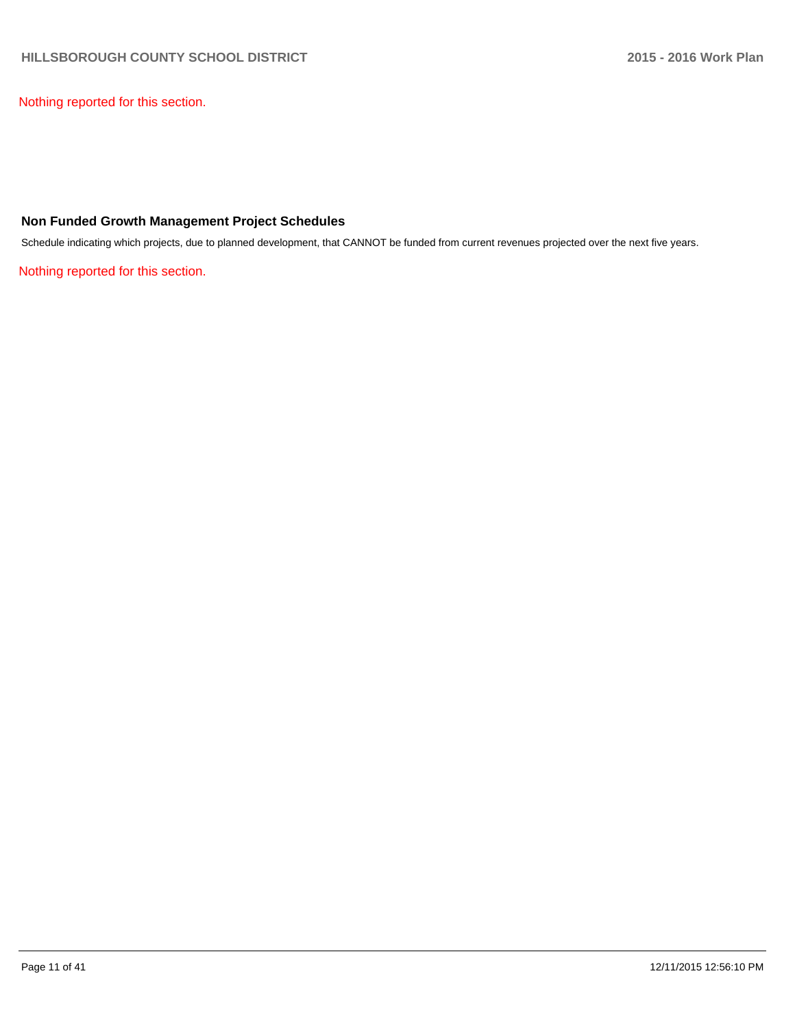Nothing reported for this section.

#### **Non Funded Growth Management Project Schedules**

Schedule indicating which projects, due to planned development, that CANNOT be funded from current revenues projected over the next five years.

Nothing reported for this section.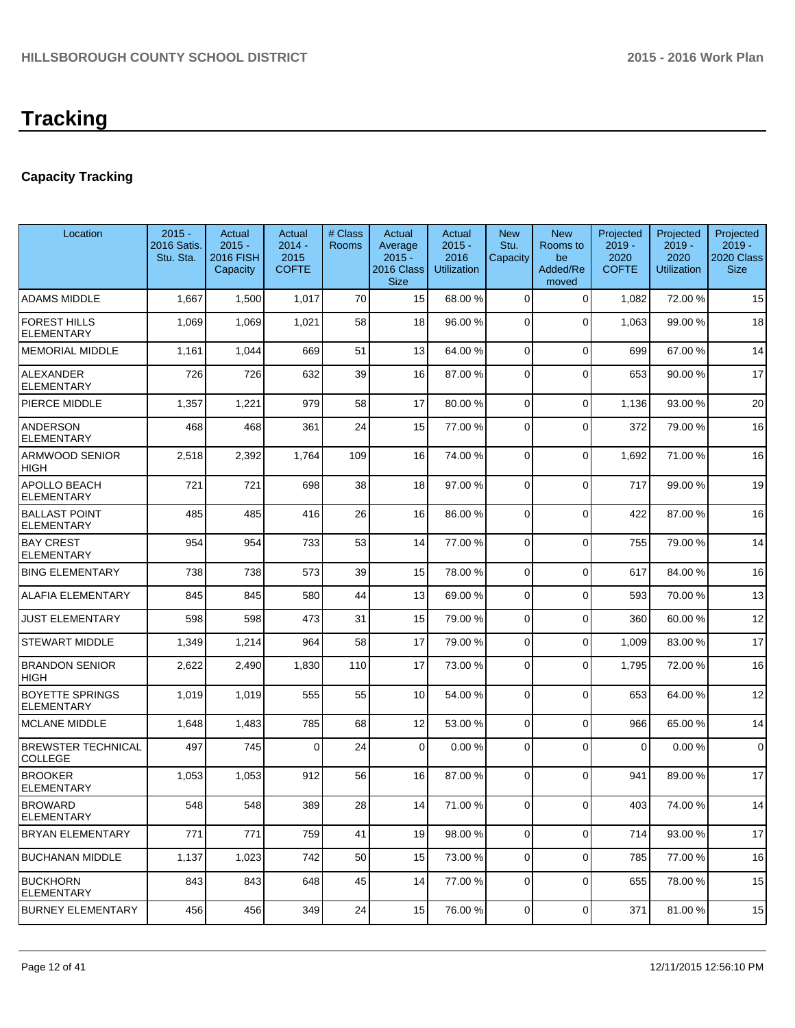# **Capacity Tracking**

| Location                                    | $2015 -$<br>2016 Satis.<br>Stu. Sta. | Actual<br>$2015 -$<br>2016 FISH<br>Capacity | Actual<br>$2014 -$<br>2015<br><b>COFTE</b> | # Class<br>Rooms | Actual<br>Average<br>$2015 -$<br>2016 Class<br><b>Size</b> | Actual<br>$2015 -$<br>2016<br><b>Utilization</b> | <b>New</b><br>Stu.<br>Capacity | <b>New</b><br>Rooms to<br>be<br>Added/Re<br>moved | Projected<br>$2019 -$<br>2020<br><b>COFTE</b> | Projected<br>$2019 -$<br>2020<br><b>Utilization</b> | Projected<br>$2019 -$<br>2020 Class<br><b>Size</b> |
|---------------------------------------------|--------------------------------------|---------------------------------------------|--------------------------------------------|------------------|------------------------------------------------------------|--------------------------------------------------|--------------------------------|---------------------------------------------------|-----------------------------------------------|-----------------------------------------------------|----------------------------------------------------|
| <b>ADAMS MIDDLE</b>                         | 1,667                                | 1,500                                       | 1,017                                      | 70               | 15                                                         | 68.00 %                                          | 0                              | $\Omega$                                          | 1,082                                         | 72.00 %                                             | 15                                                 |
| <b>FOREST HILLS</b><br><b>ELEMENTARY</b>    | 1,069                                | 1,069                                       | 1,021                                      | 58               | 18                                                         | 96.00 %                                          | $\Omega$                       | $\Omega$                                          | 1,063                                         | 99.00 %                                             | 18                                                 |
| <b>MEMORIAL MIDDLE</b>                      | 1,161                                | 1,044                                       | 669                                        | 51               | 13                                                         | 64.00 %                                          | 0                              | $\Omega$                                          | 699                                           | 67.00%                                              | 14                                                 |
| <b>ALEXANDER</b><br><b>ELEMENTARY</b>       | 726                                  | 726                                         | 632                                        | 39               | 16                                                         | 87.00 %                                          | 0                              | $\Omega$                                          | 653                                           | 90.00 %                                             | 17                                                 |
| PIERCE MIDDLE                               | 1,357                                | 1,221                                       | 979                                        | 58               | 17                                                         | 80.00 %                                          | 0                              | $\Omega$                                          | 1,136                                         | 93.00 %                                             | 20                                                 |
| <b>ANDERSON</b><br><b>ELEMENTARY</b>        | 468                                  | 468                                         | 361                                        | 24               | 15                                                         | 77.00 %                                          | 0                              | $\Omega$                                          | 372                                           | 79.00 %                                             | 16                                                 |
| ARMWOOD SENIOR<br>HIGH                      | 2,518                                | 2,392                                       | 1,764                                      | 109              | 16                                                         | 74.00 %                                          | 0                              | $\Omega$                                          | 1,692                                         | 71.00%                                              | 16                                                 |
| APOLLO BEACH<br><b>ELEMENTARY</b>           | 721                                  | 721                                         | 698                                        | 38               | 18                                                         | 97.00 %                                          | 0                              | $\Omega$                                          | 717                                           | 99.00 %                                             | 19                                                 |
| <b>BALLAST POINT</b><br><b>ELEMENTARY</b>   | 485                                  | 485                                         | 416                                        | 26               | 16                                                         | 86.00 %                                          | 0                              | $\Omega$                                          | 422                                           | 87.00 %                                             | 16                                                 |
| <b>BAY CREST</b><br><b>ELEMENTARY</b>       | 954                                  | 954                                         | 733                                        | 53               | 14                                                         | 77.00 %                                          | 0                              | $\Omega$                                          | 755                                           | 79.00 %                                             | 14                                                 |
| <b>BING ELEMENTARY</b>                      | 738                                  | 738                                         | 573                                        | 39               | 15                                                         | 78.00 %                                          | 0                              | $\Omega$                                          | 617                                           | 84.00%                                              | 16                                                 |
| ALAFIA ELEMENTARY                           | 845                                  | 845                                         | 580                                        | 44               | 13                                                         | 69.00 %                                          | 0                              | $\Omega$                                          | 593                                           | 70.00 %                                             | 13                                                 |
| <b>JUST ELEMENTARY</b>                      | 598                                  | 598                                         | 473                                        | 31               | 15                                                         | 79.00 %                                          | 0                              | $\Omega$                                          | 360                                           | 60.00 %                                             | 12                                                 |
| <b>STEWART MIDDLE</b>                       | 1,349                                | 1,214                                       | 964                                        | 58               | 17                                                         | 79.00 %                                          | 0                              | $\Omega$                                          | 1,009                                         | 83.00 %                                             | 17                                                 |
| <b>BRANDON SENIOR</b><br>HIGH               | 2,622                                | 2,490                                       | 1,830                                      | 110              | 17                                                         | 73.00 %                                          | 0                              | $\Omega$                                          | 1,795                                         | 72.00 %                                             | 16                                                 |
| <b>BOYETTE SPRINGS</b><br><b>ELEMENTARY</b> | 1,019                                | 1,019                                       | 555                                        | 55               | 10 <sup>1</sup>                                            | 54.00 %                                          | $\overline{0}$                 | $\Omega$                                          | 653                                           | 64.00%                                              | 12                                                 |
| <b>MCLANE MIDDLE</b>                        | 1,648                                | 1,483                                       | 785                                        | 68               | 12                                                         | 53.00 %                                          | $\mathbf 0$                    | $\Omega$                                          | 966                                           | 65.00 %                                             | 14                                                 |
| <b>BREWSTER TECHNICAL</b><br>COLLEGE        | 497                                  | 745                                         | $\Omega$                                   | 24               | $\Omega$                                                   | 0.00%                                            | 0                              | $\Omega$                                          | $\Omega$                                      | 0.00%                                               | $\mathbf 0$                                        |
| <b>BROOKER</b><br><b>ELEMENTARY</b>         | 1,053                                | 1,053                                       | 912                                        | 56               | 16                                                         | 87.00 %                                          | 0                              | $\Omega$                                          | 941                                           | 89.00 %                                             | 17                                                 |
| <b>BROWARD</b><br><b>ELEMENTARY</b>         | 548                                  | 548                                         | 389                                        | 28               | 14 I                                                       | 71.00 %                                          | 01                             | $\overline{O}$                                    | 403                                           | 74.00 %                                             | 14                                                 |
| <b>BRYAN ELEMENTARY</b>                     | 771                                  | 771                                         | 759                                        | 41               | 19                                                         | 98.00 %                                          | $\overline{0}$                 | $\overline{0}$                                    | 714                                           | 93.00 %                                             | 17                                                 |
| <b>BUCHANAN MIDDLE</b>                      | 1,137                                | 1,023                                       | 742                                        | 50               | 15                                                         | 73.00 %                                          | $\overline{0}$                 | $\overline{0}$                                    | 785                                           | 77.00 %                                             | 16                                                 |
| <b>BUCKHORN</b><br><b>ELEMENTARY</b>        | 843                                  | 843                                         | 648                                        | 45               | 14                                                         | 77.00 %                                          | $\overline{0}$                 | $\Omega$                                          | 655                                           | 78.00 %                                             | 15                                                 |
| <b>BURNEY ELEMENTARY</b>                    | 456                                  | 456                                         | 349                                        | 24               | 15                                                         | 76.00 %                                          | $\overline{0}$                 | $\overline{0}$                                    | 371                                           | 81.00%                                              | 15                                                 |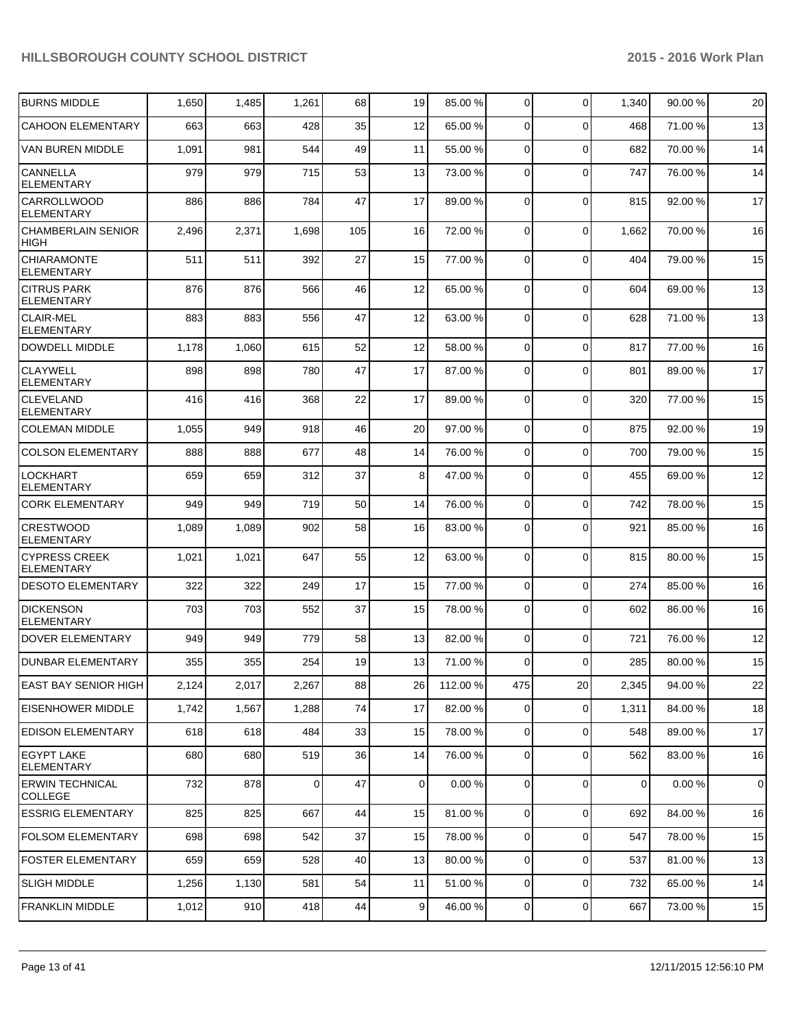| <b>BURNS MIDDLE</b>                       | 1,650 | 1,485 | 1,261    | 68  | 19             | 85.00 %  | $\overline{0}$ | $\mathbf 0$ | 1,340 | 90.00 % | 20          |
|-------------------------------------------|-------|-------|----------|-----|----------------|----------|----------------|-------------|-------|---------|-------------|
| <b>CAHOON ELEMENTARY</b>                  | 663   | 663   | 428      | 35  | 12             | 65.00 %  | $\Omega$       | $\Omega$    | 468   | 71.00%  | 13          |
| VAN BUREN MIDDLE                          | 1,091 | 981   | 544      | 49  | 11             | 55.00 %  | $\Omega$       | $\Omega$    | 682   | 70.00%  | 14          |
| <b>CANNELLA</b><br><b>ELEMENTARY</b>      | 979   | 979   | 715      | 53  | 13             | 73.00 %  | $\Omega$       | $\Omega$    | 747   | 76.00%  | 14          |
| <b>CARROLLWOOD</b><br><b>ELEMENTARY</b>   | 886   | 886   | 784      | 47  | 17             | 89.00 %  | $\Omega$       | $\mathbf 0$ | 815   | 92.00%  | 17          |
| ICHAMBERLAIN SENIOR<br><b>HIGH</b>        | 2,496 | 2,371 | 1,698    | 105 | 16             | 72.00 %  | $\Omega$       | $\mathbf 0$ | 1,662 | 70.00%  | 16          |
| <b>CHIARAMONTE</b><br><b>ELEMENTARY</b>   | 511   | 511   | 392      | 27  | 15             | 77.00 %  | 0              | $\mathbf 0$ | 404   | 79.00 % | 15          |
| <b>CITRUS PARK</b><br><b>ELEMENTARY</b>   | 876   | 876   | 566      | 46  | 12             | 65.00 %  | $\Omega$       | $\mathbf 0$ | 604   | 69.00 % | 13          |
| <b>CLAIR-MEL</b><br><b>ELEMENTARY</b>     | 883   | 883   | 556      | 47  | 12             | 63.00 %  | $\Omega$       | $\mathbf 0$ | 628   | 71.00 % | 13          |
| <b>DOWDELL MIDDLE</b>                     | 1,178 | 1,060 | 615      | 52  | 12             | 58.00 %  | $\Omega$       | $\Omega$    | 817   | 77.00 % | 16          |
| <b>CLAYWELL</b><br><b>ELEMENTARY</b>      | 898   | 898   | 780      | 47  | 17             | 87.00 %  | $\Omega$       | $\Omega$    | 801   | 89.00 % | 17          |
| <b>CLEVELAND</b><br><b>ELEMENTARY</b>     | 416   | 416   | 368      | 22  | 17             | 89.00 %  | 0              | $\Omega$    | 320   | 77.00 % | 15          |
| <b>COLEMAN MIDDLE</b>                     | 1,055 | 949   | 918      | 46  | 20             | 97.00 %  | $\overline{0}$ | $\mathbf 0$ | 875   | 92.00 % | 19          |
| <b>COLSON ELEMENTARY</b>                  | 888   | 888   | 677      | 48  | 14             | 76.00 %  | $\overline{0}$ | $\Omega$    | 700   | 79.00 % | 15          |
| <b>LOCKHART</b><br><b>ELEMENTARY</b>      | 659   | 659   | 312      | 37  | 8 <sup>1</sup> | 47.00 %  | $\Omega$       | $\Omega$    | 455   | 69.00 % | 12          |
| <b>CORK ELEMENTARY</b>                    | 949   | 949   | 719      | 50  | 14             | 76.00 %  | $\overline{0}$ | $\mathbf 0$ | 742   | 78.00 % | 15          |
| <b>CRESTWOOD</b><br><b>ELEMENTARY</b>     | 1,089 | 1,089 | 902      | 58  | 16             | 83.00 %  | $\overline{0}$ | $\Omega$    | 921   | 85.00 % | 16          |
| ICYPRESS CREEK<br><b>ELEMENTARY</b>       | 1,021 | 1,021 | 647      | 55  | 12             | 63.00 %  | $\overline{0}$ | $\Omega$    | 815   | 80.00%  | 15          |
| <b>DESOTO ELEMENTARY</b>                  | 322   | 322   | 249      | 17  | 15             | 77.00 %  | $\overline{0}$ | $\mathbf 0$ | 274   | 85.00 % | 16          |
| <b>DICKENSON</b><br><b>ELEMENTARY</b>     | 703   | 703   | 552      | 37  | 15             | 78.00 %  | 0              | $\Omega$    | 602   | 86.00 % | 16          |
| DOVER ELEMENTARY                          | 949   | 949   | 779      | 58  | 13             | 82.00 %  | $\overline{0}$ | $\mathbf 0$ | 721   | 76.00 % | 12          |
| <b>DUNBAR ELEMENTARY</b>                  | 355   | 355   | 254      | 19  | 13             | 71.00 %  | $\Omega$       | $\Omega$    | 285   | 80.00 % | 15          |
| <b>EAST BAY SENIOR HIGH</b>               | 2,124 | 2,017 | 2,267    | 88  | 26             | 112.00 % | 475            | 20          | 2,345 | 94.00 % | 22          |
| <b>EISENHOWER MIDDLE</b>                  | 1,742 | 1,567 | 1,288    | 74  | 17             | 82.00 %  | $\overline{0}$ | $\mathbf 0$ | 1,311 | 84.00%  | 18          |
| <b>EDISON ELEMENTARY</b>                  | 618   | 618   | 484      | 33  | 15             | 78.00 %  | $\overline{0}$ | $\mathbf 0$ | 548   | 89.00 % | 17          |
| <b>EGYPT LAKE</b><br><b>ELEMENTARY</b>    | 680   | 680   | 519      | 36  | 14             | 76.00 %  | $\overline{0}$ | $\mathbf 0$ | 562   | 83.00 % | 16          |
| <b>IERWIN TECHNICAL</b><br><b>COLLEGE</b> | 732   | 878   | $\Omega$ | 47  | $\overline{0}$ | 0.00%    | $\overline{0}$ | $\mathbf 0$ | 0     | 0.00%   | $\mathbf 0$ |
| <b>ESSRIG ELEMENTARY</b>                  | 825   | 825   | 667      | 44  | 15             | 81.00 %  | $\overline{0}$ | $\mathbf 0$ | 692   | 84.00%  | 16          |
| <b>FOLSOM ELEMENTARY</b>                  | 698   | 698   | 542      | 37  | 15             | 78.00 %  | $\overline{0}$ | $\mathbf 0$ | 547   | 78.00 % | 15          |
| <b>FOSTER ELEMENTARY</b>                  | 659   | 659   | 528      | 40  | 13             | 80.00 %  | $\overline{0}$ | $\mathbf 0$ | 537   | 81.00%  | 13          |
| <b>SLIGH MIDDLE</b>                       | 1,256 | 1,130 | 581      | 54  | 11             | 51.00 %  | $\overline{0}$ | $\mathbf 0$ | 732   | 65.00 % | 14          |
| <b>FRANKLIN MIDDLE</b>                    | 1,012 | 910   | 418      | 44  | $\overline{9}$ | 46.00 %  | $\overline{0}$ | $\mathbf 0$ | 667   | 73.00 % | 15          |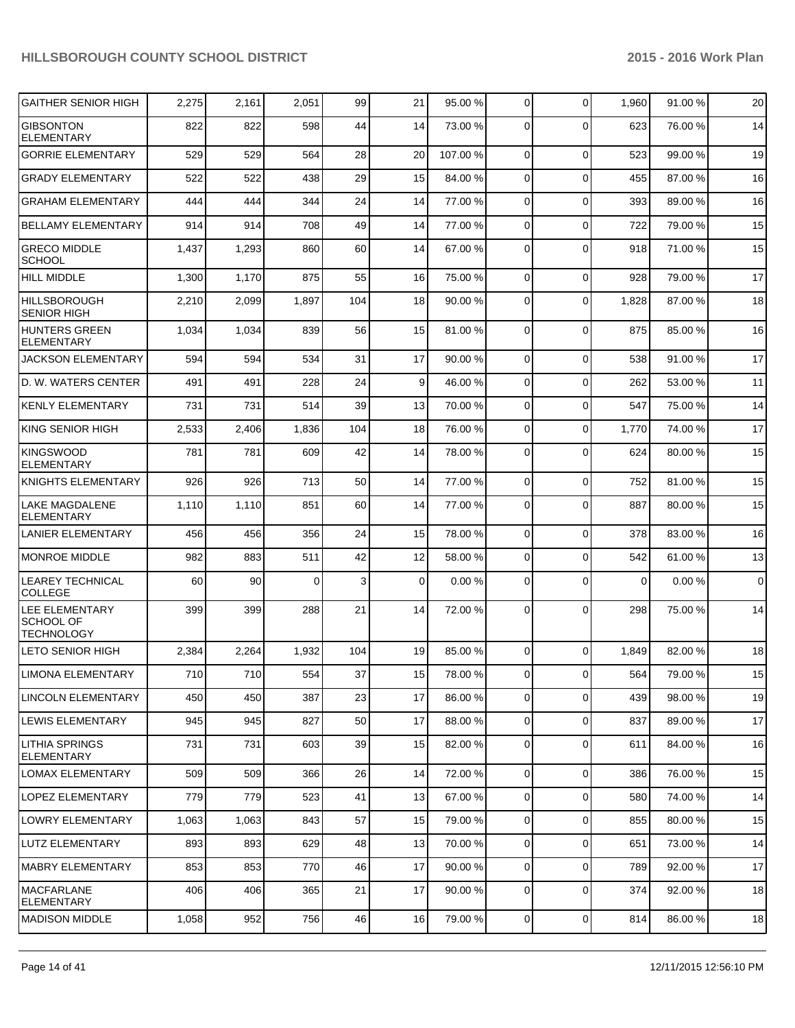| <b>GAITHER SENIOR HIGH</b>                                     | 2,275 | 2,161 | 2,051    | 99  | 21             | 95.00 % | $\overline{0}$ | $\Omega$       | 1,960    | 91.00 % | 20 |
|----------------------------------------------------------------|-------|-------|----------|-----|----------------|---------|----------------|----------------|----------|---------|----|
| <b>GIBSONTON</b><br><b>ELEMENTARY</b>                          | 822   | 822   | 598      | 44  | 14             | 73.00 % | $\Omega$       | $\Omega$       | 623      | 76.00 % | 14 |
| <b>GORRIE ELEMENTARY</b>                                       | 529   | 529   | 564      | 28  | 20             | 107.00% | $\Omega$       | $\Omega$       | 523      | 99.00 % | 19 |
| <b>GRADY ELEMENTARY</b>                                        | 522   | 522   | 438      | 29  | 15             | 84.00 % | $\overline{0}$ | $\Omega$       | 455      | 87.00 % | 16 |
| <b>GRAHAM ELEMENTARY</b>                                       | 444   | 444   | 344      | 24  | 14             | 77.00 % | $\overline{0}$ | $\Omega$       | 393      | 89.00 % | 16 |
| <b>BELLAMY ELEMENTARY</b>                                      | 914   | 914   | 708      | 49  | 14             | 77.00 % | $\overline{0}$ | $\Omega$       | 722      | 79.00 % | 15 |
| <b>GRECO MIDDLE</b><br><b>SCHOOL</b>                           | 1,437 | 1,293 | 860      | 60  | 14             | 67.00 % | $\Omega$       | $\Omega$       | 918      | 71.00%  | 15 |
| <b>HILL MIDDLE</b>                                             | 1,300 | 1,170 | 875      | 55  | 16             | 75.00 % | $\overline{0}$ | $\Omega$       | 928      | 79.00 % | 17 |
| <b>HILLSBOROUGH</b><br><b>SENIOR HIGH</b>                      | 2,210 | 2,099 | 1,897    | 104 | 18             | 90.00 % | $\overline{0}$ | $\Omega$       | 1,828    | 87.00 % | 18 |
| <b>HUNTERS GREEN</b><br><b>ELEMENTARY</b>                      | 1,034 | 1,034 | 839      | 56  | 15             | 81.00 % | $\overline{0}$ | $\Omega$       | 875      | 85.00 % | 16 |
| <b>JACKSON ELEMENTARY</b>                                      | 594   | 594   | 534      | 31  | 17             | 90.00%  | $\overline{0}$ | $\Omega$       | 538      | 91.00 % | 17 |
| D. W. WATERS CENTER                                            | 491   | 491   | 228      | 24  | 9              | 46.00 % | $\overline{0}$ | $\Omega$       | 262      | 53.00 % | 11 |
| <b>KENLY ELEMENTARY</b>                                        | 731   | 731   | 514      | 39  | 13             | 70.00 % | $\overline{0}$ | $\Omega$       | 547      | 75.00 % | 14 |
| <b>KING SENIOR HIGH</b>                                        | 2,533 | 2,406 | 1,836    | 104 | 18             | 76.00 % | $\overline{0}$ | $\Omega$       | 1,770    | 74.00 % | 17 |
| <b>KINGSWOOD</b><br><b>ELEMENTARY</b>                          | 781   | 781   | 609      | 42  | 14             | 78.00 % | $\Omega$       | $\Omega$       | 624      | 80.00 % | 15 |
| <b>KNIGHTS ELEMENTARY</b>                                      | 926   | 926   | 713      | 50  | 14             | 77.00 % | $\overline{0}$ | $\Omega$       | 752      | 81.00%  | 15 |
| <b>LAKE MAGDALENE</b><br><b>ELEMENTARY</b>                     | 1,110 | 1,110 | 851      | 60  | 14             | 77.00 % | $\Omega$       | $\Omega$       | 887      | 80.00 % | 15 |
| <b>LANIER ELEMENTARY</b>                                       | 456   | 456   | 356      | 24  | 15             | 78.00 % | $\overline{0}$ | $\Omega$       | 378      | 83.00 % | 16 |
| <b>MONROE MIDDLE</b>                                           | 982   | 883   | 511      | 42  | 12             | 58.00 % | $\overline{0}$ | $\Omega$       | 542      | 61.00%  | 13 |
| <b>LEAREY TECHNICAL</b><br><b>COLLEGE</b>                      | 60    | 90    | $\Omega$ | 3   | $\overline{0}$ | 0.00 %  | $\overline{0}$ | $\Omega$       | $\Omega$ | 0.00%   | 0  |
| <b>LEE ELEMENTARY</b><br><b>SCHOOL OF</b><br><b>TECHNOLOGY</b> | 399   | 399   | 288      | 21  | 14             | 72.00 % | $\Omega$       | $\Omega$       | 298      | 75.00 % | 14 |
| <b>LETO SENIOR HIGH</b>                                        | 2,384 | 2,264 | 1,932    | 104 | 19             | 85.00 % | $\overline{0}$ | $\Omega$       | 1,849    | 82.00 % | 18 |
| <b>LIMONA ELEMENTARY</b>                                       | 710   | 710   | 554      | 37  | 15             | 78.00 % | 0              | υ              | 564      | 79.00 % | 15 |
| LINCOLN ELEMENTARY                                             | 450   | 450   | 387      | 23  | 17             | 86.00 % | $\overline{0}$ | $\overline{0}$ | 439      | 98.00 % | 19 |
| <b>LEWIS ELEMENTARY</b>                                        | 945   | 945   | 827      | 50  | 17             | 88.00 % | $\overline{0}$ | $\overline{0}$ | 837      | 89.00 % | 17 |
| <b>LITHIA SPRINGS</b><br><b>ELEMENTARY</b>                     | 731   | 731   | 603      | 39  | 15             | 82.00 % | $\overline{0}$ | $\overline{0}$ | 611      | 84.00 % | 16 |
| <b>LOMAX ELEMENTARY</b>                                        | 509   | 509   | 366      | 26  | 14             | 72.00 % | $\overline{0}$ | $\Omega$       | 386      | 76.00 % | 15 |
| <b>LOPEZ ELEMENTARY</b>                                        | 779   | 779   | 523      | 41  | 13             | 67.00 % | $\overline{0}$ | $\mathbf 0$    | 580      | 74.00 % | 14 |
| <b>LOWRY ELEMENTARY</b>                                        | 1,063 | 1,063 | 843      | 57  | 15             | 79.00 % | $\overline{0}$ | $\Omega$       | 855      | 80.00 % | 15 |
| LUTZ ELEMENTARY                                                | 893   | 893   | 629      | 48  | 13             | 70.00 % | $\overline{0}$ | 0              | 651      | 73.00 % | 14 |
| <b>MABRY ELEMENTARY</b>                                        | 853   | 853   | 770      | 46  | 17             | 90.00 % | $\overline{0}$ | $\mathbf 0$    | 789      | 92.00 % | 17 |
| <b>MACFARLANE</b><br><b>ELEMENTARY</b>                         | 406   | 406   | 365      | 21  | 17             | 90.00 % | $\mathbf 0$    | 0              | 374      | 92.00 % | 18 |
| <b>MADISON MIDDLE</b>                                          | 1,058 | 952   | 756      | 46  | 16             | 79.00 % | $\overline{0}$ | $\overline{0}$ | 814      | 86.00%  | 18 |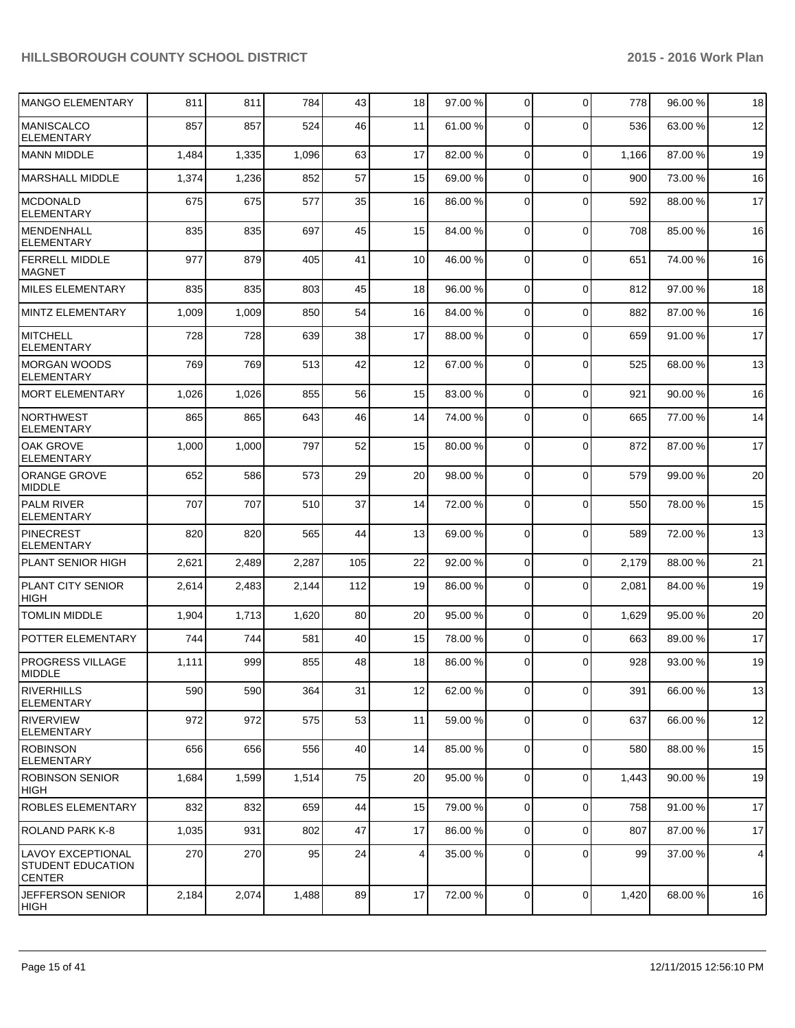| <b>MANGO ELEMENTARY</b>                                        | 811   | 811   | 784   | 43  | 18              | 97.00 % | $\overline{0}$ | $\Omega$    | 778   | 96.00 % | 18 |
|----------------------------------------------------------------|-------|-------|-------|-----|-----------------|---------|----------------|-------------|-------|---------|----|
| <b>MANISCALCO</b><br><b>ELEMENTARY</b>                         | 857   | 857   | 524   | 46  | 11              | 61.00 % | $\Omega$       | $\Omega$    | 536   | 63.00 % | 12 |
| <b>MANN MIDDLE</b>                                             | 1,484 | 1,335 | 1,096 | 63  | 17              | 82.00 % | $\overline{0}$ | $\mathbf 0$ | 1,166 | 87.00 % | 19 |
| <b>MARSHALL MIDDLE</b>                                         | 1,374 | 1,236 | 852   | 57  | 15              | 69.00 % | 0              | $\mathbf 0$ | 900   | 73.00 % | 16 |
| <b>MCDONALD</b><br><b>ELEMENTARY</b>                           | 675   | 675   | 577   | 35  | 16              | 86.00 % | 0              | $\Omega$    | 592   | 88.00 % | 17 |
| MENDENHALL<br><b>ELEMENTARY</b>                                | 835   | 835   | 697   | 45  | 15              | 84.00 % | 0              | $\Omega$    | 708   | 85.00 % | 16 |
| <b>FERRELL MIDDLE</b><br><b>MAGNET</b>                         | 977   | 879   | 405   | 41  | 10              | 46.00 % | 0              | $\Omega$    | 651   | 74.00%  | 16 |
| <b>MILES ELEMENTARY</b>                                        | 835   | 835   | 803   | 45  | 18              | 96.00 % | $\overline{0}$ | $\Omega$    | 812   | 97.00 % | 18 |
| MINTZ ELEMENTARY                                               | 1,009 | 1,009 | 850   | 54  | 16              | 84.00 % | $\Omega$       | $\Omega$    | 882   | 87.00%  | 16 |
| <b>MITCHELL</b><br><b>ELEMENTARY</b>                           | 728   | 728   | 639   | 38  | 17              | 88.00 % | $\Omega$       | $\Omega$    | 659   | 91.00%  | 17 |
| <b>MORGAN WOODS</b><br><b>ELEMENTARY</b>                       | 769   | 769   | 513   | 42  | 12              | 67.00 % | 0              | $\Omega$    | 525   | 68.00 % | 13 |
| <b>MORT ELEMENTARY</b>                                         | 1,026 | 1,026 | 855   | 56  | 15              | 83.00 % | 0              | $\Omega$    | 921   | 90.00 % | 16 |
| <b>NORTHWEST</b><br><b>ELEMENTARY</b>                          | 865   | 865   | 643   | 46  | 14              | 74.00 % | $\Omega$       | $\Omega$    | 665   | 77.00 % | 14 |
| <b>OAK GROVE</b><br><b>ELEMENTARY</b>                          | 1,000 | 1,000 | 797   | 52  | 15              | 80.00 % | 0              | $\Omega$    | 872   | 87.00 % | 17 |
| <b>ORANGE GROVE</b><br><b>MIDDLE</b>                           | 652   | 586   | 573   | 29  | 20              | 98.00 % | $\Omega$       | $\Omega$    | 579   | 99.00 % | 20 |
| <b>PALM RIVER</b><br><b>ELEMENTARY</b>                         | 707   | 707   | 510   | 37  | 14              | 72.00 % | $\overline{0}$ | $\Omega$    | 550   | 78.00 % | 15 |
| PINECREST<br><b>ELEMENTARY</b>                                 | 820   | 820   | 565   | 44  | 13              | 69.00 % | 0              | $\Omega$    | 589   | 72.00 % | 13 |
| <b>PLANT SENIOR HIGH</b>                                       | 2,621 | 2,489 | 2,287 | 105 | 22              | 92.00 % | 0              | $\Omega$    | 2,179 | 88.00 % | 21 |
| <b>PLANT CITY SENIOR</b><br><b>HIGH</b>                        | 2,614 | 2,483 | 2,144 | 112 | 19              | 86.00 % | 0              | $\Omega$    | 2,081 | 84.00 % | 19 |
| <b>TOMLIN MIDDLE</b>                                           | 1,904 | 1,713 | 1,620 | 80  | 20              | 95.00 % | $\overline{0}$ | $\mathbf 0$ | 1,629 | 95.00 % | 20 |
| POTTER ELEMENTARY                                              | 744   | 744   | 581   | 40  | 15              | 78.00 % | $\overline{0}$ | $\Omega$    | 663   | 89.00 % | 17 |
| <b>PROGRESS VILLAGE</b><br>MIDDLE                              | 1,111 | 999   | 855   | 48  | 18              | 86.00 % | 0              | $\Omega$    | 928   | 93.00 % | 19 |
| <b>RIVERHILLS</b><br><b>ELEMENTARY</b>                         | 590   | 590   | 364   | 31  | 12              | 62.00 % | $\overline{0}$ | $\mathbf 0$ | 391   | 66.00 % | 13 |
| RIVERVIEW<br>ELEMENTARY                                        | 972   | 972   | 575   | 53  | 11              | 59.00 % | $\overline{0}$ | $\mathbf 0$ | 637   | 66.00 % | 12 |
| <b>ROBINSON</b><br><b>ELEMENTARY</b>                           | 656   | 656   | 556   | 40  | 14              | 85.00 % | 0              | $\mathbf 0$ | 580   | 88.00 % | 15 |
| <b>ROBINSON SENIOR</b><br><b>HIGH</b>                          | 1,684 | 1,599 | 1,514 | 75  | 20              | 95.00 % | 0              | $\mathbf 0$ | 1,443 | 90.00 % | 19 |
| ROBLES ELEMENTARY                                              | 832   | 832   | 659   | 44  | 15              | 79.00 % | $\overline{0}$ | $\mathbf 0$ | 758   | 91.00 % | 17 |
| ROLAND PARK K-8                                                | 1,035 | 931   | 802   | 47  | 17              | 86.00 % | $\overline{0}$ | $\mathbf 0$ | 807   | 87.00 % | 17 |
| LAVOY EXCEPTIONAL<br><b>STUDENT EDUCATION</b><br><b>CENTER</b> | 270   | 270   | 95    | 24  | $\vert 4 \vert$ | 35.00 % | 0              | $\mathbf 0$ | 99    | 37.00 % | 4  |
| <b>JEFFERSON SENIOR</b><br>HIGH                                | 2,184 | 2,074 | 1,488 | 89  | 17              | 72.00 % | $\overline{0}$ | $\mathbf 0$ | 1,420 | 68.00 % | 16 |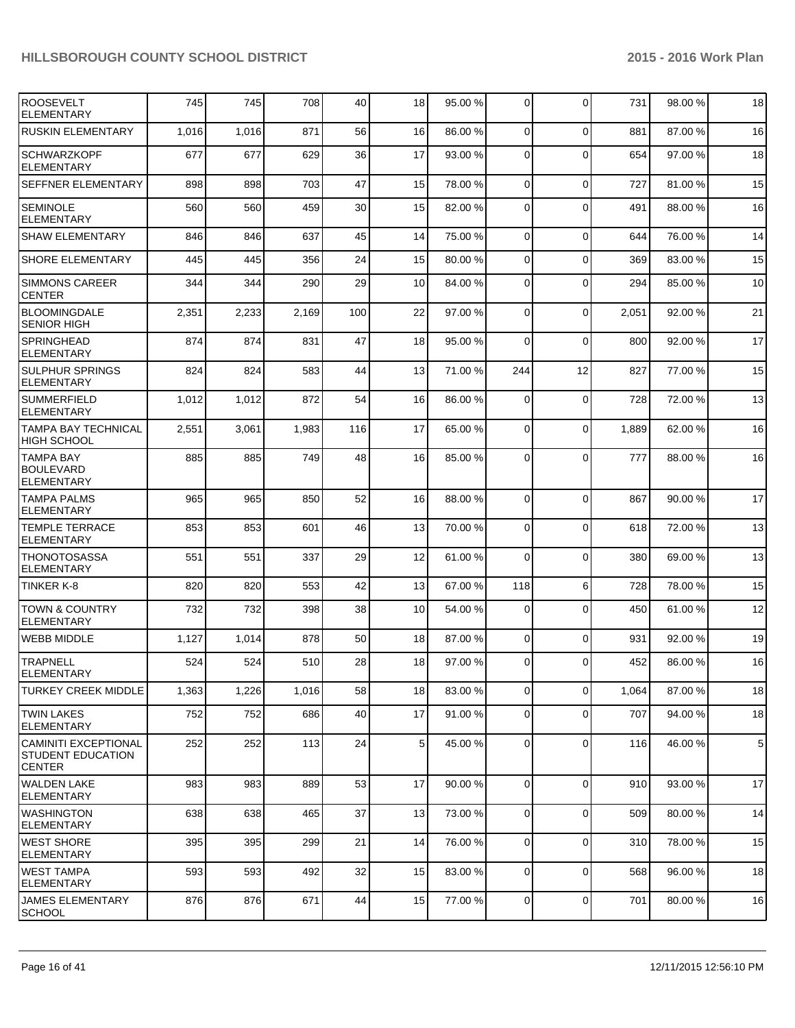| <b>ROOSEVELT</b><br><b>ELEMENTARY</b>                             | 745   | 745   | 708   | 40  | 18             | 95.00 % | 0              | $\Omega$       | 731   | 98.00 % | 18          |
|-------------------------------------------------------------------|-------|-------|-------|-----|----------------|---------|----------------|----------------|-------|---------|-------------|
| <b>RUSKIN ELEMENTARY</b>                                          | 1,016 | 1,016 | 871   | 56  | 16             | 86.00 % | $\overline{0}$ | $\Omega$       | 881   | 87.00%  | 16          |
| <b>SCHWARZKOPF</b><br><b>ELEMENTARY</b>                           | 677   | 677   | 629   | 36  | 17             | 93.00 % | $\Omega$       | $\Omega$       | 654   | 97.00 % | 18          |
| SEFFNER ELEMENTARY                                                | 898   | 898   | 703   | 47  | 15             | 78.00 % | $\overline{0}$ | $\mathbf 0$    | 727   | 81.00%  | 15          |
| <b>SEMINOLE</b><br><b>ELEMENTARY</b>                              | 560   | 560   | 459   | 30  | 15             | 82.00 % | 0              | $\Omega$       | 491   | 88.00 % | 16          |
| <b>SHAW ELEMENTARY</b>                                            | 846   | 846   | 637   | 45  | 14             | 75.00 % | 0              | $\Omega$       | 644   | 76.00 % | 14          |
| <b>SHORE ELEMENTARY</b>                                           | 445   | 445   | 356   | 24  | 15             | 80.00 % | 0              | $\Omega$       | 369   | 83.00 % | 15          |
| <b>SIMMONS CAREER</b><br><b>CENTER</b>                            | 344   | 344   | 290   | 29  | 10             | 84.00 % | 0              | $\Omega$       | 294   | 85.00 % | 10          |
| <b>BLOOMINGDALE</b><br><b>SENIOR HIGH</b>                         | 2,351 | 2,233 | 2,169 | 100 | 22             | 97.00 % | 0              | $\Omega$       | 2,051 | 92.00 % | 21          |
| <b>SPRINGHEAD</b><br><b>ELEMENTARY</b>                            | 874   | 874   | 831   | 47  | 18             | 95.00 % | $\Omega$       | $\Omega$       | 800   | 92.00%  | 17          |
| <b>SULPHUR SPRINGS</b><br><b>ELEMENTARY</b>                       | 824   | 824   | 583   | 44  | 13             | 71.00 % | 244            | 12             | 827   | 77.00 % | 15          |
| <b>SUMMERFIELD</b><br><b>ELEMENTARY</b>                           | 1,012 | 1,012 | 872   | 54  | 16             | 86.00 % | 0              | $\mathbf 0$    | 728   | 72.00 % | 13          |
| <b>TAMPA BAY TECHNICAL</b><br>HIGH SCHOOL                         | 2,551 | 3,061 | 1,983 | 116 | 17             | 65.00 % | 0              | $\Omega$       | 1,889 | 62.00 % | 16          |
| <b>TAMPA BAY</b><br><b>BOULEVARD</b><br><b>ELEMENTARY</b>         | 885   | 885   | 749   | 48  | 16             | 85.00 % | 0              | $\Omega$       | 777   | 88.00 % | 16          |
| <b>TAMPA PALMS</b><br><b>ELEMENTARY</b>                           | 965   | 965   | 850   | 52  | 16             | 88.00 % | 0              | $\Omega$       | 867   | 90.00 % | 17          |
| <b>TEMPLE TERRACE</b><br><b>ELEMENTARY</b>                        | 853   | 853   | 601   | 46  | 13             | 70.00 % | 0              | $\mathbf 0$    | 618   | 72.00 % | 13          |
| <b>THONOTOSASSA</b><br><b>ELEMENTARY</b>                          | 551   | 551   | 337   | 29  | 12             | 61.00 % | 0              | $\Omega$       | 380   | 69.00 % | 13          |
| <b>TINKER K-8</b>                                                 | 820   | 820   | 553   | 42  | 13             | 67.00 % | 118            | 6              | 728   | 78.00 % | 15          |
| <b>TOWN &amp; COUNTRY</b><br><b>ELEMENTARY</b>                    | 732   | 732   | 398   | 38  | 10             | 54.00 % | 0              | $\Omega$       | 450   | 61.00%  | 12          |
| <b>WEBB MIDDLE</b>                                                | 1,127 | 1,014 | 878   | 50  | 18             | 87.00 % | 0              | $\Omega$       | 931   | 92.00 % | 19          |
| <b>TRAPNELL</b><br><b>ELEMENTARY</b>                              | 524   | 524   | 510   | 28  | 18             | 97.00 % | $\Omega$       | $\Omega$       | 452   | 86.00 % | 16          |
| <b>TURKEY CREEK MIDDLE</b>                                        | 1,363 | 1,226 | 1,016 | 58  | 18             | 83.00 % | $\overline{0}$ | $\overline{0}$ | 1,064 | 87.00%  | 18          |
| <b>TWIN LAKES</b><br><b>ELEMENTARY</b>                            | 752   | 752   | 686   | 40  | 17             | 91.00 % | $\overline{0}$ | $\mathbf 0$    | 707   | 94.00%  | 18          |
| <b>CAMINITI EXCEPTIONAL</b><br>STUDENT EDUCATION<br><b>CENTER</b> | 252   | 252   | 113   | 24  | 5 <sup>1</sup> | 45.00 % | $\overline{0}$ | $\Omega$       | 116   | 46.00 % | $\,$ 5 $\,$ |
| <b>WALDEN LAKE</b><br><b>ELEMENTARY</b>                           | 983   | 983   | 889   | 53  | 17             | 90.00 % | $\overline{0}$ | $\Omega$       | 910   | 93.00 % | 17          |
| <b>WASHINGTON</b><br><b>ELEMENTARY</b>                            | 638   | 638   | 465   | 37  | 13             | 73.00 % | $\overline{0}$ | $\Omega$       | 509   | 80.00%  | 14          |
| <b>WEST SHORE</b><br><b>ELEMENTARY</b>                            | 395   | 395   | 299   | 21  | 14             | 76.00 % | 0              | $\mathbf 0$    | 310   | 78.00 % | 15          |
| <b>WEST TAMPA</b><br><b>ELEMENTARY</b>                            | 593   | 593   | 492   | 32  | 15             | 83.00 % | 0              | $\Omega$       | 568   | 96.00 % | 18          |
| JAMES ELEMENTARY<br>SCHOOL                                        | 876   | 876   | 671   | 44  | 15             | 77.00 % | $\overline{0}$ | $\overline{0}$ | 701   | 80.00%  | 16          |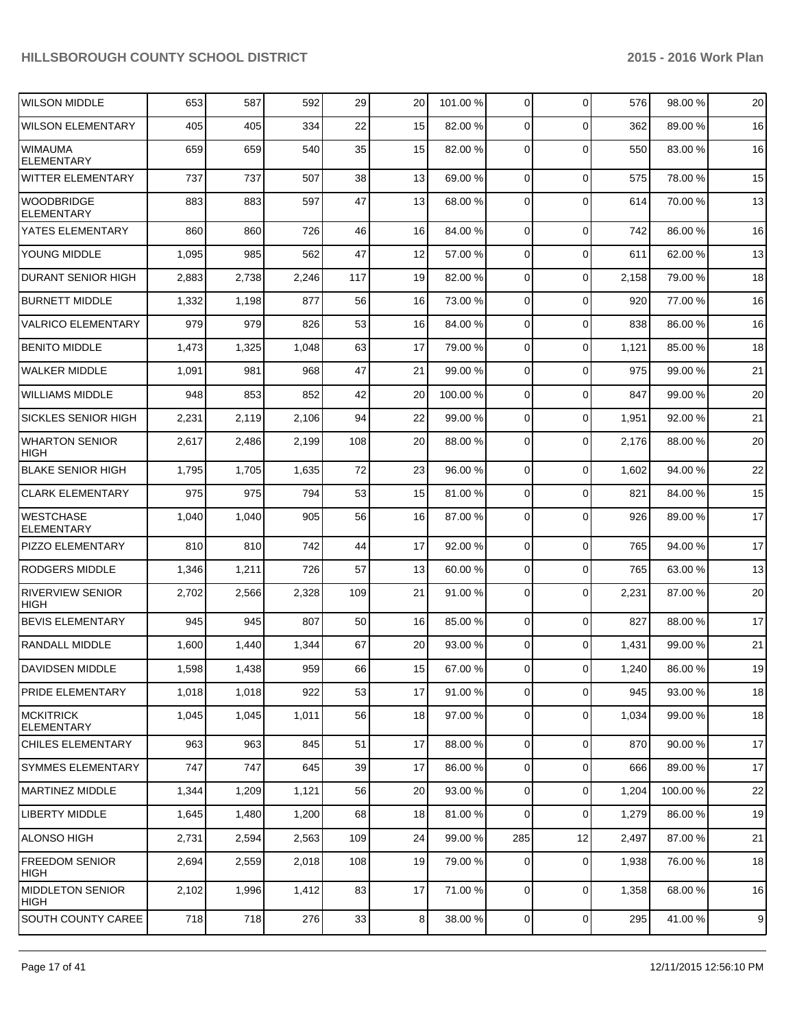| <b>WILSON MIDDLE</b>                   | 653   | 587   | 592   | 29  | 20             | 101.00 % | 0              | $\Omega$       | 576   | 98.00 %  | 20 |
|----------------------------------------|-------|-------|-------|-----|----------------|----------|----------------|----------------|-------|----------|----|
| <b>WILSON ELEMENTARY</b>               | 405   | 405   | 334   | 22  | 15             | 82.00 %  | 0              | $\Omega$       | 362   | 89.00 %  | 16 |
| <b>WIMAUMA</b><br><b>ELEMENTARY</b>    | 659   | 659   | 540   | 35  | 15             | 82.00 %  | 0              | $\Omega$       | 550   | 83.00 %  | 16 |
| WITTER ELEMENTARY                      | 737   | 737   | 507   | 38  | 13             | 69.00 %  | 0              | $\mathbf 0$    | 575   | 78.00 %  | 15 |
| <b>WOODBRIDGE</b><br><b>ELEMENTARY</b> | 883   | 883   | 597   | 47  | 13             | 68.00 %  | 0              | $\Omega$       | 614   | 70.00 %  | 13 |
| YATES ELEMENTARY                       | 860   | 860   | 726   | 46  | 16             | 84.00 %  | $\mathbf 0$    | $\mathbf 0$    | 742   | 86.00 %  | 16 |
| YOUNG MIDDLE                           | 1,095 | 985   | 562   | 47  | 12             | 57.00 %  | 0              | $\mathbf 0$    | 611   | 62.00 %  | 13 |
| <b>DURANT SENIOR HIGH</b>              | 2,883 | 2,738 | 2,246 | 117 | 19             | 82.00 %  | 0              | $\mathbf 0$    | 2,158 | 79.00 %  | 18 |
| <b>BURNETT MIDDLE</b>                  | 1,332 | 1,198 | 877   | 56  | 16             | 73.00 %  | 0              | $\mathbf 0$    | 920   | 77.00 %  | 16 |
| <b>VALRICO ELEMENTARY</b>              | 979   | 979   | 826   | 53  | 16             | 84.00 %  | 0              | $\mathbf 0$    | 838   | 86.00 %  | 16 |
| <b>BENITO MIDDLE</b>                   | 1,473 | 1,325 | 1,048 | 63  | 17             | 79.00 %  | 0              | $\mathbf 0$    | 1,121 | 85.00 %  | 18 |
| <b>WALKER MIDDLE</b>                   | 1,091 | 981   | 968   | 47  | 21             | 99.00 %  | 0              | $\mathbf 0$    | 975   | 99.00 %  | 21 |
| <b>WILLIAMS MIDDLE</b>                 | 948   | 853   | 852   | 42  | 20             | 100.00 % | 0              | 0              | 847   | 99.00 %  | 20 |
| SICKLES SENIOR HIGH                    | 2,231 | 2,119 | 2,106 | 94  | 22             | 99.00 %  | 0              | $\mathbf 0$    | 1,951 | 92.00 %  | 21 |
| <b>WHARTON SENIOR</b><br><b>HIGH</b>   | 2,617 | 2,486 | 2,199 | 108 | 20             | 88.00 %  | 0              | 0              | 2,176 | 88.00 %  | 20 |
| <b>BLAKE SENIOR HIGH</b>               | 1,795 | 1,705 | 1,635 | 72  | 23             | 96.00 %  | 0              | $\mathbf 0$    | 1,602 | 94.00 %  | 22 |
| <b>CLARK ELEMENTARY</b>                | 975   | 975   | 794   | 53  | 15             | 81.00 %  | 0              | $\mathbf 0$    | 821   | 84.00 %  | 15 |
| <b>WESTCHASE</b><br><b>ELEMENTARY</b>  | 1,040 | 1,040 | 905   | 56  | 16             | 87.00 %  | 0              | $\mathbf 0$    | 926   | 89.00 %  | 17 |
| PIZZO ELEMENTARY                       | 810   | 810   | 742   | 44  | 17             | 92.00 %  | 0              | $\mathbf 0$    | 765   | 94.00 %  | 17 |
| <b>RODGERS MIDDLE</b>                  | 1,346 | 1,211 | 726   | 57  | 13             | 60.00 %  | 0              | $\mathbf 0$    | 765   | 63.00 %  | 13 |
| <b>RIVERVIEW SENIOR</b><br><b>HIGH</b> | 2,702 | 2,566 | 2,328 | 109 | 21             | 91.00 %  | 0              | $\Omega$       | 2,231 | 87.00 %  | 20 |
| <b>BEVIS ELEMENTARY</b>                | 945   | 945   | 807   | 50  | 16             | 85.00 %  | 0              | $\mathbf 0$    | 827   | 88.00 %  | 17 |
| RANDALL MIDDLE                         | 1,600 | 1,440 | 1,344 | 67  | 20             | 93.00 %  | 0              | $\mathbf 0$    | 1,431 | 99.00 %  | 21 |
| DAVIDSEN MIDDLE                        | 1,598 | 1,438 | 959   | 66  | 15             | 67.00 %  | $\overline{0}$ | $\overline{0}$ | 1,240 | 86.00 %  | 19 |
| <b>PRIDE ELEMENTARY</b>                | 1,018 | 1,018 | 922   | 53  | 17             | 91.00 %  | $\overline{0}$ | $\mathbf 0$    | 945   | 93.00 %  | 18 |
| <b>MCKITRICK</b><br><b>ELEMENTARY</b>  | 1,045 | 1,045 | 1,011 | 56  | 18             | 97.00 %  | $\overline{0}$ | $\mathbf 0$    | 1,034 | 99.00 %  | 18 |
| <b>CHILES ELEMENTARY</b>               | 963   | 963   | 845   | 51  | 17             | 88.00 %  | $\overline{0}$ | $\mathbf 0$    | 870   | 90.00 %  | 17 |
| <b>SYMMES ELEMENTARY</b>               | 747   | 747   | 645   | 39  | 17             | 86.00 %  | 0              | $\mathbf 0$    | 666   | 89.00 %  | 17 |
| <b>MARTINEZ MIDDLE</b>                 | 1,344 | 1,209 | 1,121 | 56  | 20             | 93.00 %  | $\overline{0}$ | $\mathbf 0$    | 1,204 | 100.00 % | 22 |
| <b>LIBERTY MIDDLE</b>                  | 1,645 | 1,480 | 1,200 | 68  | 18             | 81.00 %  | 0              | $\mathbf 0$    | 1,279 | 86.00 %  | 19 |
| ALONSO HIGH                            | 2,731 | 2,594 | 2,563 | 109 | 24             | 99.00 %  | 285            | 12             | 2,497 | 87.00 %  | 21 |
| <b>FREEDOM SENIOR</b><br>HIGH          | 2,694 | 2,559 | 2,018 | 108 | 19             | 79.00 %  | 0              | $\mathbf 0$    | 1,938 | 76.00 %  | 18 |
| <b>MIDDLETON SENIOR</b><br>HIGH        | 2,102 | 1,996 | 1,412 | 83  | 17             | 71.00 %  | 0              | $\mathbf 0$    | 1,358 | 68.00 %  | 16 |
| SOUTH COUNTY CAREE                     | 718   | 718   | 276   | 33  | 8 <sup>1</sup> | 38.00 %  | $\overline{0}$ | 0              | 295   | 41.00%   | 9  |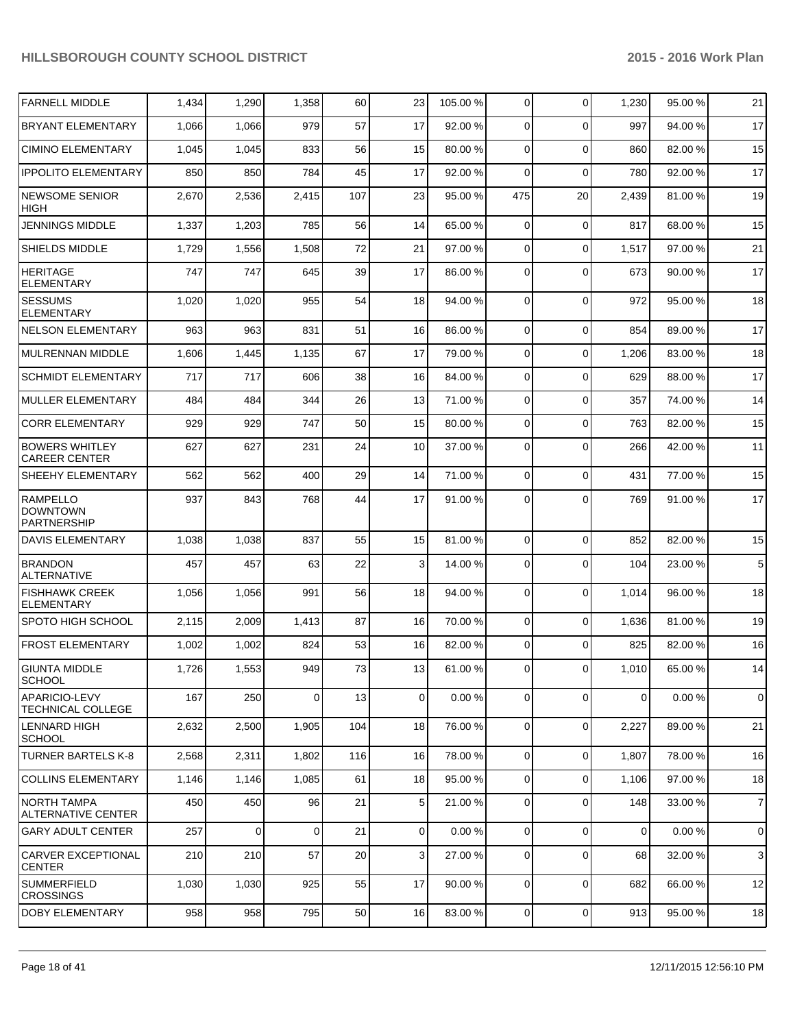| <b>FARNELL MIDDLE</b>                                    | 1,434 | 1,290 | 1,358    | 60  | 23             | 105.00 % | $\overline{0}$ | $\Omega$    | 1,230          | 95.00 % | 21             |
|----------------------------------------------------------|-------|-------|----------|-----|----------------|----------|----------------|-------------|----------------|---------|----------------|
| <b>BRYANT ELEMENTARY</b>                                 | 1,066 | 1,066 | 979      | 57  | 17             | 92.00 %  | $\Omega$       | $\Omega$    | 997            | 94.00%  | 17             |
| <b>CIMINO ELEMENTARY</b>                                 | 1,045 | 1,045 | 833      | 56  | 15             | 80.00 %  | $\overline{0}$ | $\Omega$    | 860            | 82.00 % | 15             |
| <b>IPPOLITO ELEMENTARY</b>                               | 850   | 850   | 784      | 45  | 17             | 92.00 %  | $\Omega$       | $\Omega$    | 780            | 92.00%  | 17             |
| <b>NEWSOME SENIOR</b><br><b>HIGH</b>                     | 2,670 | 2,536 | 2,415    | 107 | 23             | 95.00 %  | 475            | 20          | 2,439          | 81.00%  | 19             |
| <b>JENNINGS MIDDLE</b>                                   | 1,337 | 1,203 | 785      | 56  | 14             | 65.00 %  | 0              | $\mathbf 0$ | 817            | 68.00%  | 15             |
| SHIELDS MIDDLE                                           | 1,729 | 1,556 | 1,508    | 72  | 21             | 97.00 %  | $\overline{0}$ | $\mathbf 0$ | 1,517          | 97.00 % | 21             |
| <b>HERITAGE</b><br><b>ELEMENTARY</b>                     | 747   | 747   | 645      | 39  | 17             | 86.00 %  | 0              | $\Omega$    | 673            | 90.00 % | 17             |
| <b>SESSUMS</b><br><b>ELEMENTARY</b>                      | 1,020 | 1,020 | 955      | 54  | 18             | 94.00 %  | 0              | $\Omega$    | 972            | 95.00 % | 18             |
| <b>NELSON ELEMENTARY</b>                                 | 963   | 963   | 831      | 51  | 16             | 86.00 %  | 0              | $\Omega$    | 854            | 89.00 % | 17             |
| <b>MULRENNAN MIDDLE</b>                                  | 1,606 | 1,445 | 1,135    | 67  | 17             | 79.00 %  | 0              | $\Omega$    | 1,206          | 83.00 % | 18             |
| <b>SCHMIDT ELEMENTARY</b>                                | 717   | 717   | 606      | 38  | 16             | 84.00 %  | 0              | $\Omega$    | 629            | 88.00 % | 17             |
| <b>MULLER ELEMENTARY</b>                                 | 484   | 484   | 344      | 26  | 13             | 71.00 %  | 0              | $\Omega$    | 357            | 74.00 % | 14             |
| <b>CORR ELEMENTARY</b>                                   | 929   | 929   | 747      | 50  | 15             | 80.00 %  | 0              | $\Omega$    | 763            | 82.00%  | 15             |
| <b>BOWERS WHITLEY</b><br><b>CAREER CENTER</b>            | 627   | 627   | 231      | 24  | 10             | 37.00 %  | 0              | $\Omega$    | 266            | 42.00 % | 11             |
| SHEEHY ELEMENTARY                                        | 562   | 562   | 400      | 29  | 14             | 71.00 %  | $\overline{0}$ | $\Omega$    | 431            | 77.00 % | 15             |
| <b>RAMPELLO</b><br><b>DOWNTOWN</b><br><b>PARTNERSHIP</b> | 937   | 843   | 768      | 44  | 17             | 91.00 %  | $\Omega$       | $\Omega$    | 769            | 91.00 % | 17             |
| DAVIS ELEMENTARY                                         | 1,038 | 1,038 | 837      | 55  | 15             | 81.00 %  | 0              | $\Omega$    | 852            | 82.00 % | 15             |
| <b>BRANDON</b><br><b>ALTERNATIVE</b>                     | 457   | 457   | 63       | 22  | 3              | 14.00 %  | 0              | $\Omega$    | 104            | 23.00 % | $\,$ 5 $\,$    |
| <b>FISHHAWK CREEK</b><br><b>ELEMENTARY</b>               | 1,056 | 1,056 | 991      | 56  | 18             | 94.00 %  | $\Omega$       | $\Omega$    | 1,014          | 96.00 % | 18             |
| <b>SPOTO HIGH SCHOOL</b>                                 | 2,115 | 2,009 | 1,413    | 87  | 16             | 70.00 %  | 0              | $\mathbf 0$ | 1,636          | 81.00%  | 19             |
| <b>FROST ELEMENTARY</b>                                  | 1,002 | 1,002 | 824      | 53  | 16             | 82.00 %  | 0              | $\Omega$    | 825            | 82.00 % | 16             |
| <b>GIUNTA MIDDLE</b><br><b>SCHOOL</b>                    | 1,726 | 1,553 | 949      | 73  | 13             | 61.00 %  | $\overline{0}$ | $\Omega$    | 1,010          | 65.00 % | 14             |
| APARICIO-LEVY<br>TECHNICAL COLLEGE                       | 167   | 250   | $\Omega$ | 13  | $\Omega$       | 0.00 %   | 0              | $\Omega$    | 0              | 0.00%   | $\mathbf 0$    |
| LENNARD HIGH<br><b>SCHOOL</b>                            | 2,632 | 2,500 | 1,905    | 104 | 18             | 76.00 %  | 0              | 0           | 2,227          | 89.00 % | 21             |
| <b>TURNER BARTELS K-8</b>                                | 2,568 | 2,311 | 1,802    | 116 | 16             | 78.00 %  | $\overline{0}$ | $\Omega$    | 1,807          | 78.00%  | 16             |
| <b>COLLINS ELEMENTARY</b>                                | 1,146 | 1,146 | 1,085    | 61  | 18             | 95.00%   | $\overline{0}$ | $\Omega$    | 1,106          | 97.00 % | 18             |
| NORTH TAMPA<br>ALTERNATIVE CENTER                        | 450   | 450   | 96       | 21  | 5              | 21.00 %  | $\overline{0}$ | $\Omega$    | 148            | 33.00 % | $\overline{7}$ |
| <b>GARY ADULT CENTER</b>                                 | 257   | 0     | 0        | 21  | $\overline{0}$ | 0.00 %   | $\overline{0}$ | $\mathbf 0$ | $\overline{0}$ | 0.00%   | 0              |
| <b>CARVER EXCEPTIONAL</b><br><b>CENTER</b>               | 210   | 210   | 57       | 20  | 3 <sup>1</sup> | 27.00 %  | $\Omega$       | $\mathbf 0$ | 68             | 32.00 % | 3              |
| <b>SUMMERFIELD</b><br><b>CROSSINGS</b>                   | 1,030 | 1,030 | 925      | 55  | 17             | 90.00 %  | 0              | 0           | 682            | 66.00 % | 12             |
| DOBY ELEMENTARY                                          | 958   | 958   | 795      | 50  | 16             | 83.00 %  | $\Omega$       | 0           | 913            | 95.00 % | 18             |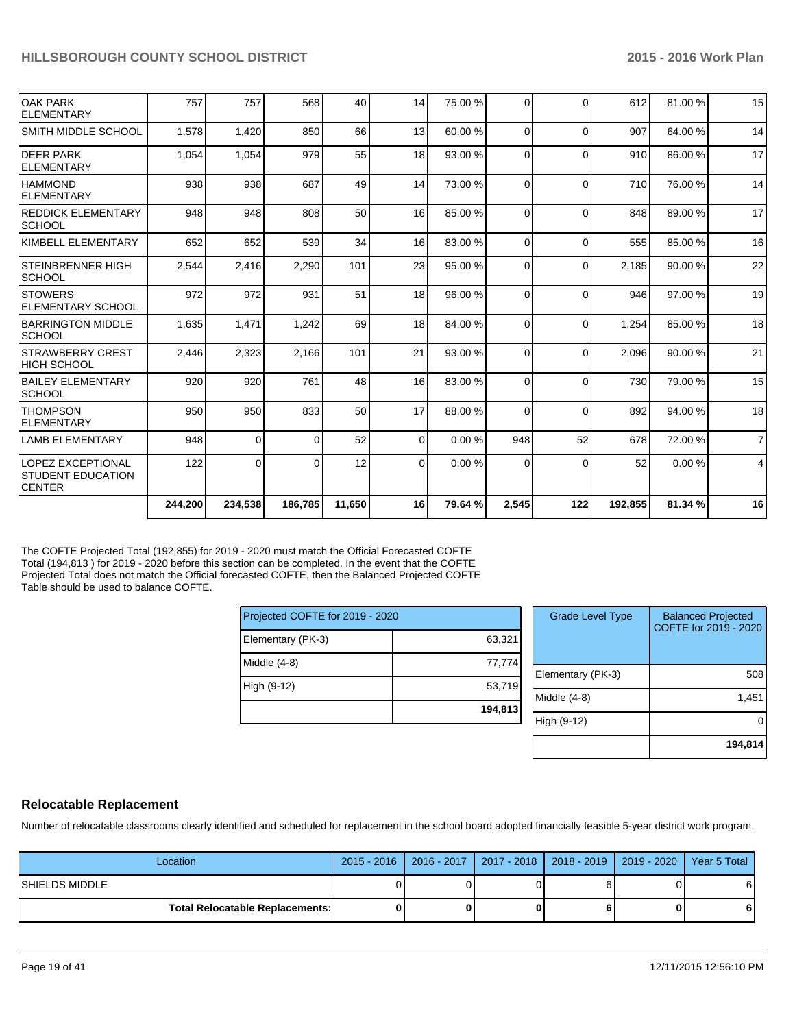|                                                                 | 244,200 | 234,538        | 186,785  | 11,650 | 16 <sup>1</sup> | 79.64 % | 2,545    | 122      | 192,855 | 81.34 % | 16             |
|-----------------------------------------------------------------|---------|----------------|----------|--------|-----------------|---------|----------|----------|---------|---------|----------------|
| LOPEZ EXCEPTIONAL<br><b>ISTUDENT EDUCATION</b><br><b>CENTER</b> | 122     | οI             |          | 12     | $\Omega$        | 0.00%   | 0        | $\Omega$ | 52      | 0.00%   | 4              |
| <b>LAMB ELEMENTARY</b>                                          | 948     | $\overline{0}$ | $\Omega$ | 52     | $\Omega$        | 0.00%   | 948      | 52       | 678     | 72.00 % | $\overline{7}$ |
| <b>THOMPSON</b><br><b>ELEMENTARY</b>                            | 950     | 950            | 833      | 50     | 17              | 88.00 % | $\Omega$ | $\Omega$ | 892     | 94.00 % | 18             |
| <b>BAILEY ELEMENTARY</b><br><b>SCHOOL</b>                       | 920     | 920            | 761      | 48     | 16              | 83.00 % | $\Omega$ | $\Omega$ | 730     | 79.00 % | 15             |
| <b>STRAWBERRY CREST</b><br>IHIGH SCHOOL                         | 2,446   | 2,323          | 2,166    | 101    | 21              | 93.00 % | $\Omega$ | $\Omega$ | 2,096   | 90.00 % | 21             |
| <b>IBARRINGTON MIDDLE</b><br><b>SCHOOL</b>                      | 1,635   | 1,471          | 1,242    | 69     | 18 <sup>1</sup> | 84.00 % | $\Omega$ | $\Omega$ | 1,254   | 85.00 % | 18             |
| <b>STOWERS</b><br><b>ELEMENTARY SCHOOL</b>                      | 972     | 972            | 931      | 51     | 18 <sup>1</sup> | 96.00 % | $\Omega$ | $\Omega$ | 946     | 97.00 % | 19             |
| <b>STEINBRENNER HIGH</b><br><b>SCHOOL</b>                       | 2,544   | 2,416          | 2,290    | 101    | 23              | 95.00 % | $\Omega$ | $\Omega$ | 2,185   | 90.00 % | 22             |
| İKIMBELL ELEMENTARY                                             | 652     | 652            | 539      | 34     | 16              | 83.00 % | $\Omega$ | $\Omega$ | 555     | 85.00 % | 16             |
| <b>IREDDICK ELEMENTARY</b><br>SCHOOL                            | 948     | 948            | 808      | 50     | 16              | 85.00 % | $\Omega$ | $\Omega$ | 848     | 89.00 % | 17             |
| <b>IHAMMOND</b><br><b>IELEMENTARY</b>                           | 938     | 938            | 687      | 49     | 14              | 73.00 % | $\Omega$ | $\Omega$ | 710     | 76.00 % | 14             |
| <b>DEER PARK</b><br><b>ELEMENTARY</b>                           | 1,054   | 1,054          | 979      | 55     | 18 <sup>1</sup> | 93.00 % | $\Omega$ | $\Omega$ | 910     | 86.00 % | 17             |
| SMITH MIDDLE SCHOOL                                             | 1,578   | 1,420          | 850      | 66     | 13              | 60.00 % | $\Omega$ | $\Omega$ | 907     | 64.00%  | 14             |
| <b>OAK PARK</b><br><b>ELEMENTARY</b>                            | 757     | 757            | 568      | 40     | 14              | 75.00 % | $\Omega$ | $\Omega$ | 612     | 81.00%  | 15             |
|                                                                 |         |                |          |        |                 |         |          |          |         |         |                |

The COFTE Projected Total (192,855) for 2019 - 2020 must match the Official Forecasted COFTE Total (194,813 ) for 2019 - 2020 before this section can be completed. In the event that the COFTE Projected Total does not match the Official forecasted COFTE, then the Balanced Projected COFTE Table should be used to balance COFTE.

| Projected COFTE for 2019 - 2020 |         |
|---------------------------------|---------|
| Elementary (PK-3)               | 63,321  |
| Middle $(4-8)$                  | 77,774  |
| High (9-12)                     | 53,719  |
|                                 | 194,813 |

| <b>Grade Level Type</b> | <b>Balanced Projected</b><br>COFTE for 2019 - 2020 |
|-------------------------|----------------------------------------------------|
| Elementary (PK-3)       | 508                                                |
| Middle $(4-8)$          | 1,451                                              |
| High (9-12)             |                                                    |
|                         | 194,814                                            |

#### **Relocatable Replacement**

Number of relocatable classrooms clearly identified and scheduled for replacement in the school board adopted financially feasible 5-year district work program.

| Location                                 |  | 2015 - 2016   2016 - 2017   2017 - 2018   2018 - 2019   2019 - 2020   Year 5 Total |   |
|------------------------------------------|--|------------------------------------------------------------------------------------|---|
| ISHIELDS MIDDLE                          |  |                                                                                    |   |
| <b>Total Relocatable Replacements: I</b> |  |                                                                                    | ы |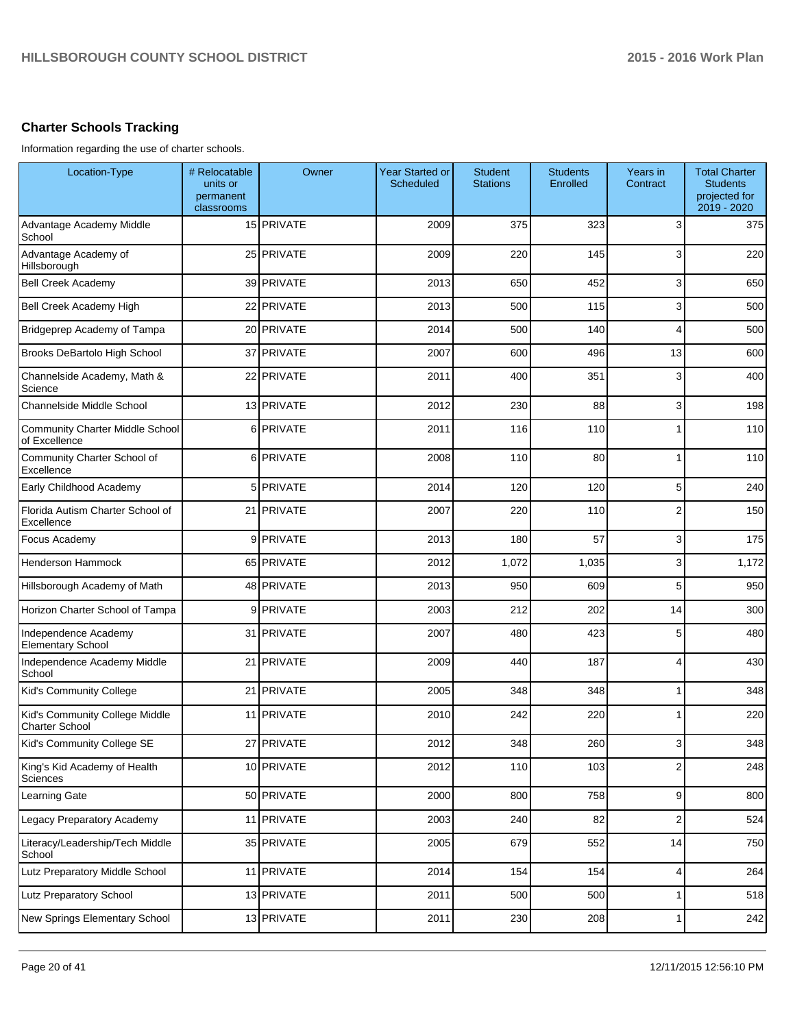# **Charter Schools Tracking**

Information regarding the use of charter schools.

| Location-Type                                           | # Relocatable<br>units or<br>permanent<br>classrooms | Owner      | <b>Year Started or</b><br>Scheduled | <b>Student</b><br><b>Stations</b> | <b>Students</b><br>Enrolled | Years in<br>Contract | <b>Total Charter</b><br><b>Students</b><br>projected for<br>2019 - 2020 |
|---------------------------------------------------------|------------------------------------------------------|------------|-------------------------------------|-----------------------------------|-----------------------------|----------------------|-------------------------------------------------------------------------|
| Advantage Academy Middle<br>School                      |                                                      | 15 PRIVATE | 2009                                | 375                               | 323                         | 3                    | 375                                                                     |
| Advantage Academy of<br>Hillsborough                    |                                                      | 25 PRIVATE | 2009                                | 220                               | 145                         | 3                    | 220                                                                     |
| <b>Bell Creek Academy</b>                               |                                                      | 39 PRIVATE | 2013                                | 650                               | 452                         | 3                    | 650                                                                     |
| Bell Creek Academy High                                 |                                                      | 22 PRIVATE | 2013                                | 500                               | 115                         | 3                    | 500                                                                     |
| Bridgeprep Academy of Tampa                             |                                                      | 20 PRIVATE | 2014                                | 500                               | 140                         | 4                    | 500                                                                     |
| Brooks DeBartolo High School                            |                                                      | 37 PRIVATE | 2007                                | 600                               | 496                         | 13                   | 600                                                                     |
| Channelside Academy, Math &<br>Science                  |                                                      | 22 PRIVATE | 2011                                | 400                               | 351                         | 3                    | 400                                                                     |
| <b>Channelside Middle School</b>                        |                                                      | 13 PRIVATE | 2012                                | 230                               | 88                          | 3                    | 198                                                                     |
| <b>Community Charter Middle School</b><br>of Excellence |                                                      | 6 PRIVATE  | 2011                                | 116                               | 110                         | 1                    | 110                                                                     |
| Community Charter School of<br>Excellence               |                                                      | 6 PRIVATE  | 2008                                | 110                               | 80                          | 1                    | 110                                                                     |
| Early Childhood Academy                                 |                                                      | 5 PRIVATE  | 2014                                | 120                               | 120                         | 5                    | 240                                                                     |
| Florida Autism Charter School of<br>Excellence          |                                                      | 21 PRIVATE | 2007                                | 220                               | 110                         | $\overline{2}$       | 150                                                                     |
| Focus Academy                                           |                                                      | 9 PRIVATE  | 2013                                | 180                               | 57                          | 3                    | 175                                                                     |
| Henderson Hammock                                       |                                                      | 65 PRIVATE | 2012                                | 1,072                             | 1,035                       | 3                    | 1,172                                                                   |
| Hillsborough Academy of Math                            |                                                      | 48 PRIVATE | 2013                                | 950                               | 609                         | 5                    | 950                                                                     |
| Horizon Charter School of Tampa                         |                                                      | 9 PRIVATE  | 2003                                | 212                               | 202                         | 14                   | 300                                                                     |
| Independence Academy<br><b>Elementary School</b>        |                                                      | 31 PRIVATE | 2007                                | 480                               | 423                         | 5                    | 480                                                                     |
| Independence Academy Middle<br>School                   |                                                      | 21 PRIVATE | 2009                                | 440                               | 187                         | 4                    | 430                                                                     |
| Kid's Community College                                 |                                                      | 21 PRIVATE | 2005                                | 348                               | 348                         | 1                    | 348                                                                     |
| Kid's Community College Middle<br><b>Charter School</b> |                                                      | 11 PRIVATE | 2010                                | 242                               | 220                         | 1                    | 220                                                                     |
| Kid's Community College SE                              |                                                      | 27 PRIVATE | 2012                                | 348                               | 260                         | ٩                    | 348                                                                     |
| King's Kid Academy of Health<br>Sciences                |                                                      | 10 PRIVATE | 2012                                | 110                               | 103                         | 2                    | 248                                                                     |
| Learning Gate                                           |                                                      | 50 PRIVATE | 2000                                | 800                               | 758                         | 9                    | 800                                                                     |
| Legacy Preparatory Academy                              |                                                      | 11 PRIVATE | 2003                                | 240                               | 82                          | 2                    | 524                                                                     |
| Literacy/Leadership/Tech Middle<br>School               |                                                      | 35 PRIVATE | 2005                                | 679                               | 552                         | 14                   | 750                                                                     |
| Lutz Preparatory Middle School                          |                                                      | 11 PRIVATE | 2014                                | 154                               | 154                         | 4                    | 264                                                                     |
| Lutz Preparatory School                                 |                                                      | 13 PRIVATE | 2011                                | 500                               | 500                         | 1                    | 518                                                                     |
| New Springs Elementary School                           |                                                      | 13 PRIVATE | 2011                                | 230                               | 208                         | 1                    | 242                                                                     |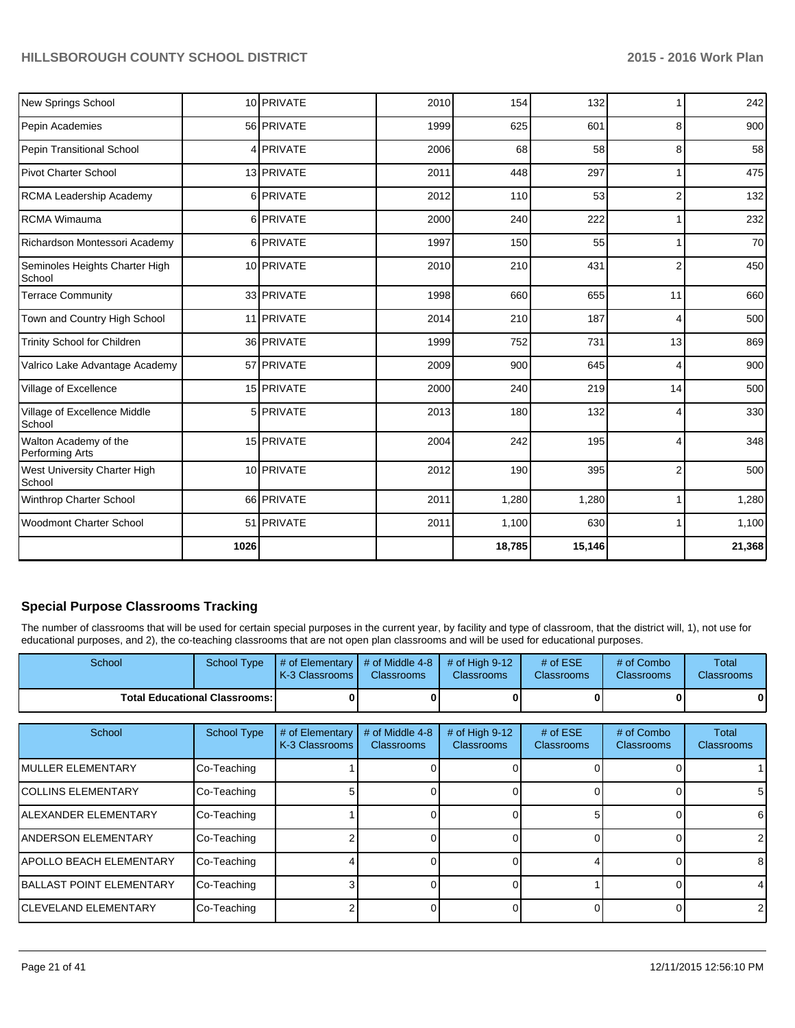| New Springs School                       |      | 10 PRIVATE | 2010 | 154    | 132    |                | 242    |
|------------------------------------------|------|------------|------|--------|--------|----------------|--------|
| Pepin Academies                          |      | 56 PRIVATE | 1999 | 625    | 601    | 8              | 900    |
| Pepin Transitional School                |      | 4 PRIVATE  | 2006 | 68     | 58     | 8              | 58     |
| <b>Pivot Charter School</b>              |      | 13 PRIVATE | 2011 | 448    | 297    | 1              | 475    |
| RCMA Leadership Academy                  |      | 6 PRIVATE  | 2012 | 110    | 53     | 2              | 132    |
| <b>RCMA Wimauma</b>                      |      | 6 PRIVATE  | 2000 | 240    | 222    |                | 232    |
| Richardson Montessori Academy            |      | 6 PRIVATE  | 1997 | 150    | 55     | 1              | 70     |
| Seminoles Heights Charter High<br>School |      | 10 PRIVATE | 2010 | 210    | 431    | $\overline{2}$ | 450    |
| <b>Terrace Community</b>                 |      | 33 PRIVATE | 1998 | 660    | 655    | 11             | 660    |
| Town and Country High School             |      | 11 PRIVATE | 2014 | 210    | 187    | 4              | 500    |
| Trinity School for Children              |      | 36 PRIVATE | 1999 | 752    | 731    | 13             | 869    |
| Valrico Lake Advantage Academy           |      | 57 PRIVATE | 2009 | 900    | 645    | 4              | 900    |
| Village of Excellence                    |      | 15 PRIVATE | 2000 | 240    | 219    | 14             | 500    |
| Village of Excellence Middle<br>School   |      | 5 PRIVATE  | 2013 | 180    | 132    | 4              | 330    |
| Walton Academy of the<br>Performing Arts |      | 15 PRIVATE | 2004 | 242    | 195    | 4              | 348    |
| West University Charter High<br>School   |      | 10 PRIVATE | 2012 | 190    | 395    | $\overline{2}$ | 500    |
| Winthrop Charter School                  |      | 66 PRIVATE | 2011 | 1,280  | 1,280  |                | 1,280  |
| Woodmont Charter School                  |      | 51 PRIVATE | 2011 | 1,100  | 630    | 1              | 1,100  |
|                                          | 1026 |            |      | 18,785 | 15,146 |                | 21,368 |

# **Special Purpose Classrooms Tracking**

The number of classrooms that will be used for certain special purposes in the current year, by facility and type of classroom, that the district will, 1), not use for educational purposes, and 2), the co-teaching classrooms that are not open plan classrooms and will be used for educational purposes.

| School |                                        | School Type $\parallel \#$ of Elementary $\parallel \#$ of Middle 4-8 $\parallel \#$ of High 9-12 $\parallel$<br><b>K-3 Classrooms I</b> | <b>Classrooms</b> | <b>Classrooms</b> | $#$ of ESE<br><b>Classrooms</b> | # of Combo<br><b>Classrooms</b> | Total<br><b>Classrooms</b> |
|--------|----------------------------------------|------------------------------------------------------------------------------------------------------------------------------------------|-------------------|-------------------|---------------------------------|---------------------------------|----------------------------|
|        | <b>Total Educational Classrooms: I</b> |                                                                                                                                          |                   |                   |                                 | O I                             |                            |

| School                           | <b>School Type</b> | # of Elementary<br>K-3 Classrooms | # of Middle 4-8<br><b>Classrooms</b> | # of High $9-12$<br><b>Classrooms</b> | # of $ESE$<br><b>Classrooms</b> | # of Combo<br><b>Classrooms</b> | Total<br><b>Classrooms</b> |
|----------------------------------|--------------------|-----------------------------------|--------------------------------------|---------------------------------------|---------------------------------|---------------------------------|----------------------------|
| <b>IMULLER ELEMENTARY</b>        | Co-Teaching        |                                   |                                      |                                       |                                 |                                 |                            |
| <b>ICOLLINS ELEMENTARY</b>       | Co-Teaching        |                                   |                                      |                                       |                                 |                                 | 5                          |
| IALEXANDER ELEMENTARY            | Co-Teaching        |                                   |                                      |                                       |                                 |                                 | 6                          |
| IANDERSON ELEMENTARY             | Co-Teaching        |                                   |                                      |                                       |                                 |                                 | $\overline{2}$             |
| <b>APOLLO BEACH ELEMENTARY</b>   | Co-Teaching        |                                   |                                      |                                       |                                 |                                 | 8                          |
| <b>IBALLAST POINT ELEMENTARY</b> | Co-Teaching        |                                   |                                      |                                       |                                 |                                 | 4                          |
| <b>ICLEVELAND ELEMENTARY</b>     | Co-Teaching        |                                   |                                      |                                       |                                 |                                 | $\overline{2}$             |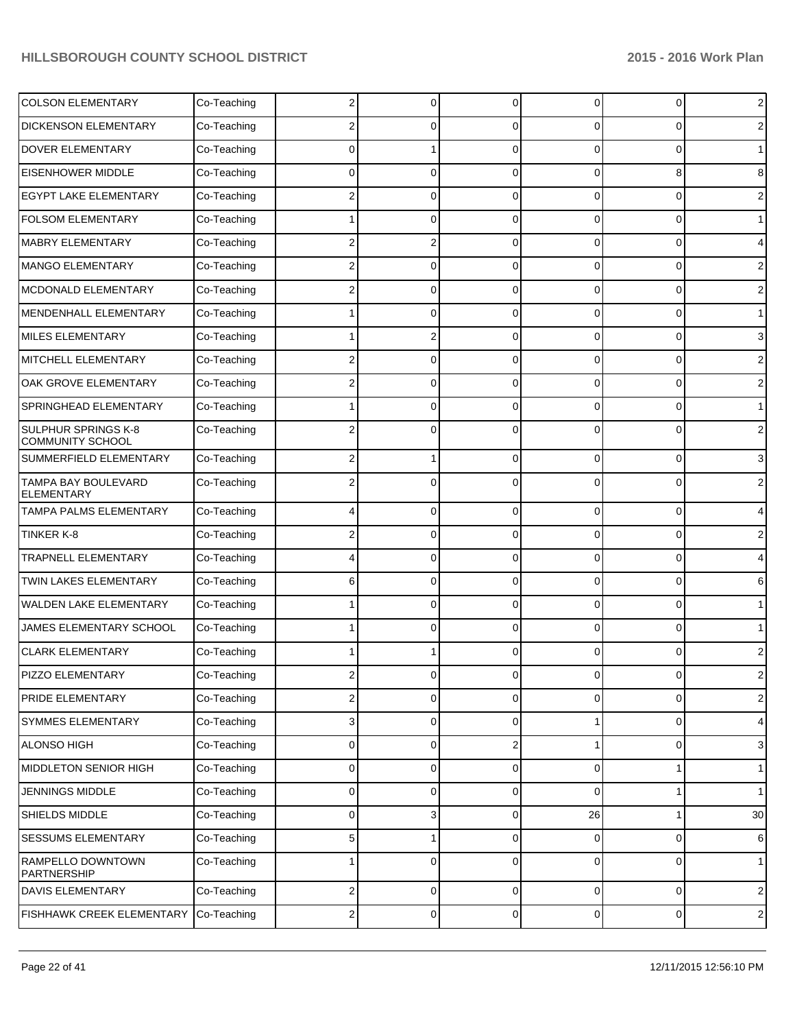| <b>COLSON ELEMENTARY</b>                       | Co-Teaching | 2                       | 0           | 0              | 0              | 0           | $\overline{2}$ |
|------------------------------------------------|-------------|-------------------------|-------------|----------------|----------------|-------------|----------------|
| <b>DICKENSON ELEMENTARY</b>                    | Co-Teaching | 2                       | C           | 0              | 0              | 0           | 2              |
| <b>DOVER ELEMENTARY</b>                        | Co-Teaching | 0                       |             | $\Omega$       | $\Omega$       | 0           | $\mathbf{1}$   |
| <b>EISENHOWER MIDDLE</b>                       | Co-Teaching | 0                       | 0           | $\Omega$       | 0              | 8           | 8              |
| <b>EGYPT LAKE ELEMENTARY</b>                   | Co-Teaching |                         | 0           | $\Omega$       | $\Omega$       | 0           | 2              |
| <b>FOLSOM ELEMENTARY</b>                       | Co-Teaching |                         | 0           | 0              | 0              | 0           | $\mathbf 1$    |
| MABRY ELEMENTARY                               | Co-Teaching | 2                       | 2           | $\Omega$       | $\Omega$       | 0           | 4              |
| <b>MANGO ELEMENTARY</b>                        | Co-Teaching | 2                       | 0           | $\Omega$       | $\Omega$       | 0           | 2              |
| MCDONALD ELEMENTARY                            | Co-Teaching |                         | 0           | $\Omega$       | 0              | 0           | 2              |
| MENDENHALL ELEMENTARY                          | Co-Teaching |                         | C           | 0              | 0              | 0           | $\mathbf 1$    |
| MILES ELEMENTARY                               | Co-Teaching |                         |             | $\Omega$       | $\Omega$       | 0           | 3              |
| MITCHELL ELEMENTARY                            | Co-Teaching | 2                       | 0           | $\Omega$       | $\Omega$       | 0           | 2              |
| OAK GROVE ELEMENTARY                           | Co-Teaching |                         | C           | 0              | 0              | 0           | $\overline{2}$ |
| SPRINGHEAD ELEMENTARY                          | Co-Teaching |                         | C           | 0              | 0              | 0           | $\mathbf 1$    |
| SULPHUR SPRINGS K-8<br><b>COMMUNITY SCHOOL</b> | Co-Teaching |                         |             |                |                | 0           | 2              |
| SUMMERFIELD ELEMENTARY                         | Co-Teaching | 2                       |             | $\Omega$       | 0              | 0           | 3              |
| TAMPA BAY BOULEVARD<br><b>ELEMENTARY</b>       | Co-Teaching |                         | 0           | 0              | 0              | $\Omega$    | 2              |
| <b>TAMPA PALMS ELEMENTARY</b>                  | Co-Teaching | 4                       | 0           | $\Omega$       | $\Omega$       | 0           | $\overline{4}$ |
| TINKER K-8                                     | Co-Teaching | 2                       | 0           | $\Omega$       | $\Omega$       | 0           | 2              |
| TRAPNELL ELEMENTARY                            | Co-Teaching |                         | 0           | $\Omega$       | $\Omega$       | $\mathbf 0$ | 4              |
| TWIN LAKES ELEMENTARY                          | Co-Teaching | 6                       | 0           | $\Omega$       | $\Omega$       | 0           | 6              |
| WALDEN LAKE ELEMENTARY                         | Co-Teaching |                         | 0           | $\Omega$       | 0              | $\mathbf 0$ | $\mathbf{1}$   |
| JAMES ELEMENTARY SCHOOL                        | Co-Teaching |                         | 0           | 0              | 0              | $\mathbf 0$ | $\mathbf{1}$   |
| <b>CLARK ELEMENTARY</b>                        | Co-Teaching |                         |             | $\Omega$       | 0              | $\Omega$    | $\overline{c}$ |
| PIZZO ELEMENTARY                               | Co-Teaching |                         |             |                |                |             | $\overline{2}$ |
| <b>PRIDE ELEMENTARY</b>                        | Co-Teaching | 2                       | 0           | $\overline{0}$ | 0              | 0           | $\overline{2}$ |
| SYMMES ELEMENTARY                              | Co-Teaching | 3                       | 0           | $\mathbf 0$    |                | 0           | $\overline{4}$ |
| <b>ALONSO HIGH</b>                             | Co-Teaching | 0                       | $\mathbf 0$ | $\overline{2}$ | 1              | 0           | 3              |
| MIDDLETON SENIOR HIGH                          | Co-Teaching | $\mathbf 0$             | 0           | $\overline{0}$ | 0              | 1           | $\mathbf{1}$   |
| <b>JENNINGS MIDDLE</b>                         | Co-Teaching | $\mathbf 0$             | 0           | $\overline{0}$ | 0              | 1           | $\mathbf{1}$   |
| SHIELDS MIDDLE                                 | Co-Teaching | $\mathbf 0$             | 3           | $\overline{0}$ | 26             | 1           | 30             |
| SESSUMS ELEMENTARY                             | Co-Teaching | 5                       | 1           | $\overline{0}$ | 0              | 0           | 6              |
| RAMPELLO DOWNTOWN<br>PARTNERSHIP               | Co-Teaching |                         | 0           | 0              | 0              | 0           | $\mathbf{1}$   |
| <b>DAVIS ELEMENTARY</b>                        | Co-Teaching | 2                       | 0           | 0              | 0              | 0           | $\sqrt{2}$     |
| FISHHAWK CREEK ELEMENTARY                      | Co-Teaching | $\overline{\mathbf{c}}$ | $\mathbf 0$ | $\overline{0}$ | $\overline{0}$ | 0           | $\sqrt{2}$     |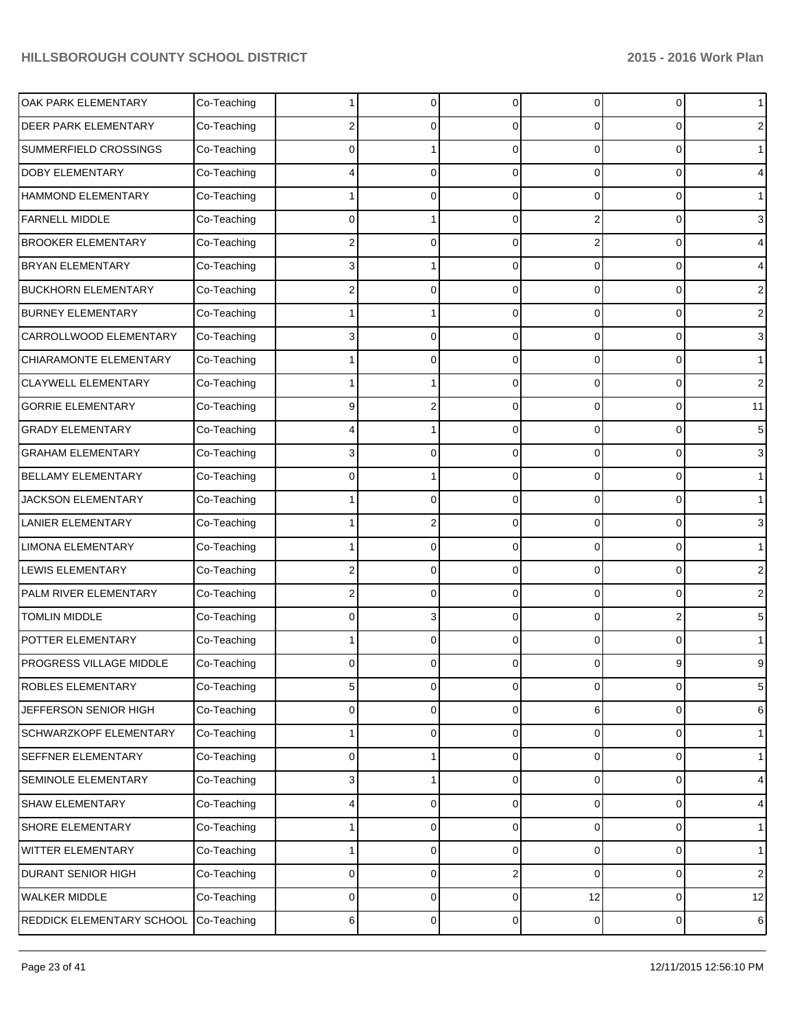| OAK PARK ELEMENTARY            | Co-Teaching |   | 0 | $\Omega$       | 0  | 0 | $\mathbf 1$    |
|--------------------------------|-------------|---|---|----------------|----|---|----------------|
| <b>DEER PARK ELEMENTARY</b>    | Co-Teaching | 2 | 0 | 0              | 0  | 0 | 2              |
| SUMMERFIELD CROSSINGS          | Co-Teaching | ი |   | 0              | 0  | 0 | $\mathbf{1}$   |
| <b>DOBY ELEMENTARY</b>         | Co-Teaching |   | 0 | $\Omega$       | 0  | 0 | 4              |
| <b>HAMMOND ELEMENTARY</b>      | Co-Teaching |   | C | $\Omega$       | 0  | 0 | $\mathbf 1$    |
| <b>FARNELL MIDDLE</b>          | Co-Teaching | 0 |   | $\Omega$       | 2  | 0 | 3              |
| <b>BROOKER ELEMENTARY</b>      | Co-Teaching | 2 | 0 | 0              | 2  | 0 | 4              |
| <b>BRYAN ELEMENTARY</b>        | Co-Teaching | 3 |   | $\Omega$       | 0  | 0 | 4              |
| <b>BUCKHORN ELEMENTARY</b>     | Co-Teaching | 2 | 0 | $\Omega$       | 0  | 0 | 2              |
| <b>BURNEY ELEMENTARY</b>       | Co-Teaching |   |   | $\Omega$       | 0  | 0 | 2              |
| CARROLLWOOD ELEMENTARY         | Co-Teaching | 3 | 0 | 0              | 0  | 0 | 3              |
| CHIARAMONTE ELEMENTARY         | Co-Teaching |   | 0 | $\Omega$       | 0  | 0 | $\mathbf 1$    |
| <b>CLAYWELL ELEMENTARY</b>     | Co-Teaching |   |   | $\Omega$       | 0  | 0 | 2              |
| <b>GORRIE ELEMENTARY</b>       | Co-Teaching | 9 | 2 | $\Omega$       | 0  | 0 | 11             |
| <b>GRADY ELEMENTARY</b>        | Co-Teaching |   |   | 0              | 0  | 0 | 5              |
| <b>GRAHAM ELEMENTARY</b>       | Co-Teaching | 3 | 0 | $\Omega$       | 0  | 0 | 3              |
| <b>BELLAMY ELEMENTARY</b>      | Co-Teaching | ი |   | $\Omega$       | 0  | 0 | $\mathbf 1$    |
| <b>JACKSON ELEMENTARY</b>      | Co-Teaching |   | 0 | $\Omega$       | 0  | 0 | 1              |
| <b>LANIER ELEMENTARY</b>       | Co-Teaching |   |   | 0              | 0  | 0 | 3              |
| <b>LIMONA ELEMENTARY</b>       | Co-Teaching |   | 0 | $\Omega$       | 0  | 0 | $\mathbf 1$    |
| <b>LEWIS ELEMENTARY</b>        | Co-Teaching | 2 | 0 | $\Omega$       | 0  | 0 | 2              |
| PALM RIVER ELEMENTARY          | Co-Teaching | 2 | 0 | $\Omega$       | 0  | 0 | 2              |
| <b>TOMLIN MIDDLE</b>           | Co-Teaching | 0 | 3 | 0              | 0  | 2 | 5              |
| POTTER ELEMENTARY              | Co-Teaching |   | 0 | 0              | 0  | 0 | $\mathbf 1$    |
| <b>PROGRESS VILLAGE MIDDLE</b> | Co-Teaching | ი |   |                |    | 9 | 9              |
| <b>ROBLES ELEMENTARY</b>       | Co-Teaching | 5 | 0 | $\overline{0}$ | 0  | 0 | 5              |
| JEFFERSON SENIOR HIGH          | Co-Teaching | 0 | 0 | $\overline{0}$ | 6  | 0 | 6              |
| SCHWARZKOPF ELEMENTARY         | Co-Teaching |   | 0 | $\overline{0}$ | 0  | 0 | $\mathbf{1}$   |
| SEFFNER ELEMENTARY             | Co-Teaching | 0 |   | $\overline{0}$ | 0  | 0 | $\mathbf{1}$   |
| SEMINOLE ELEMENTARY            | Co-Teaching | 3 |   | 0              | 0  | 0 | 4              |
| SHAW ELEMENTARY                | Co-Teaching | 4 | 0 | $\overline{0}$ | 0  | 0 | 4              |
| SHORE ELEMENTARY               | Co-Teaching |   | 0 | $\overline{0}$ | 0  | 0 | $\mathbf{1}$   |
| <b>WITTER ELEMENTARY</b>       | Co-Teaching |   | 0 | 0              | 0  | 0 | $\mathbf{1}$   |
| <b>DURANT SENIOR HIGH</b>      | Co-Teaching | 0 | 0 | 2              | 0  | 0 | $\overline{c}$ |
| WALKER MIDDLE                  | Co-Teaching | 0 | 0 | $\overline{0}$ | 12 | 0 | 12             |
| REDDICK ELEMENTARY SCHOOL      | Co-Teaching | 6 | 0 | $\overline{0}$ | 0  | 0 | $\,6$          |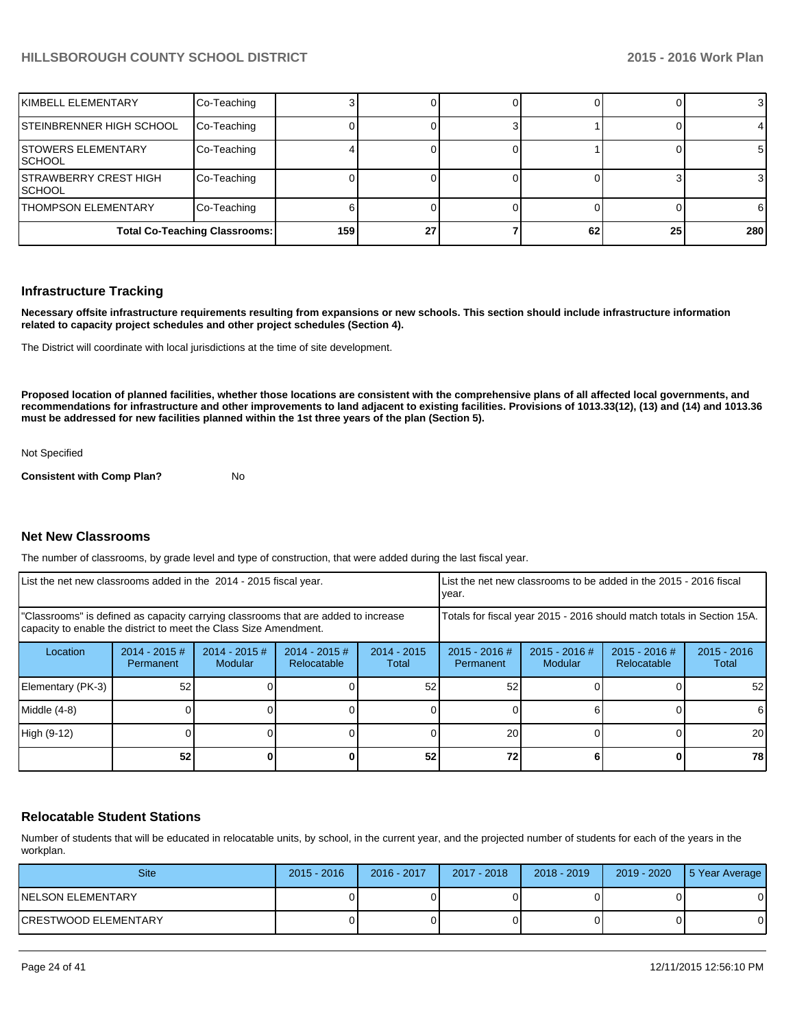| KIMBELL ELEMENTARY                            | Co-Teaching                          |     |    |    |    | 3   |
|-----------------------------------------------|--------------------------------------|-----|----|----|----|-----|
| STEINBRENNER HIGH SCHOOL                      | Co-Teaching                          |     |    |    |    | 4   |
| <b>STOWERS ELEMENTARY</b><br><b>SCHOOL</b>    | Co-Teaching                          |     |    |    |    | 51  |
| <b>STRAWBERRY CREST HIGH</b><br><b>SCHOOL</b> | Co-Teaching                          |     |    |    |    | 3   |
| <b>THOMPSON ELEMENTARY</b>                    | Co-Teaching                          |     |    |    |    | 61  |
|                                               | <b>Total Co-Teaching Classrooms:</b> | 159 | 27 | 62 | 25 | 280 |

#### **Infrastructure Tracking**

**Necessary offsite infrastructure requirements resulting from expansions or new schools. This section should include infrastructure information related to capacity project schedules and other project schedules (Section 4).**

The District will coordinate with local jurisdictions at the time of site development.

**Proposed location of planned facilities, whether those locations are consistent with the comprehensive plans of all affected local governments, and recommendations for infrastructure and other improvements to land adjacent to existing facilities. Provisions of 1013.33(12), (13) and (14) and 1013.36 must be addressed for new facilities planned within the 1st three years of the plan (Section 5).**

Not Specified

**Consistent with Comp Plan?** No

#### **Net New Classrooms**

The number of classrooms, by grade level and type of construction, that were added during the last fiscal year.

| List the net new classrooms added in the 2014 - 2015 fiscal year.                                                                                       |                               |                            |                                                                        | List the net new classrooms to be added in the 2015 - 2016 fiscal<br>Ivear. |                              |                            |                                |                        |
|---------------------------------------------------------------------------------------------------------------------------------------------------------|-------------------------------|----------------------------|------------------------------------------------------------------------|-----------------------------------------------------------------------------|------------------------------|----------------------------|--------------------------------|------------------------|
| "Classrooms" is defined as capacity carrying classrooms that are added to increase<br>capacity to enable the district to meet the Class Size Amendment. |                               |                            | Totals for fiscal year 2015 - 2016 should match totals in Section 15A. |                                                                             |                              |                            |                                |                        |
| Location                                                                                                                                                | $2014 - 2015 \#$<br>Permanent | $2014 - 2015$ #<br>Modular | $2014 - 2015$ #<br>Relocatable                                         | $2014 - 2015$<br>Total                                                      | $2015 - 2016$ #<br>Permanent | $2015 - 2016$ #<br>Modular | $2015 - 2016$ #<br>Relocatable | $2015 - 2016$<br>Total |
| Elementary (PK-3)                                                                                                                                       | 52                            |                            |                                                                        | 52                                                                          | 52                           |                            |                                | 52 <sub>1</sub>        |
| Middle (4-8)                                                                                                                                            |                               |                            |                                                                        |                                                                             |                              |                            |                                | 61                     |
| High (9-12)                                                                                                                                             |                               |                            |                                                                        |                                                                             | 20                           |                            |                                | <b>20</b>              |
|                                                                                                                                                         | 52                            |                            |                                                                        | 52                                                                          | 72                           |                            |                                | 78 I                   |

#### **Relocatable Student Stations**

Number of students that will be educated in relocatable units, by school, in the current year, and the projected number of students for each of the years in the workplan.

| <b>Site</b>           | $2015 - 2016$ | 2016 - 2017 | 2017 - 2018 | $2018 - 2019$ | 2019 - 2020 | 5 Year Average |
|-----------------------|---------------|-------------|-------------|---------------|-------------|----------------|
| INELSON ELEMENTARY    |               |             |             |               |             |                |
| ICRESTWOOD ELEMENTARY |               |             |             |               |             |                |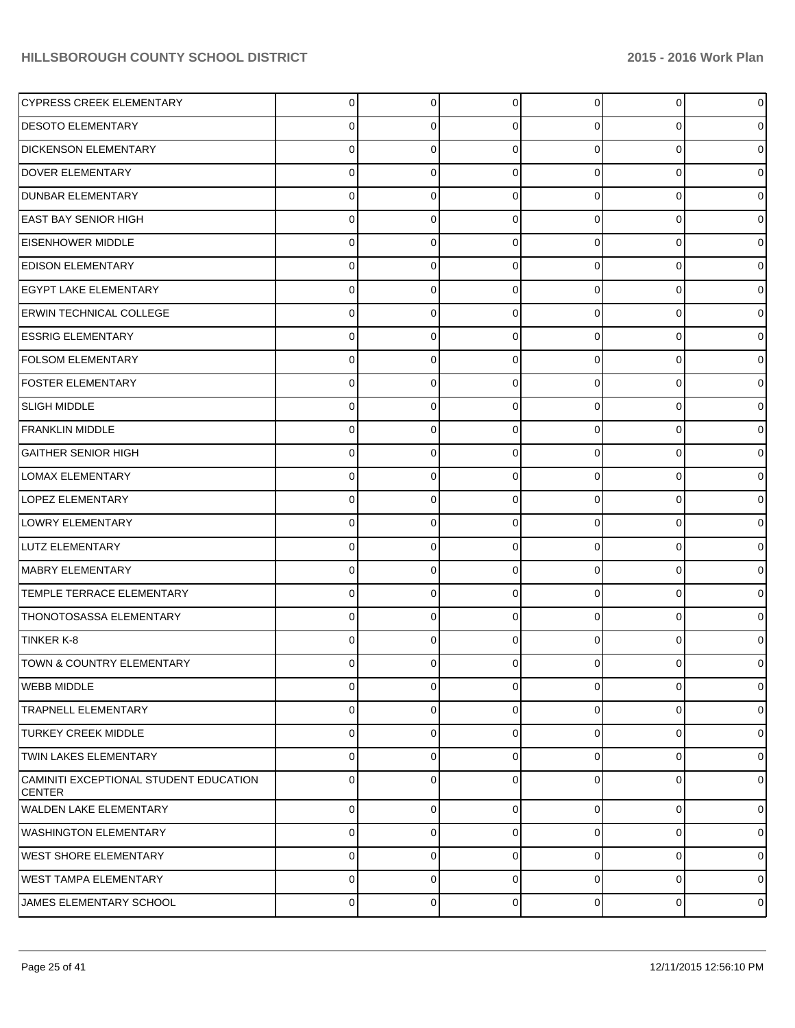| <b>CYPRESS CREEK ELEMENTARY</b>                         | 0 | $\overline{0}$ | $\Omega$    | $\overline{0}$ | $\overline{0}$ | $\mathbf 0$    |
|---------------------------------------------------------|---|----------------|-------------|----------------|----------------|----------------|
| <b>DESOTO ELEMENTARY</b>                                | 0 | 0              | $\Omega$    | 0              | $\overline{0}$ | $\overline{0}$ |
| <b>DICKENSON ELEMENTARY</b>                             | 0 | 0              | $\Omega$    | $\Omega$       | $\overline{0}$ | $\mathbf 0$    |
| <b>DOVER ELEMENTARY</b>                                 | 0 | 0              | $\Omega$    | 0              | $\overline{0}$ | $\mathbf 0$    |
| <b>DUNBAR ELEMENTARY</b>                                | 0 | 0              | $\Omega$    | $\Omega$       | $\overline{0}$ | $\mathbf 0$    |
| <b>EAST BAY SENIOR HIGH</b>                             | 0 | 0              | $\Omega$    | $\Omega$       | $\overline{0}$ | $\mathbf 0$    |
| <b>EISENHOWER MIDDLE</b>                                | 0 | 0              | $\Omega$    | 0              | $\overline{0}$ | $\mathbf 0$    |
| <b>EDISON ELEMENTARY</b>                                | 0 | 0              | $\Omega$    | 0              | $\overline{0}$ | $\mathbf 0$    |
| <b>EGYPT LAKE ELEMENTARY</b>                            | 0 | 0              | $\Omega$    | 0              | $\overline{0}$ | $\mathbf 0$    |
| <b>ERWIN TECHNICAL COLLEGE</b>                          | 0 | 0              | $\Omega$    | $\Omega$       | $\overline{0}$ | $\mathbf 0$    |
| <b>ESSRIG ELEMENTARY</b>                                | 0 | 0              | $\Omega$    | 0              | $\overline{0}$ | $\mathbf 0$    |
| <b>FOLSOM ELEMENTARY</b>                                | 0 | 0              | $\Omega$    | 0              | $\overline{0}$ | $\mathbf 0$    |
| <b>FOSTER ELEMENTARY</b>                                | 0 | 0              | $\Omega$    | 0              | $\overline{0}$ | $\mathbf 0$    |
| <b>SLIGH MIDDLE</b>                                     | 0 | 0              | $\Omega$    | $\Omega$       | $\overline{0}$ | $\mathbf 0$    |
| <b>FRANKLIN MIDDLE</b>                                  | 0 | 0              | $\Omega$    | 0              | $\overline{0}$ | $\mathbf 0$    |
| <b>GAITHER SENIOR HIGH</b>                              | 0 | 0              | $\Omega$    | 0              | $\overline{0}$ | $\mathbf 0$    |
| LOMAX ELEMENTARY                                        | 0 | 0              | $\Omega$    | 0              | $\overline{0}$ | $\mathbf 0$    |
| <b>LOPEZ ELEMENTARY</b>                                 | 0 | 0              | $\Omega$    | 0              | $\overline{0}$ | $\mathbf 0$    |
| LOWRY ELEMENTARY                                        | 0 | 0              | $\Omega$    | 0              | $\overline{0}$ | $\mathbf 0$    |
| LUTZ ELEMENTARY                                         | 0 | 0              | $\Omega$    | 0              | $\overline{0}$ | $\mathbf 0$    |
| MABRY ELEMENTARY                                        | 0 | 0              | $\Omega$    | 0              | $\overline{0}$ | $\mathbf 0$    |
| TEMPLE TERRACE ELEMENTARY                               | 0 | 0              | $\Omega$    | 0              | $\overline{0}$ | $\mathbf 0$    |
| <b>THONOTOSASSA ELEMENTARY</b>                          | 0 | 0              | $\Omega$    | 0              | $\overline{0}$ | $\mathbf 0$    |
| <b>TINKER K-8</b>                                       | 0 | 0              | $\Omega$    | 0              | $\overline{0}$ | $\mathbf 0$    |
| TOWN & COUNTRY ELEMENTARY                               |   | 0              |             |                | 0              | $\mathbf 0$    |
| <b>WEBB MIDDLE</b>                                      | 0 | $\overline{0}$ | $\mathbf 0$ | $\overline{0}$ | $\overline{0}$ | $\mathbf 0$    |
| <b>TRAPNELL ELEMENTARY</b>                              | 0 | 0              | 0           | $\overline{0}$ | $\overline{0}$ | $\mathbf 0$    |
| <b>TURKEY CREEK MIDDLE</b>                              | 0 | 0              | $\Omega$    | $\overline{0}$ | $\overline{0}$ | $\mathbf 0$    |
| <b>TWIN LAKES ELEMENTARY</b>                            | 0 | 0              | $\mathbf 0$ | $\overline{0}$ | $\overline{0}$ | $\mathbf 0$    |
| CAMINITI EXCEPTIONAL STUDENT EDUCATION<br><b>CENTER</b> | 0 | 0              | $\Omega$    | 0              | $\overline{0}$ | $\mathbf 0$    |
| <b>WALDEN LAKE ELEMENTARY</b>                           | 0 | $\overline{0}$ | $\mathbf 0$ | $\overline{0}$ | $\overline{0}$ | $\mathbf 0$    |
| IWASHINGTON ELEMENTARY                                  | 0 | 0              | 0           | $\overline{0}$ | $\overline{0}$ | $\mathbf 0$    |
| <b>WEST SHORE ELEMENTARY</b>                            | 0 | $\overline{0}$ | $\mathbf 0$ | $\overline{0}$ | $\overline{0}$ | $\mathbf 0$    |
| WEST TAMPA ELEMENTARY                                   | 0 | 0              | $\mathbf 0$ | $\overline{0}$ | $\overline{0}$ | $\mathbf 0$    |
| JAMES ELEMENTARY SCHOOL                                 | 0 | 0              | $\pmb{0}$   | $\overline{0}$ | $\pmb{0}$      | $\mathbf 0$    |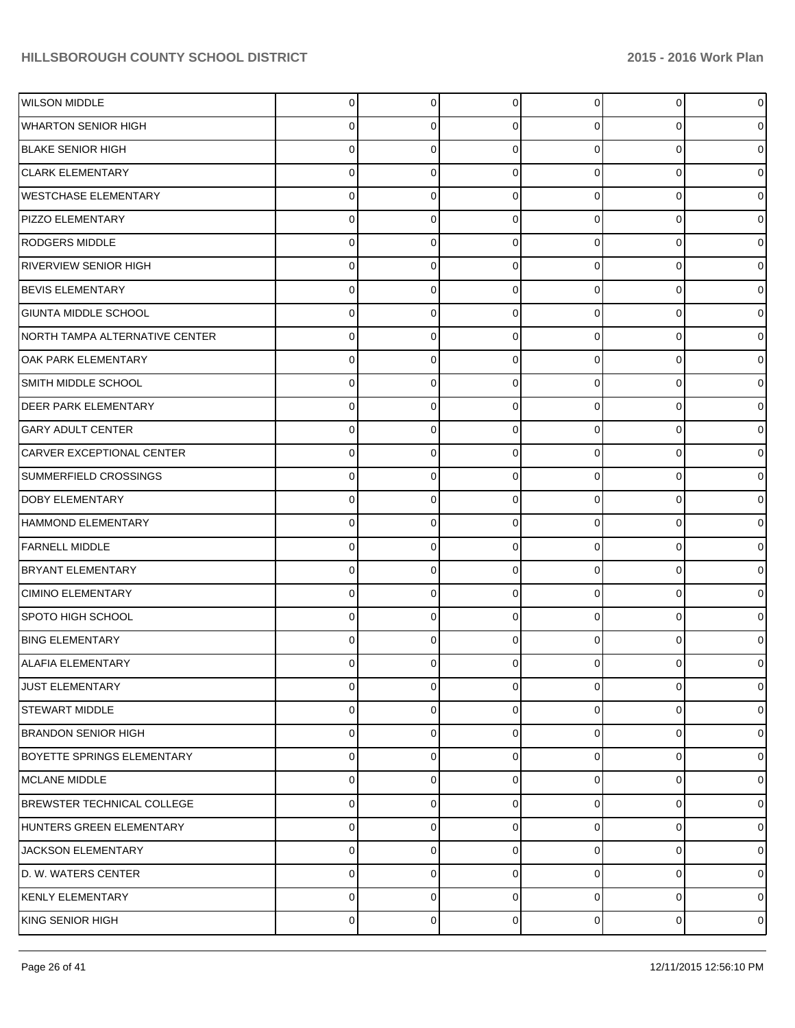| <b>WILSON MIDDLE</b>               | $\overline{0}$ | $\overline{0}$ | $\Omega$    | $\overline{0}$ | $\overline{0}$ | $\mathbf 0$    |
|------------------------------------|----------------|----------------|-------------|----------------|----------------|----------------|
| WHARTON SENIOR HIGH                | 0              | 0              | 0           | 0              | 0              | $\overline{0}$ |
| <b>BLAKE SENIOR HIGH</b>           | 0              | 0              | $\Omega$    | $\Omega$       | 0              | $\mathbf 0$    |
| <b>CLARK ELEMENTARY</b>            | 0              | 0              | $\Omega$    | $\Omega$       | 0              | $\overline{0}$ |
| <b>WESTCHASE ELEMENTARY</b>        | 0              | 0              | $\Omega$    | $\Omega$       | 0              | $\mathbf 0$    |
| <b>PIZZO ELEMENTARY</b>            | 0              | 0              | $\Omega$    | $\Omega$       | 0              | $\mathbf 0$    |
| <b>RODGERS MIDDLE</b>              | 0              | 0              | $\Omega$    | $\Omega$       | 0              | $\mathbf 0$    |
| RIVERVIEW SENIOR HIGH              | 0              | 0              | $\Omega$    | $\Omega$       | 0              | $\overline{0}$ |
| <b>BEVIS ELEMENTARY</b>            | 0              | 0              | $\Omega$    | $\Omega$       | 0              | $\mathbf 0$    |
| GIUNTA MIDDLE SCHOOL               | 0              | 0              | $\Omega$    | $\Omega$       | 0              | $\overline{0}$ |
| NORTH TAMPA ALTERNATIVE CENTER     | 0              | 0              | $\Omega$    | $\Omega$       | 0              | $\mathbf 0$    |
| loak park elementary               | 0              | 0              | $\Omega$    | $\Omega$       | $\overline{0}$ | $\overline{0}$ |
| SMITH MIDDLE SCHOOL                | 0              | 0              | $\Omega$    | $\Omega$       | 0              | $\mathbf 0$    |
| <b>DEER PARK ELEMENTARY</b>        | 0              | 0              | $\Omega$    | $\Omega$       | 0              | $\overline{0}$ |
| <b>GARY ADULT CENTER</b>           | 0              | 0              | $\Omega$    | $\Omega$       | 0              | $\mathbf 0$    |
| CARVER EXCEPTIONAL CENTER          | 0              | 0              | $\Omega$    | $\Omega$       | 0              | $\overline{0}$ |
| SUMMERFIELD CROSSINGS              | 0              | 0              | $\Omega$    | 0              | 0              | $\mathbf 0$    |
| DOBY ELEMENTARY                    | 0              | 0              | $\Omega$    | $\Omega$       | $\overline{0}$ | $\overline{0}$ |
| <b>HAMMOND ELEMENTARY</b>          | 0              | 0              | $\Omega$    | $\Omega$       | 0              | $\mathbf 0$    |
| <b>FARNELL MIDDLE</b>              | 0              | 0              | $\Omega$    | $\Omega$       | 0              | $\overline{0}$ |
| <b>BRYANT ELEMENTARY</b>           | 0              | 0              | $\Omega$    | 0              | 0              | $\mathbf 0$    |
| <b>CIMINO ELEMENTARY</b>           | 0              | 0              | $\Omega$    | $\Omega$       | 0              | $\mathbf 0$    |
| SPOTO HIGH SCHOOL                  | 0              | 0              | $\Omega$    | 0              | 0              | $\mathbf 0$    |
| <b>BING ELEMENTARY</b>             | 0              | 0              | $\Omega$    | 0              | 0              | $\overline{0}$ |
| ALAFIA ELEMENTARY                  | 0              | 0              |             | 0              | 0              | $\overline{0}$ |
| <b>JUST ELEMENTARY</b>             | $\overline{0}$ | 0              | 0           | $\overline{0}$ | 0              | $\mathbf 0$    |
| <b>ISTEWART MIDDLE</b>             | 0              | 0              | $\mathbf 0$ | $\overline{0}$ | 0              | $\mathbf 0$    |
| <b>BRANDON SENIOR HIGH</b>         | 0              | 0              | $\Omega$    | $\overline{0}$ | 0              | $\mathbf 0$    |
| <b>BOYETTE SPRINGS ELEMENTARY</b>  | 0              | 0              | $\mathbf 0$ | $\overline{0}$ | 0              | $\mathbf 0$    |
| <b>IMCLANE MIDDLE</b>              | 0              | 0              | $\Omega$    | $\overline{0}$ | 0              | $\mathbf 0$    |
| <b>IBREWSTER TECHNICAL COLLEGE</b> | 0              | 0              | $\mathbf 0$ | $\overline{0}$ | 0              | $\mathbf 0$    |
| HUNTERS GREEN ELEMENTARY           | 0              | 0              | $\Omega$    | $\overline{0}$ | 0              | $\mathbf 0$    |
| <b>JACKSON ELEMENTARY</b>          | 0              | 0              | $\mathbf 0$ | $\overline{0}$ | 0              | $\mathbf 0$    |
| D. W. WATERS CENTER                | 0              | 0              | $\Omega$    | $\Omega$       | 0              | $\mathbf 0$    |
| KENLY ELEMENTARY                   | 0              | 0              | $\mathbf 0$ | 0              | 0              | $\mathbf 0$    |
| KING SENIOR HIGH                   | 0              | $\overline{0}$ | 0           | $\overline{0}$ | $\overline{0}$ | $\mathbf 0$    |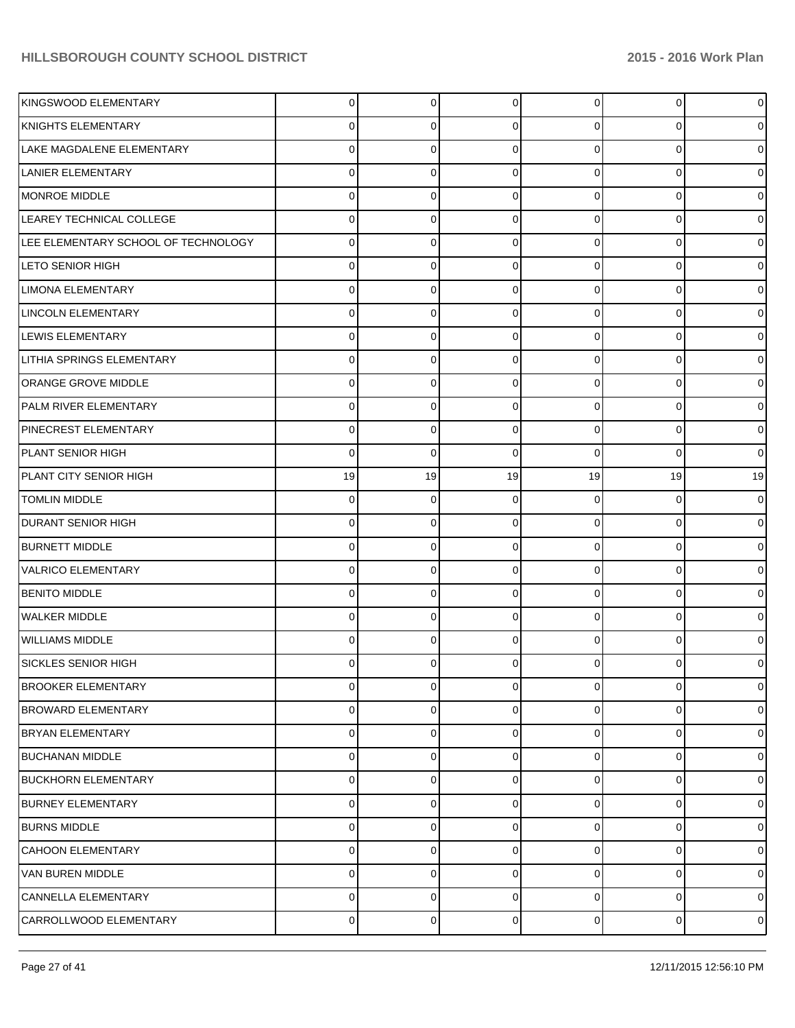| KINGSWOOD ELEMENTARY                | 0  | $\Omega$        | $\Omega$ | $\overline{0}$ | $\overline{0}$ | $\mathbf 0$    |
|-------------------------------------|----|-----------------|----------|----------------|----------------|----------------|
| KNIGHTS ELEMENTARY                  | 0  | 0               | $\Omega$ | 0              | 0              | $\overline{0}$ |
| LAKE MAGDALENE ELEMENTARY           | 0  | 0               | $\Omega$ | 0              | 0              | $\mathbf 0$    |
| LANIER ELEMENTARY                   | 0  | 0               | $\Omega$ | 0              | 0              | $\overline{0}$ |
| <b>MONROE MIDDLE</b>                | 0  | 0               | $\Omega$ | $\Omega$       | 0              | $\mathbf 0$    |
| LEAREY TECHNICAL COLLEGE            | 0  | 0               | $\Omega$ | 0              | 0              | $\overline{0}$ |
| LEE ELEMENTARY SCHOOL OF TECHNOLOGY | 0  | 0               | $\Omega$ | $\Omega$       | 0              | $\mathbf 0$    |
| <b>LETO SENIOR HIGH</b>             | 0  | 0               | $\Omega$ | 0              | 0              | $\overline{0}$ |
| <b>LIMONA ELEMENTARY</b>            | 0  | 0               | $\Omega$ | 0              | 0              | $\mathbf 0$    |
| <b>LINCOLN ELEMENTARY</b>           | 0  | 0               | $\Omega$ | 0              | $\overline{0}$ | $\overline{0}$ |
| <b>LEWIS ELEMENTARY</b>             | 0  | 0               | $\Omega$ | $\Omega$       | 0              | $\mathbf 0$    |
| <b>LITHIA SPRINGS ELEMENTARY</b>    | 0  | 0               | $\Omega$ | 0              | 0              | $\overline{0}$ |
| <b>ORANGE GROVE MIDDLE</b>          | 0  | 0               | $\Omega$ | 0              | 0              | $\mathbf 0$    |
| <b>PALM RIVER ELEMENTARY</b>        | 0  | 0               | $\Omega$ | $\Omega$       | $\overline{0}$ | $\overline{0}$ |
| PINECREST ELEMENTARY                | 0  | 0               | $\Omega$ | $\Omega$       | 0              | $\mathbf 0$    |
| IPLANT SENIOR HIGH                  | 0  | 0               | $\Omega$ | 0              | 0              | $\mathbf 0$    |
| PLANT CITY SENIOR HIGH              | 19 | 19              | 19       | 19             | 19             | 19             |
| <b>TOMLIN MIDDLE</b>                | 0  | 0               | $\Omega$ | 0              | 0              | $\overline{0}$ |
| <b>DURANT SENIOR HIGH</b>           | 0  | 0               | $\Omega$ | 0              | 0              | $\mathbf 0$    |
| <b>BURNETT MIDDLE</b>               | 0  | 0               | $\Omega$ | 0              | 0              | $\overline{0}$ |
| <b>VALRICO ELEMENTARY</b>           | 0  | 0               | $\Omega$ | 0              | 0              | $\mathbf 0$    |
| <b>BENITO MIDDLE</b>                | 0  | 0               | $\Omega$ | 0              | 0              | $\overline{0}$ |
| <b>WALKER MIDDLE</b>                | 0  | 0               | $\Omega$ | 0              | 0              | $\mathbf 0$    |
| WILLIAMS MIDDLE                     | 0  | 0               | $\Omega$ | 0              | $\overline{0}$ | $\overline{0}$ |
| <b>SICKLES SENIOR HIGH</b>          | 0  | 0               | 0        | 0              | 0              | $\overline{0}$ |
| <b>BROOKER ELEMENTARY</b>           | 0  | 0               | 0        | $\overline{0}$ | $\overline{0}$ | $\mathbf 0$    |
| <b>BROWARD ELEMENTARY</b>           | 0  | 0               | $\Omega$ | $\overline{0}$ | $\overline{0}$ | $\mathbf 0$    |
| <b>BRYAN ELEMENTARY</b>             | 0  | 0               | $\Omega$ | $\overline{0}$ | 0              | $\mathbf 0$    |
| <b>BUCHANAN MIDDLE</b>              | 0  | 0               | $\Omega$ | $\overline{0}$ | 0              | $\mathbf 0$    |
| <b>BUCKHORN ELEMENTARY</b>          | 0  | 0               | $\Omega$ | 0              | 0              | $\mathbf 0$    |
| BURNEY ELEMENTARY                   | 0  | 0               | $\Omega$ | $\overline{0}$ | $\overline{0}$ | $\mathbf 0$    |
| <b>BURNS MIDDLE</b>                 | 0  | 0               | $\Omega$ | 0              | 0              | $\mathbf 0$    |
| <b>CAHOON ELEMENTARY</b>            | 0  | 0               | $\Omega$ | $\overline{0}$ | 0              | $\mathbf 0$    |
| VAN BUREN MIDDLE                    | 0  | 0               | $\Omega$ | 0              | 0              | $\mathbf 0$    |
| CANNELLA ELEMENTARY                 | 0  | 0               | 0        | 0              | $\overline{0}$ | $\mathbf 0$    |
| CARROLLWOOD ELEMENTARY              | 0  | $\vert 0 \vert$ | 0        | $\overline{0}$ | $\overline{0}$ | $\mathbf 0$    |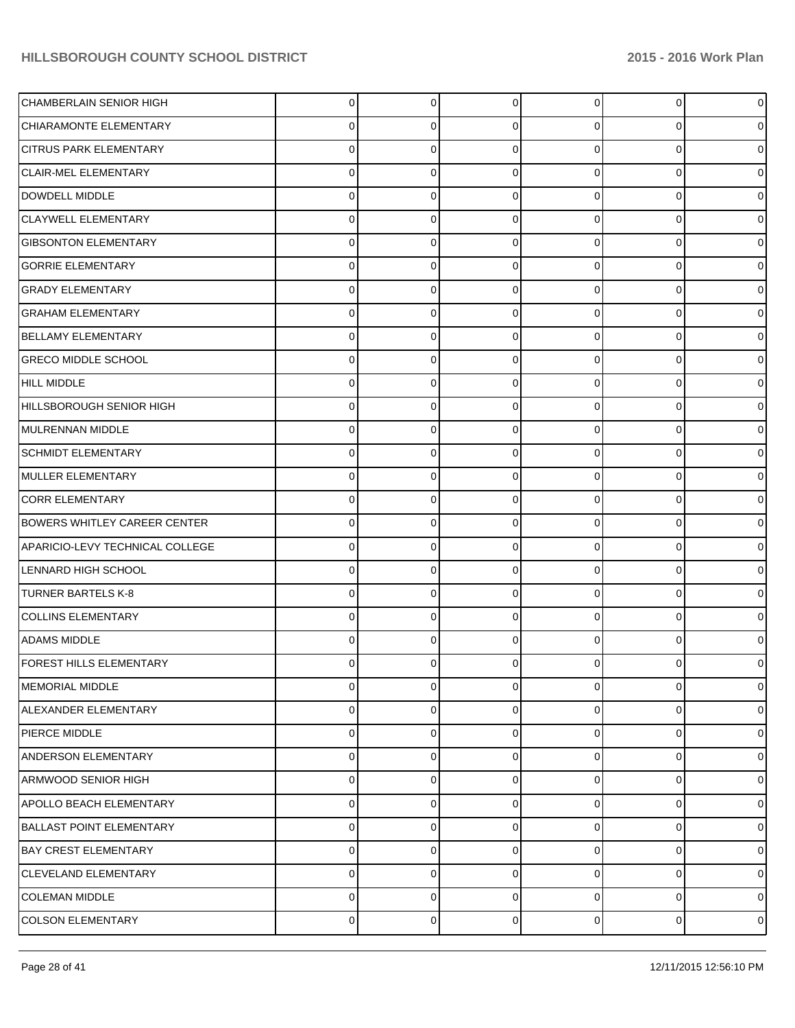| <b>CHAMBERLAIN SENIOR HIGH</b>      | $\Omega$       | $\overline{0}$ | $\Omega$    | 0              | $\overline{0}$ | $\mathbf 0$    |
|-------------------------------------|----------------|----------------|-------------|----------------|----------------|----------------|
| CHIARAMONTE ELEMENTARY              | 0              | 0              | $\Omega$    | 0              | $\overline{0}$ | $\overline{0}$ |
| <b>CITRUS PARK ELEMENTARY</b>       | 0              | 0              | $\Omega$    | 0              | $\overline{0}$ | $\mathbf 0$    |
| <b>CLAIR-MEL ELEMENTARY</b>         | 0              | 0              | $\Omega$    | 0              | $\mathbf{0}$   | $\mathbf 0$    |
| DOWDELL MIDDLE                      | 0              | 0              | $\Omega$    | 0              | $\overline{0}$ | $\mathbf 0$    |
| <b>CLAYWELL ELEMENTARY</b>          | 0              | 0              | $\Omega$    | 0              | $\mathbf{0}$   | $\mathbf 0$    |
| <b>GIBSONTON ELEMENTARY</b>         | 0              | 0              | $\Omega$    | 0              | $\overline{0}$ | $\mathbf 0$    |
| <b>GORRIE ELEMENTARY</b>            | 0              | 0              | $\Omega$    | 0              | $\mathbf 0$    | $\mathbf 0$    |
| <b>GRADY ELEMENTARY</b>             | 0              | 0              | $\Omega$    | 0              | $\overline{0}$ | $\mathbf 0$    |
| <b>GRAHAM ELEMENTARY</b>            | 0              | 0              | $\Omega$    | 0              | $\mathbf{0}$   | $\mathbf 0$    |
| <b>BELLAMY ELEMENTARY</b>           | 0              | 0              | $\Omega$    | 0              | $\mathbf 0$    | $\mathbf 0$    |
| <b>GRECO MIDDLE SCHOOL</b>          | 0              | 0              | $\Omega$    | 0              | $\mathbf 0$    | $\mathbf 0$    |
| <b>HILL MIDDLE</b>                  | 0              | 0              | $\Omega$    | 0              | 0              | $\mathbf 0$    |
| HILLSBOROUGH SENIOR HIGH            | 0              | 0              | $\Omega$    | 0              | $\mathbf{0}$   | $\mathbf 0$    |
| MULRENNAN MIDDLE                    | 0              | 0              | $\Omega$    | 0              | $\mathbf 0$    | $\mathbf 0$    |
| <b>SCHMIDT ELEMENTARY</b>           | 0              | 0              | $\Omega$    | 0              | $\mathbf 0$    | $\mathbf 0$    |
| MULLER ELEMENTARY                   | 0              | 0              | $\Omega$    | 0              | 0              | $\mathbf 0$    |
| <b>CORR ELEMENTARY</b>              | 0              | 0              | $\Omega$    | 0              | $\mathbf 0$    | $\mathbf 0$    |
| <b>BOWERS WHITLEY CAREER CENTER</b> | 0              | 0              | $\Omega$    | 0              | $\overline{0}$ | $\mathbf 0$    |
| APARICIO-LEVY TECHNICAL COLLEGE     | 0              | 0              | $\Omega$    | 0              | $\mathbf 0$    | $\mathbf 0$    |
| LENNARD HIGH SCHOOL                 | 0              | 0              | $\Omega$    | 0              | 0              | $\mathbf 0$    |
| <b>TURNER BARTELS K-8</b>           | 0              | 0              | $\Omega$    | 0              | $\mathbf 0$    | $\mathbf 0$    |
| <b>COLLINS ELEMENTARY</b>           | 0              | 0              | $\Omega$    | 0              | $\overline{0}$ | $\mathbf 0$    |
| <b>ADAMS MIDDLE</b>                 | 0              | 0              | $\Omega$    | 0              | $\overline{0}$ | $\mathbf 0$    |
| FOREST HILLS ELEMENTARY             | 0              | o              |             |                | 0              | $\mathbf 0$    |
| <b>MEMORIAL MIDDLE</b>              | $\overline{0}$ | $\overline{0}$ | $\mathbf 0$ | $\overline{0}$ | $\mathbf 0$    | $\mathbf 0$    |
| ALEXANDER ELEMENTARY                | 0              | 0              | 0           | 0              | $\mathbf{0}$   | $\mathbf 0$    |
| <b>PIERCE MIDDLE</b>                | 0              | 0              | $\Omega$    | $\overline{0}$ | 0              | $\mathbf 0$    |
| <b>ANDERSON ELEMENTARY</b>          | 0              | 0              | 0           | $\overline{0}$ | 0              | $\mathbf 0$    |
| ARMWOOD SENIOR HIGH                 | 0              | 0              | $\Omega$    | $\overline{0}$ | 0              | $\mathbf 0$    |
| <b>APOLLO BEACH ELEMENTARY</b>      | 0              | 0              | 0           | $\overline{0}$ | 0              | $\mathbf 0$    |
| <b>BALLAST POINT ELEMENTARY</b>     | 0              | 0              | $\Omega$    | 0              | 0              | $\mathbf 0$    |
| <b>BAY CREST ELEMENTARY</b>         | 0              | 0              | 0           | $\overline{0}$ | 0              | $\mathbf 0$    |
| CLEVELAND ELEMENTARY                | 0              | 0              | $\Omega$    | 0              | 0              | $\mathbf 0$    |
| <b>COLEMAN MIDDLE</b>               | 0              | 0              | 0           | $\overline{0}$ | 0              | $\overline{0}$ |
| <b>COLSON ELEMENTARY</b>            | 0              | 0              | 0           | $\overline{0}$ | $\overline{0}$ | $\mathbf 0$    |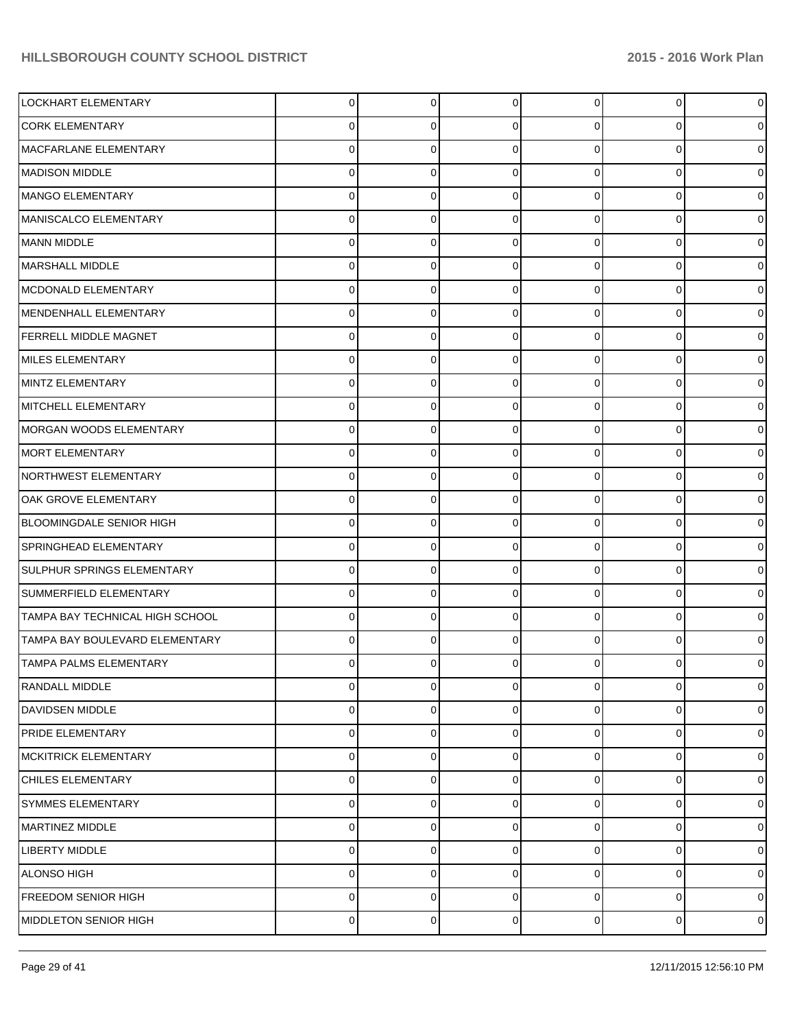| LOCKHART ELEMENTARY               | $\Omega$ | $\overline{0}$ | $\Omega$       | 0           | 0              | $\mathbf 0$    |
|-----------------------------------|----------|----------------|----------------|-------------|----------------|----------------|
| <b>CORK ELEMENTARY</b>            | 0        | 0              | $\Omega$       | 0           | $\overline{0}$ | $\mathbf 0$    |
| MACFARLANE ELEMENTARY             | $\Omega$ | $\Omega$       | $\Omega$       | $\Omega$    | $\overline{0}$ | $\mathbf 0$    |
| MADISON MIDDLE                    | $\Omega$ | $\Omega$       | $\Omega$       | $\Omega$    | $\overline{0}$ | $\mathbf 0$    |
| MANGO ELEMENTARY                  | $\Omega$ | $\Omega$       | $\Omega$       | $\Omega$    | $\overline{0}$ | $\mathbf 0$    |
| MANISCALCO ELEMENTARY             | $\Omega$ | $\Omega$       | $\Omega$       | $\Omega$    | $\overline{0}$ | $\mathbf 0$    |
| MANN MIDDLE                       | $\Omega$ | $\Omega$       | $\Omega$       | $\Omega$    | $\overline{0}$ | $\mathbf 0$    |
| MARSHALL MIDDLE                   | $\Omega$ | $\Omega$       | $\Omega$       | $\Omega$    | $\overline{0}$ | $\mathbf 0$    |
| MCDONALD ELEMENTARY               | 0        | 0              | $\Omega$       | $\Omega$    | $\overline{0}$ | $\mathbf 0$    |
| MENDENHALL ELEMENTARY             | $\Omega$ | 0              | $\Omega$       | $\Omega$    | $\overline{0}$ | $\mathbf 0$    |
| <b>FERRELL MIDDLE MAGNET</b>      | $\Omega$ | $\Omega$       | $\Omega$       | $\Omega$    | $\overline{0}$ | $\mathbf 0$    |
| MILES ELEMENTARY                  | $\Omega$ | $\Omega$       | $\Omega$       | $\Omega$    | $\overline{0}$ | $\mathbf 0$    |
| MINTZ ELEMENTARY                  | 0        | 0              | $\Omega$       | $\Omega$    | $\overline{0}$ | $\mathbf 0$    |
| MITCHELL ELEMENTARY               | $\Omega$ | $\Omega$       | $\Omega$       | $\Omega$    | $\overline{0}$ | $\mathbf 0$    |
| MORGAN WOODS ELEMENTARY           | $\Omega$ | $\Omega$       | $\Omega$       | $\Omega$    | $\overline{0}$ | $\overline{0}$ |
| MORT ELEMENTARY                   | $\Omega$ | $\Omega$       | $\Omega$       | $\Omega$    | $\overline{0}$ | $\mathbf 0$    |
| NORTHWEST ELEMENTARY              | 0        | 0              | $\Omega$       | $\Omega$    | $\overline{0}$ | $\mathbf 0$    |
| OAK GROVE ELEMENTARY              | $\Omega$ | $\Omega$       | $\Omega$       | $\Omega$    | $\overline{0}$ | $\mathbf 0$    |
| BLOOMINGDALE SENIOR HIGH          | $\Omega$ | 0              | $\Omega$       | $\Omega$    | $\overline{0}$ | $\overline{0}$ |
| SPRINGHEAD ELEMENTARY             | $\Omega$ | $\Omega$       | $\Omega$       | $\Omega$    | $\overline{0}$ | $\mathbf 0$    |
| <b>SULPHUR SPRINGS ELEMENTARY</b> | 0        | 0              | $\Omega$       | $\Omega$    | $\overline{0}$ | $\mathbf 0$    |
| SUMMERFIELD ELEMENTARY            | $\Omega$ | 0              | $\Omega$       | $\Omega$    | $\overline{0}$ | $\mathbf 0$    |
| TAMPA BAY TECHNICAL HIGH SCHOOL   | $\Omega$ | 0              | $\Omega$       | $\Omega$    | $\Omega$       | $\overline{0}$ |
| TAMPA BAY BOULEVARD ELEMENTARY    | $\Omega$ | 0              | $\Omega$       | 0           | $\overline{0}$ | $\overline{0}$ |
| TAMPA PALMS ELEMENTARY            |          |                |                |             | 0              | $\overline{0}$ |
| RANDALL MIDDLE                    | 0        | $\overline{0}$ | $\overline{0}$ | 0           | $\overline{0}$ | $\mathbf 0$    |
| <b>DAVIDSEN MIDDLE</b>            | $\Omega$ | $\Omega$       | $\Omega$       | 0           | $\mathbf 0$    | $\mathbf 0$    |
| <b>PRIDE ELEMENTARY</b>           | $\Omega$ | $\Omega$       | $\Omega$       | $\mathbf 0$ | $\overline{0}$ | $\mathbf 0$    |
| <b>MCKITRICK ELEMENTARY</b>       | $\Omega$ | $\Omega$       | $\Omega$       | $\mathbf 0$ | $\overline{0}$ | $\mathbf 0$    |
| CHILES ELEMENTARY                 | $\Omega$ | $\Omega$       | $\Omega$       | 0           | $\mathbf 0$    | $\mathbf 0$    |
| SYMMES ELEMENTARY                 | $\Omega$ | $\Omega$       | $\Omega$       | $\mathbf 0$ | $\overline{0}$ | $\mathbf 0$    |
| MARTINEZ MIDDLE                   | $\Omega$ | $\Omega$       | $\Omega$       | $\mathbf 0$ | $\mathbf 0$    | $\mathbf 0$    |
| <b>LIBERTY MIDDLE</b>             | $\Omega$ | 0              | $\Omega$       | $\mathbf 0$ | $\overline{0}$ | $\mathbf 0$    |
| ALONSO HIGH                       | 0        | 0              | $\Omega$       | 0           | 0              | $\mathbf 0$    |
| <b>FREEDOM SENIOR HIGH</b>        | $\Omega$ | 0              | 0              | 0           | $\mathbf 0$    | $\mathbf 0$    |
| MIDDLETON SENIOR HIGH             | 0        | 0              | 0              | 0           | $\overline{0}$ | $\mathbf 0$    |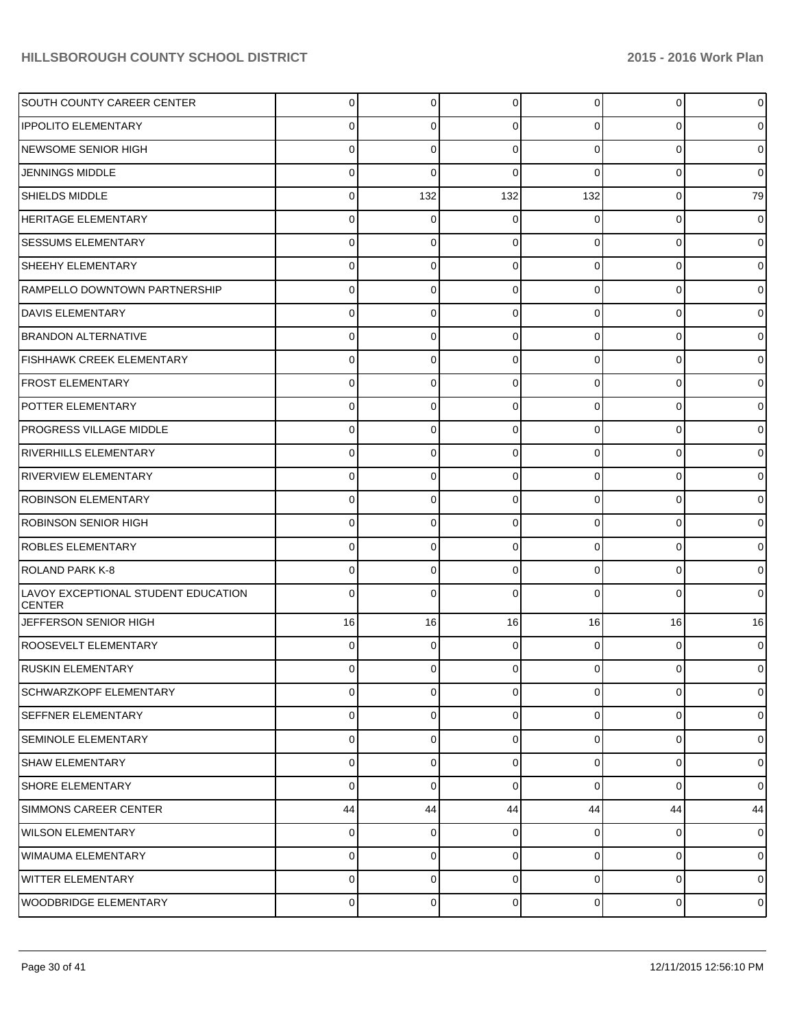| <b>SOUTH COUNTY CAREER CENTER</b>                    | 0           | $\overline{0}$ | $\overline{0}$ | $\overline{0}$ | $\circ$        | $\mathbf 0$    |
|------------------------------------------------------|-------------|----------------|----------------|----------------|----------------|----------------|
| <b>IPPOLITO ELEMENTARY</b>                           | 0           | 0              | $\Omega$       | 0              | $\overline{0}$ | $\mathbf 0$    |
| NEWSOME SENIOR HIGH                                  | 0           | 0              | $\Omega$       | $\Omega$       | $\overline{0}$ | $\mathbf 0$    |
| JENNINGS MIDDLE                                      | 0           | 0              | $\Omega$       | $\Omega$       | $\overline{0}$ | $\mathbf 0$    |
| <b>SHIELDS MIDDLE</b>                                |             | 132            | 132            | 132            | $\overline{0}$ | 79             |
| <b>HERITAGE ELEMENTARY</b>                           | 0           | 0              | $\Omega$       | 0              | $\overline{0}$ | $\mathbf 0$    |
| <b>SESSUMS ELEMENTARY</b>                            | 0           | 0              | $\Omega$       | $\Omega$       | $\overline{0}$ | $\mathbf 0$    |
| <b>SHEEHY ELEMENTARY</b>                             | 0           | 0              | $\Omega$       | $\Omega$       | $\overline{0}$ | $\mathbf 0$    |
| RAMPELLO DOWNTOWN PARTNERSHIP                        |             | $\Omega$       | $\Omega$       | $\Omega$       | $\overline{0}$ | $\mathbf 0$    |
| DAVIS ELEMENTARY                                     | 0           | 0              | $\Omega$       | $\Omega$       | $\overline{0}$ | $\mathbf 0$    |
| <b>BRANDON ALTERNATIVE</b>                           | 0           | $\Omega$       | $\Omega$       | $\Omega$       | $\overline{0}$ | $\mathbf 0$    |
| FISHHAWK CREEK ELEMENTARY                            | 0           | 0              | $\Omega$       | $\Omega$       | $\overline{0}$ | $\mathbf 0$    |
| <b>FROST ELEMENTARY</b>                              | 0           | $\Omega$       | $\Omega$       | $\Omega$       | $\overline{0}$ | $\mathbf 0$    |
| POTTER ELEMENTARY                                    | 0           | 0              | $\Omega$       | $\Omega$       | $\overline{0}$ | $\mathbf 0$    |
| <b>PROGRESS VILLAGE MIDDLE</b>                       | 0           | $\Omega$       | $\Omega$       | $\Omega$       | $\overline{0}$ | $\mathbf 0$    |
| <b>RIVERHILLS ELEMENTARY</b>                         | 0           | 0              | $\Omega$       | $\Omega$       | $\overline{0}$ | $\mathbf 0$    |
| <b>RIVERVIEW ELEMENTARY</b>                          | 0           | $\Omega$       | $\Omega$       | $\Omega$       | $\overline{0}$ | $\mathbf 0$    |
| <b>ROBINSON ELEMENTARY</b>                           | 0           | 0              | $\Omega$       | $\Omega$       | $\overline{0}$ | $\mathbf 0$    |
| ROBINSON SENIOR HIGH                                 |             | 0              | $\Omega$       | $\Omega$       | $\overline{0}$ | $\mathbf 0$    |
| <b>ROBLES ELEMENTARY</b>                             | 0           | 0              | $\Omega$       | $\Omega$       | $\overline{0}$ | $\mathbf 0$    |
| ROLAND PARK K-8                                      | 0           | $\Omega$       | $\Omega$       | $\Omega$       | $\overline{0}$ | $\mathbf 0$    |
| LAVOY EXCEPTIONAL STUDENT EDUCATION<br><b>CENTER</b> | 0           | $\Omega$       | $\Omega$       | 0              | $\Omega$       | $\mathbf 0$    |
| JEFFERSON SENIOR HIGH                                | 16          | 16             | 16             | 16             | 16             | 16             |
| ROOSEVELT ELEMENTARY                                 | 0           | $\Omega$       | $\Omega$       | $\Omega$       | $\overline{0}$ | $\mathbf 0$    |
| <b>RUSKIN ELEMENTARY</b>                             | 0           | $\Omega$       | $\overline{0}$ | $\overline{0}$ | $\overline{0}$ | $\mathbf 0$    |
| <b>SCHWARZKOPF ELEMENTARY</b>                        | 0           | $\Omega$       | $\mathbf 0$    | $\overline{0}$ | $\overline{0}$ | $\mathbf 0$    |
| <b>SEFFNER ELEMENTARY</b>                            | 0           | $\overline{0}$ | $\mathbf 0$    | $\overline{0}$ | $\overline{0}$ | $\mathbf 0$    |
| SEMINOLE ELEMENTARY                                  | $\mathbf 0$ | $\overline{0}$ | $\mathbf 0$    | $\overline{0}$ | $\overline{0}$ | $\mathbf 0$    |
| <b>SHAW ELEMENTARY</b>                               | 0           | $\overline{0}$ | $\mathbf 0$    | $\overline{0}$ | $\overline{0}$ | $\mathbf 0$    |
| <b>SHORE ELEMENTARY</b>                              | $\mathbf 0$ | $\mathbf 0$    | $\mathbf 0$    | $\overline{0}$ | $\overline{0}$ | $\overline{0}$ |
| SIMMONS CAREER CENTER                                | 44          | 44             | 44             | 44             | 44             | 44             |
| WILSON ELEMENTARY                                    | 0           | $\overline{0}$ | 0              | $\overline{0}$ | $\overline{0}$ | $\mathbf 0$    |
| WIMAUMA ELEMENTARY                                   | 0           | $\overline{0}$ | $\mathbf 0$    | $\overline{0}$ | $\overline{0}$ | $\mathbf 0$    |
| WITTER ELEMENTARY                                    | 0           | $\Omega$       | $\mathbf 0$    | $\overline{0}$ | $\overline{0}$ | $\mathbf 0$    |
| WOODBRIDGE ELEMENTARY                                | 0           | $\overline{0}$ | 0              | $\overline{0}$ | $\overline{0}$ | $\mathbf 0$    |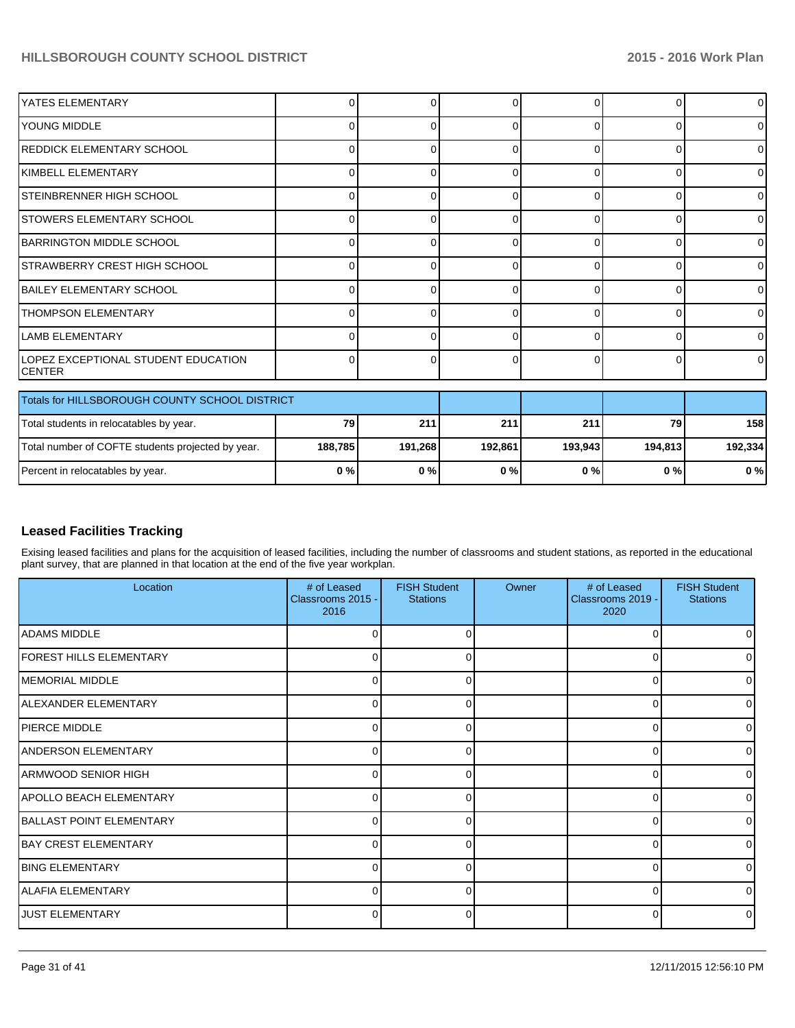| YATES ELEMENTARY                                     |   |   | $\Omega$ | <sup>0</sup> | 0            | $\overline{0}$ |
|------------------------------------------------------|---|---|----------|--------------|--------------|----------------|
| YOUNG MIDDLE                                         |   |   | $\Omega$ | $\Omega$     |              | $\Omega$       |
| <b>REDDICK ELEMENTARY SCHOOL</b>                     |   | U | 0        | ∩            |              | $\overline{0}$ |
| KIMBELL ELEMENTARY                                   |   |   | 0        | r            |              | $\Omega$       |
| STEINBRENNER HIGH SCHOOL                             | r |   | $\Omega$ | $\Omega$     | <sup>0</sup> | $\Omega$       |
| <b>STOWERS ELEMENTARY SCHOOL</b>                     |   |   | 0        | ∩            |              | $\Omega$       |
| BARRINGTON MIDDLE SCHOOL                             |   |   | $\Omega$ | $\Omega$     |              | $\overline{0}$ |
| <b>STRAWBERRY CREST HIGH SCHOOL</b>                  |   |   | U        |              |              | $\Omega$       |
| <b>BAILEY ELEMENTARY SCHOOL</b>                      |   |   | 0        | $\cap$       | ∩            | $\Omega$       |
| <b>THOMPSON ELEMENTARY</b>                           |   |   | 0        | ∩            |              | $\Omega$       |
| <b>LAMB ELEMENTARY</b>                               |   |   | $\Omega$ | $\Omega$     |              | $\Omega$       |
| LOPEZ EXCEPTIONAL STUDENT EDUCATION<br><b>CENTER</b> |   |   | 0        | ∩            |              | $\Omega$       |
| Totals for HILLSBOROUGH COUNTY SCHOOL DISTRICT       |   |   |          |              |              |                |

| I Totals for HILLSBOROUGH COUNTY SCHOOL DISTRICT  |         |         |         |         |         |         |
|---------------------------------------------------|---------|---------|---------|---------|---------|---------|
| Total students in relocatables by year.           | 79 I    | 211     | 211     | 211     | 79      | 158     |
| Total number of COFTE students projected by year. | 188.785 | 191.268 | 192.861 | 193.943 | 194.813 | 192,334 |
| Percent in relocatables by year.                  | 0 % I   | 0%      | 0%      | 0%      | 0 % I   | 0%      |

#### **Leased Facilities Tracking**

Exising leased facilities and plans for the acquisition of leased facilities, including the number of classrooms and student stations, as reported in the educational plant survey, that are planned in that location at the end of the five year workplan.

| Location                        | # of Leased<br>Classrooms 2015 -<br>2016 | <b>FISH Student</b><br><b>Stations</b> | Owner | # of Leased<br>Classrooms 2019 -<br>2020 | <b>FISH Student</b><br><b>Stations</b> |
|---------------------------------|------------------------------------------|----------------------------------------|-------|------------------------------------------|----------------------------------------|
| <b>ADAMS MIDDLE</b>             | 0                                        |                                        |       | O                                        |                                        |
| <b>FOREST HILLS ELEMENTARY</b>  | $\Omega$                                 | 0                                      |       | $\Omega$                                 | 0                                      |
| MEMORIAL MIDDLE                 | 0                                        |                                        |       | $\Omega$                                 |                                        |
| <b>JALEXANDER ELEMENTARY</b>    | $\Omega$                                 | U                                      |       | 0                                        |                                        |
| <b>IPIERCE MIDDLE</b>           | 0                                        |                                        |       | O                                        |                                        |
| <b>ANDERSON ELEMENTARY</b>      | $\Omega$                                 | U                                      |       | O                                        |                                        |
| <b>ARMWOOD SENIOR HIGH</b>      | 0                                        |                                        |       | n                                        |                                        |
| <b>APOLLO BEACH ELEMENTARY</b>  | 0                                        | 0                                      |       | O                                        |                                        |
| <b>BALLAST POINT ELEMENTARY</b> | 0                                        |                                        |       | n                                        |                                        |
| <b>BAY CREST ELEMENTARY</b>     | $\Omega$                                 | 0                                      |       | 0                                        |                                        |
| <b>BING ELEMENTARY</b>          | n                                        |                                        |       | ∩                                        |                                        |
| <b>ALAFIA ELEMENTARY</b>        | $\Omega$                                 | $\Omega$                               |       | 0                                        | U                                      |
| <b>JUST ELEMENTARY</b>          | 0                                        |                                        |       | 0                                        |                                        |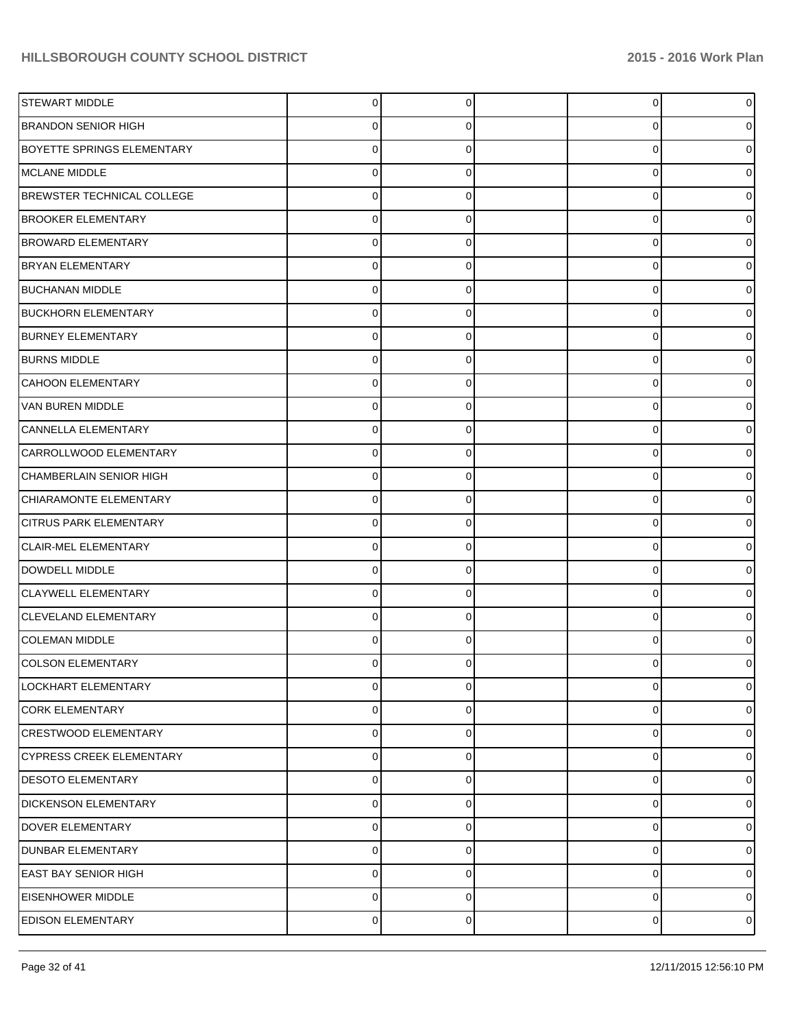| STEWART MIDDLE                    | 0           | 0 | 0 | 0           |
|-----------------------------------|-------------|---|---|-------------|
| <b>BRANDON SENIOR HIGH</b>        | 0           | 0 | 0 | 0           |
| <b>BOYETTE SPRINGS ELEMENTARY</b> | $\Omega$    | 0 | 0 | 0           |
| MCLANE MIDDLE                     | 0           | 0 | 0 | 0           |
| BREWSTER TECHNICAL COLLEGE        | 0           | 0 | 0 | 0           |
| <b>BROOKER ELEMENTARY</b>         | 0           | 0 | 0 | 0           |
| <b>BROWARD ELEMENTARY</b>         | 0           | 0 | 0 | 0           |
| <b>BRYAN ELEMENTARY</b>           | 0           | 0 | 0 | o           |
| <b>BUCHANAN MIDDLE</b>            | 0           | 0 | 0 | 0           |
| <b>BUCKHORN ELEMENTARY</b>        | 0           | 0 | 0 | 0           |
| <b>BURNEY ELEMENTARY</b>          | 0           | 0 | 0 | 0           |
| <b>BURNS MIDDLE</b>               | 0           | 0 | 0 | o           |
| CAHOON ELEMENTARY                 | 0           | 0 | 0 | o           |
| VAN BUREN MIDDLE                  | 0           | 0 | 0 | 0           |
| CANNELLA ELEMENTARY               | 0           | 0 | 0 | 0           |
| CARROLLWOOD ELEMENTARY            | 0           | 0 | 0 | 0           |
| CHAMBERLAIN SENIOR HIGH           | 0           | 0 | 0 | o           |
| CHIARAMONTE ELEMENTARY            | 0           | 0 | 0 | 0           |
| <b>CITRUS PARK ELEMENTARY</b>     | 0           | 0 | 0 | 0           |
| CLAIR-MEL ELEMENTARY              | 0           | 0 | 0 | 0           |
| DOWDELL MIDDLE                    | $\Omega$    | 0 | 0 | o           |
| <b>CLAYWELL ELEMENTARY</b>        | 0           | 0 | 0 | 0           |
| CLEVELAND ELEMENTARY              | 0           | 0 | 0 | 0           |
| <b>COLEMAN MIDDLE</b>             | 0           | 0 | 0 | o           |
| <b>COLSON ELEMENTARY</b>          | 0           | 0 | 0 | 0           |
| LOCKHART ELEMENTARY               | 0           | 0 | 0 | 0           |
| <b>CORK ELEMENTARY</b>            | 0           | 0 | 0 | 0           |
| CRESTWOOD ELEMENTARY              | $\pmb{0}$   | 0 | 0 | 0           |
| <b>CYPRESS CREEK ELEMENTARY</b>   | $\pmb{0}$   | 0 | 0 | 0           |
| <b>DESOTO ELEMENTARY</b>          | $\pmb{0}$   | 0 | 0 | 0           |
| <b>DICKENSON ELEMENTARY</b>       | $\pmb{0}$   | 0 | 0 | 0           |
| DOVER ELEMENTARY                  | $\pmb{0}$   | 0 | 0 | 0           |
| <b>DUNBAR ELEMENTARY</b>          | $\pmb{0}$   | 0 | 0 | 0           |
| <b>EAST BAY SENIOR HIGH</b>       | $\mathbf 0$ | 0 | 0 | 0           |
| <b>EISENHOWER MIDDLE</b>          | 0           | 0 | 0 | 0           |
| <b>EDISON ELEMENTARY</b>          | $\pmb{0}$   | 0 | 0 | $\mathbf 0$ |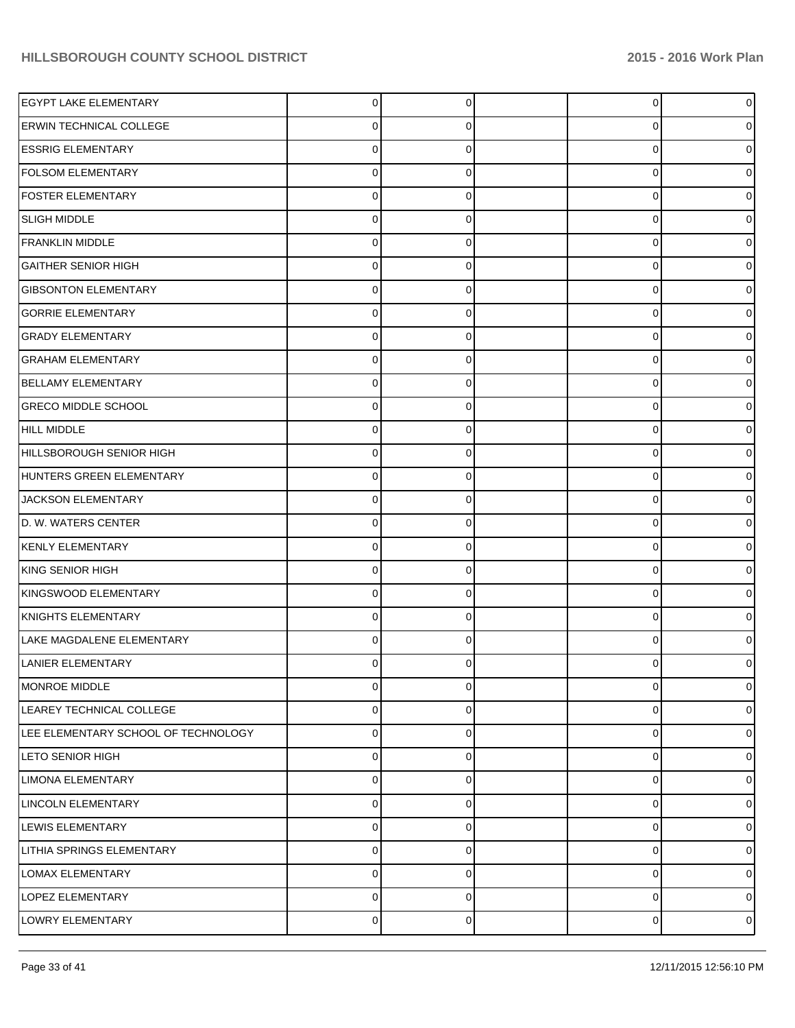| <b>EGYPT LAKE ELEMENTARY</b>        | 0              | $\Omega$    | $\overline{0}$ | $\overline{0}$ |
|-------------------------------------|----------------|-------------|----------------|----------------|
| <b>ERWIN TECHNICAL COLLEGE</b>      | 0              | 0           | 0              | 0              |
| <b>ESSRIG ELEMENTARY</b>            | 0              | C           | 0              | 0              |
| <b>FOLSOM ELEMENTARY</b>            | $\Omega$       | $\Omega$    | 0              | 0              |
| <b>FOSTER ELEMENTARY</b>            | $\Omega$       | ∩           | 0              | 0              |
| <b>SLIGH MIDDLE</b>                 | $\Omega$       | $\Omega$    | 0              | 0              |
| <b>FRANKLIN MIDDLE</b>              | 0              | C           | 0              | 0              |
| <b>GAITHER SENIOR HIGH</b>          | $\Omega$       | $\Omega$    | 0              | 0              |
| <b>GIBSONTON ELEMENTARY</b>         | $\Omega$       | ∩           | 0              | 0              |
| <b>GORRIE ELEMENTARY</b>            | 0              | $\Omega$    | 0              | 0              |
| <b>GRADY ELEMENTARY</b>             | 0              | C           | 0              | 0              |
| <b>GRAHAM ELEMENTARY</b>            | $\Omega$       | $\Omega$    | 0              | 0              |
| <b>BELLAMY ELEMENTARY</b>           | 0              | ∩           | 0              | 0              |
| <b>GRECO MIDDLE SCHOOL</b>          | 0              | $\Omega$    | 0              | 0              |
| HILL MIDDLE                         | 0              | C           | 0              | 0              |
| HILLSBOROUGH SENIOR HIGH            | $\Omega$       | $\Omega$    | 0              | 0              |
| HUNTERS GREEN ELEMENTARY            | 0              | ∩           | 0              | 0              |
| JACKSON ELEMENTARY                  | $\Omega$       | $\Omega$    | 0              | 0              |
| D. W. WATERS CENTER                 | 0              | C           | 0              | 0              |
| KENLY ELEMENTARY                    | $\Omega$       | $\Omega$    | 0              | 0              |
| KING SENIOR HIGH                    | 0              | ∩           | 0              | 0              |
| KINGSWOOD ELEMENTARY                | 0              | $\Omega$    | 0              | 0              |
| KNIGHTS ELEMENTARY                  | 0              | $\Omega$    | 0              | 0              |
| LAKE MAGDALENE ELEMENTARY           | 0              | $\Omega$    | 0              | 0              |
| LANIER ELEMENTARY                   | 0              |             | 0              | 0              |
| MONROE MIDDLE                       | $\mathbf 0$    | $\mathbf 0$ | 0              | $\overline{0}$ |
| LEAREY TECHNICAL COLLEGE            | 0              | 0           | 0              | $\overline{0}$ |
| LEE ELEMENTARY SCHOOL OF TECHNOLOGY | 0              | $\Omega$    | 0              | $\overline{0}$ |
| LETO SENIOR HIGH                    | 0              | 0           | 0              | $\overline{0}$ |
| <b>LIMONA ELEMENTARY</b>            | 0              | $\Omega$    | 0              | $\overline{0}$ |
| LINCOLN ELEMENTARY                  | 0              | $\Omega$    | 0              | $\overline{0}$ |
| LEWIS ELEMENTARY                    | 0              | $\Omega$    | 0              | $\overline{0}$ |
| LITHIA SPRINGS ELEMENTARY           | 0              | $\Omega$    | 0              | $\overline{0}$ |
| <b>LOMAX ELEMENTARY</b>             | 0              | $\Omega$    | 0              | $\overline{0}$ |
| LOPEZ ELEMENTARY                    | $\mathbf 0$    | 0           | $\mathbf 0$    | $\circ$        |
| LOWRY ELEMENTARY                    | $\overline{0}$ | 0           | 0              | $\circ$        |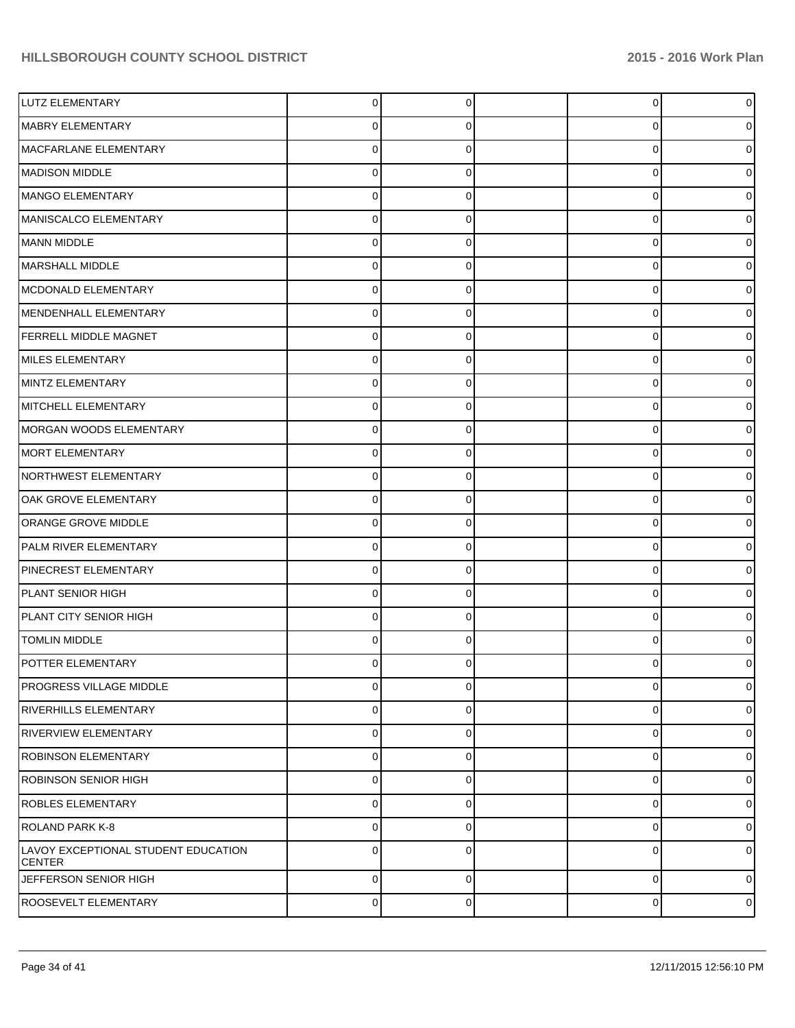| LUTZ ELEMENTARY                                      | $\Omega$       | $\Omega$    | $\Omega$    | $\overline{0}$ |
|------------------------------------------------------|----------------|-------------|-------------|----------------|
| MABRY ELEMENTARY                                     | 0              | 0           | 0           | 0              |
| MACFARLANE ELEMENTARY                                | 0              | 0           | $\Omega$    | 0              |
| MADISON MIDDLE                                       | 0              | 0           | $\Omega$    | 0              |
| MANGO ELEMENTARY                                     | 0              | 0           | $\Omega$    | 0              |
| MANISCALCO ELEMENTARY                                | 0              | 0           | $\Omega$    | 0              |
| MANN MIDDLE                                          | 0              | 0           | $\Omega$    | 0              |
| MARSHALL MIDDLE                                      | 0              | $\Omega$    | $\Omega$    | 0              |
| MCDONALD ELEMENTARY                                  | 0              | 0           | $\Omega$    | 0              |
| MENDENHALL ELEMENTARY                                | 0              | 0           | $\Omega$    | 0              |
| FERRELL MIDDLE MAGNET                                | 0              | 0           | $\Omega$    | ი              |
| MILES ELEMENTARY                                     | 0              | $\Omega$    | $\Omega$    | 0              |
| MINTZ ELEMENTARY                                     | 0              | 0           | $\Omega$    | ი              |
| MITCHELL ELEMENTARY                                  | 0              | 0           | $\Omega$    | 0              |
| MORGAN WOODS ELEMENTARY                              | 0              | 0           | $\Omega$    | o              |
| MORT ELEMENTARY                                      | 0              | $\Omega$    | $\Omega$    | 0              |
| NORTHWEST ELEMENTARY                                 | 0              | 0           | $\Omega$    | o              |
| OAK GROVE ELEMENTARY                                 | 0              | 0           | $\Omega$    | 0              |
| ORANGE GROVE MIDDLE                                  | 0              | 0           | $\Omega$    | o              |
| PALM RIVER ELEMENTARY                                | 0              | $\Omega$    | $\Omega$    | 0              |
| PINECREST ELEMENTARY                                 | 0              | 0           | $\Omega$    | 0              |
| PLANT SENIOR HIGH                                    | 0              | 0           | 0           | 0              |
| PLANT CITY SENIOR HIGH                               | 0              |             | $\Omega$    | ი              |
| <b>TOMLIN MIDDLE</b>                                 | 0              | 0           | $\Omega$    | ი              |
| POTTER ELEMENTARY                                    | 0              | 0           | U           | 0              |
| <b>PROGRESS VILLAGE MIDDLE</b>                       | 0              | $\Omega$    | $\mathbf 0$ | $\mathbf{O}$   |
| <b>RIVERHILLS ELEMENTARY</b>                         | 0              | $\Omega$    | 0           | 0              |
| <b>RIVERVIEW ELEMENTARY</b>                          | 0              | 0           | 0           | $\overline{0}$ |
| <b>ROBINSON ELEMENTARY</b>                           | 0              | $\Omega$    | $\mathbf 0$ | 0              |
| ROBINSON SENIOR HIGH                                 | 0              | 0           | $\mathbf 0$ | $\overline{0}$ |
| <b>ROBLES ELEMENTARY</b>                             | 0              | $\Omega$    | 0           | 0              |
| ROLAND PARK K-8                                      | 0              | 0           | 0           | $\overline{0}$ |
| LAVOY EXCEPTIONAL STUDENT EDUCATION<br><b>CENTER</b> | $\Omega$       | $\Omega$    | 0           | 01             |
| JEFFERSON SENIOR HIGH                                | $\overline{0}$ | 0           | 0           | $\overline{0}$ |
| ROOSEVELT ELEMENTARY                                 | $\overline{0}$ | $\mathbf 0$ | 0           | $\overline{0}$ |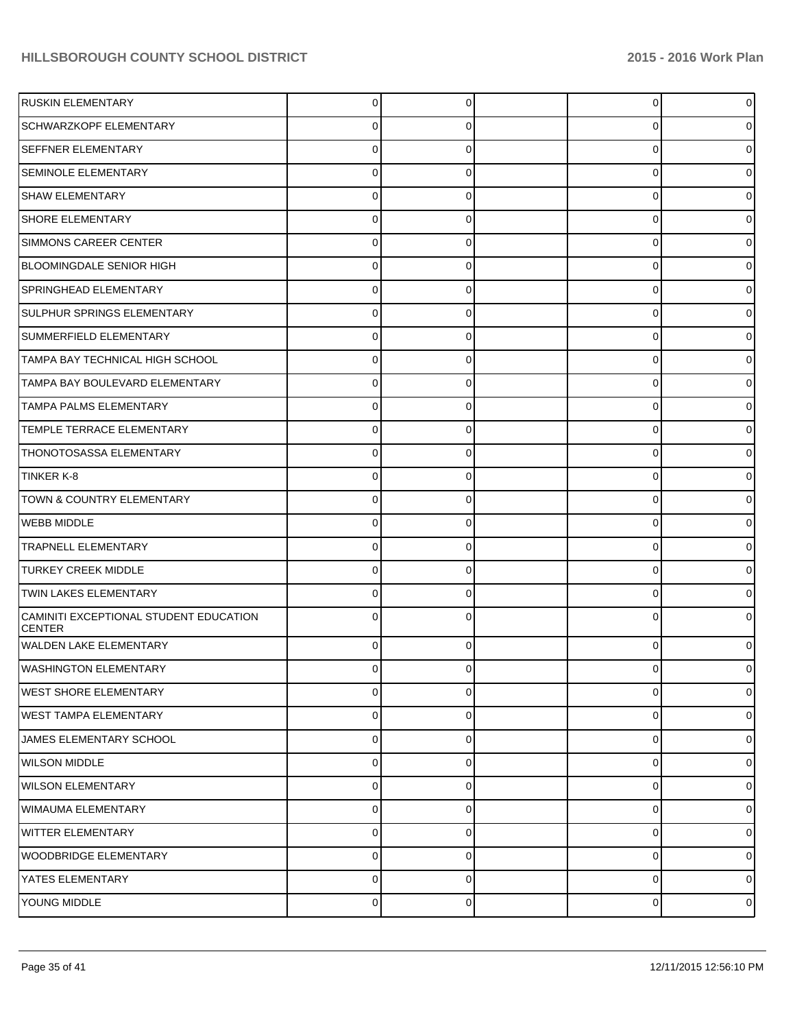| <b>RUSKIN ELEMENTARY</b>                                | 0           | $\Omega$    | $\overline{0}$ | 0              |
|---------------------------------------------------------|-------------|-------------|----------------|----------------|
| <b>SCHWARZKOPF ELEMENTARY</b>                           | 0           |             | 0              | 0              |
| <b>SEFFNER ELEMENTARY</b>                               | 0           |             | $\Omega$       | 0              |
| <b>SEMINOLE ELEMENTARY</b>                              | 0           | ∩           | 0              | 0              |
| <b>SHAW ELEMENTARY</b>                                  | 0           |             | 0              | 0              |
| <b>SHORE ELEMENTARY</b>                                 | 0           | ∩           | 0              | 0              |
| <b>SIMMONS CAREER CENTER</b>                            | 0           |             | $\Omega$       | 0              |
| BLOOMINGDALE SENIOR HIGH                                | 0           | ∩           | 0              | 0              |
| SPRINGHEAD ELEMENTARY                                   | 0           |             | $\Omega$       | 0              |
| <b>SULPHUR SPRINGS ELEMENTARY</b>                       | 0           | 0           | 0              | 0              |
| SUMMERFIELD ELEMENTARY                                  | 0           |             | 0              | 0              |
| TAMPA BAY TECHNICAL HIGH SCHOOL                         | 0           | $\Omega$    | 0              | 0              |
| TAMPA BAY BOULEVARD ELEMENTARY                          | 0           | O           | $\Omega$       | 0              |
| <b>TAMPA PALMS ELEMENTARY</b>                           | 0           | 0           | 0              | 0              |
| TEMPLE TERRACE ELEMENTARY                               | 0           |             | 0              | 0              |
| <b>THONOTOSASSA ELEMENTARY</b>                          | 0           | $\Omega$    | 0              | 0              |
| TINKER K-8                                              | 0           |             | 0              | 0              |
| TOWN & COUNTRY ELEMENTARY                               | 0           | $\Omega$    | 0              | 0              |
| <b>WEBB MIDDLE</b>                                      | 0           |             | 0              | 0              |
| <b>TRAPNELL ELEMENTARY</b>                              | 0           | $\Omega$    | 0              | 0              |
| <b>TURKEY CREEK MIDDLE</b>                              | 0           |             | 0              | 0              |
| <b>TWIN LAKES ELEMENTARY</b>                            | 0           | $\Omega$    | 0              | 0              |
| CAMINITI EXCEPTIONAL STUDENT EDUCATION<br><b>CENTER</b> | ∩           |             | 0              | 0              |
| <b>WALDEN LAKE ELEMENTARY</b>                           | $\Omega$    | $\Omega$    | $\Omega$       | 0              |
| <b>WASHINGTON ELEMENTARY</b>                            | 0           | $\Omega$    | $\Omega$       | 01             |
| lwest shore elementary                                  | $\Omega$    | $\Omega$    | 0              | $\overline{0}$ |
| <b>WEST TAMPA ELEMENTARY</b>                            | 0           | 0           | 0              | $\overline{0}$ |
| JAMES ELEMENTARY SCHOOL                                 | $\mathbf 0$ | 0           | 0              | $\overline{0}$ |
| <b>WILSON MIDDLE</b>                                    | 0           | 0           | 0              | $\overline{0}$ |
| WILSON ELEMENTARY                                       | $\mathbf 0$ | $\Omega$    | 0              | $\overline{0}$ |
| <b>WIMAUMA ELEMENTARY</b>                               | 0           | 0           | 0              | $\overline{0}$ |
| <b>WITTER ELEMENTARY</b>                                | $\mathbf 0$ | 0           | 0              | $\overline{0}$ |
| <b>WOODBRIDGE ELEMENTARY</b>                            | $\mathbf 0$ | 0           | 0              | $\overline{0}$ |
| YATES ELEMENTARY                                        | $\mathbf 0$ | $\Omega$    | 0              | $\overline{0}$ |
| YOUNG MIDDLE                                            | $\mathbf 0$ | $\mathbf 0$ | 0              | $\overline{0}$ |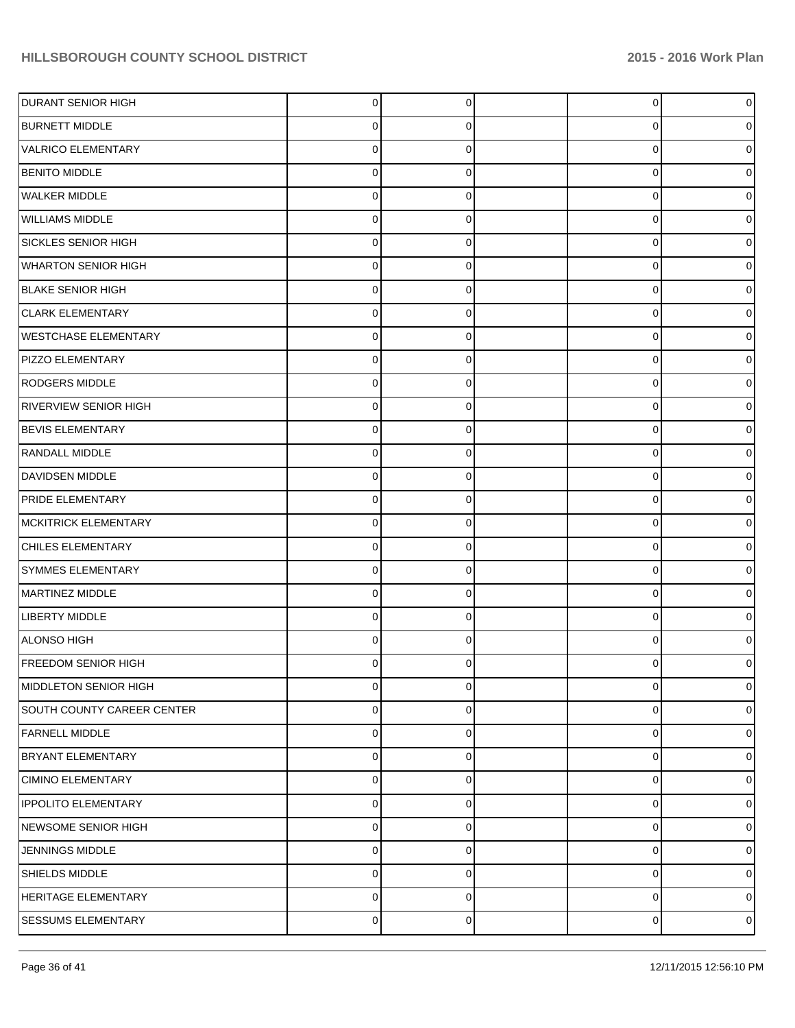| <b>DURANT SENIOR HIGH</b>   | $\overline{0}$ | $\mathbf 0$ | $\overline{0}$ | $\overline{0}$ |
|-----------------------------|----------------|-------------|----------------|----------------|
| <b>BURNETT MIDDLE</b>       | 0              | 0           | 0              | 0              |
| VALRICO ELEMENTARY          | $\Omega$       | $\Omega$    | 0              | 0              |
| <b>BENITO MIDDLE</b>        | $\Omega$       | $\Omega$    | 0              | 0              |
| <b>WALKER MIDDLE</b>        | $\Omega$       | $\Omega$    | 0              | o              |
| <b>WILLIAMS MIDDLE</b>      | 0              | $\Omega$    | 0              | 0              |
| SICKLES SENIOR HIGH         | $\Omega$       | $\Omega$    | 0              | o              |
| <b>WHARTON SENIOR HIGH</b>  | 0              | $\Omega$    | 0              | 0              |
| <b>BLAKE SENIOR HIGH</b>    | $\Omega$       | $\Omega$    | 0              |                |
| <b>CLARK ELEMENTARY</b>     | 0              | $\Omega$    | 0              | 0              |
| <b>WESTCHASE ELEMENTARY</b> | $\Omega$       | $\Omega$    | 0              | o              |
| <b>PIZZO ELEMENTARY</b>     | 0              | $\Omega$    | 0              | 0              |
| RODGERS MIDDLE              | $\Omega$       | $\Omega$    | 0              |                |
| RIVERVIEW SENIOR HIGH       | 0              | $\Omega$    | 0              | 0              |
| <b>BEVIS ELEMENTARY</b>     | $\Omega$       | $\Omega$    | 0              | o              |
| <b>RANDALL MIDDLE</b>       | 0              | $\Omega$    | 0              | 0              |
| DAVIDSEN MIDDLE             | 0              | $\Omega$    | 0              |                |
| PRIDE ELEMENTARY            | 0              | $\Omega$    | 0              | o              |
| <b>MCKITRICK ELEMENTARY</b> | $\Omega$       | $\Omega$    | 0              |                |
| CHILES ELEMENTARY           | 0              | $\Omega$    | 0              | 0              |
| SYMMES ELEMENTARY           | 0              | $\Omega$    | 0              |                |
| MARTINEZ MIDDLE             | 0              | $\Omega$    | 0              | 0              |
| LIBERTY MIDDLE              | $\Omega$       | $\Omega$    | 0              |                |
| ALONSO HIGH                 | $\Omega$       | $\Omega$    | 0              |                |
| <b>FREEDOM SENIOR HIGH</b>  | n              |             | U              |                |
| MIDDLETON SENIOR HIGH       | $\overline{0}$ | $\mathbf 0$ | 0              | $\overline{0}$ |
| SOUTH COUNTY CAREER CENTER  | 0              | 0           | $\mathbf 0$    | $\overline{0}$ |
| <b>FARNELL MIDDLE</b>       | $\overline{0}$ | $\Omega$    | 0              | $\overline{0}$ |
| <b>BRYANT ELEMENTARY</b>    | $\overline{0}$ | 0           | 0              | $\overline{0}$ |
| CIMINO ELEMENTARY           | $\Omega$       | $\Omega$    | 0              | $\overline{0}$ |
| <b>IPPOLITO ELEMENTARY</b>  | $\overline{0}$ | $\Omega$    | 0              | $\overline{0}$ |
| NEWSOME SENIOR HIGH         | $\Omega$       | $\Omega$    | 0              | $\overline{0}$ |
| <b>JENNINGS MIDDLE</b>      | $\Omega$       | $\Omega$    | 0              | $\overline{0}$ |
| SHIELDS MIDDLE              | 0              | $\Omega$    | 0              | $\overline{0}$ |
| HERITAGE ELEMENTARY         | $\Omega$       | $\mathbf 0$ | 0              | $\overline{0}$ |
| <b>SESSUMS ELEMENTARY</b>   | $\overline{0}$ | 0           | 0              | $\circ$        |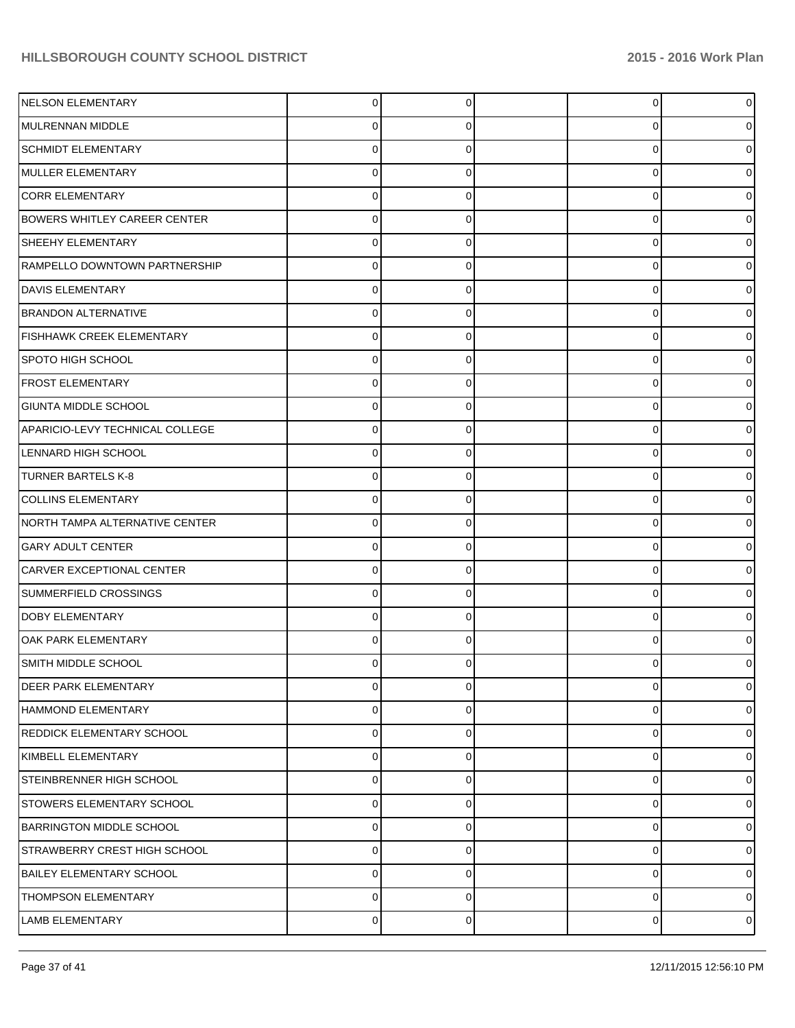| NELSON ELEMENTARY                   | $\overline{0}$ | $\Omega$ | $\Omega$    | $\overline{0}$ |
|-------------------------------------|----------------|----------|-------------|----------------|
| MULRENNAN MIDDLE                    | 0              | 0        | 0           | 0              |
| <b>SCHMIDT ELEMENTARY</b>           | 0              | 0        | $\Omega$    | 0              |
| MULLER ELEMENTARY                   | 0              | 0        | $\Omega$    | 0              |
| <b>CORR ELEMENTARY</b>              | 0              |          | $\Omega$    | 0              |
| <b>BOWERS WHITLEY CAREER CENTER</b> | 0              | $\Omega$ | $\Omega$    | 0              |
| SHEEHY ELEMENTARY                   | 0              | 0        | $\Omega$    | 0              |
| RAMPELLO DOWNTOWN PARTNERSHIP       | 0              | 0        | $\Omega$    | 0              |
| DAVIS ELEMENTARY                    | O.             |          | 0           | 0              |
| <b>BRANDON ALTERNATIVE</b>          | 0              | 0        | 0           | 0              |
| <b>FISHHAWK CREEK ELEMENTARY</b>    | 0              |          | $\Omega$    | 0              |
| SPOTO HIGH SCHOOL                   | 0              | $\Omega$ | $\Omega$    | 0              |
| <b>FROST ELEMENTARY</b>             | O.             |          | 0           | 0              |
| <b>GIUNTA MIDDLE SCHOOL</b>         | 0              |          | 0           | 0              |
| APARICIO-LEVY TECHNICAL COLLEGE     | 0              |          | $\Omega$    | 0              |
| LENNARD HIGH SCHOOL                 | 0              | $\Omega$ | $\Omega$    | 0              |
| <b>TURNER BARTELS K-8</b>           | O.             |          | 0           | 0              |
| <b>COLLINS ELEMENTARY</b>           | 0              |          | 0           | 0              |
| NORTH TAMPA ALTERNATIVE CENTER      | O.             |          | 0           | 0              |
| <b>GARY ADULT CENTER</b>            | 0              | $\Omega$ | $\Omega$    | 0              |
| CARVER EXCEPTIONAL CENTER           | O.             |          | 0           | 0              |
| SUMMERFIELD CROSSINGS               | 0              |          | 0           | 0              |
| <b>DOBY ELEMENTARY</b>              | O.             |          | $\Omega$    | 0              |
| OAK PARK ELEMENTARY                 | 0              | 0        | $\Omega$    | 0              |
| SMITH MIDDLE SCHOOL                 |                |          |             | 0              |
| <b>DEER PARK ELEMENTARY</b>         | 0              | $\Omega$ | $\mathbf 0$ | $\overline{0}$ |
| HAMMOND ELEMENTARY                  | 0              | 0        | 0           | 0              |
| REDDICK ELEMENTARY SCHOOL           | 0              | $\Omega$ | $\mathbf 0$ | $\overline{0}$ |
| KIMBELL ELEMENTARY                  | 0              | 0        | $\mathbf 0$ | 0              |
| STEINBRENNER HIGH SCHOOL            | 0              | $\Omega$ | $\mathbf 0$ | 0              |
| STOWERS ELEMENTARY SCHOOL           | 0              | $\Omega$ | $\mathbf 0$ | 0              |
| <b>BARRINGTON MIDDLE SCHOOL</b>     | 0              | $\Omega$ | $\mathbf 0$ | 0              |
| STRAWBERRY CREST HIGH SCHOOL        | 0              | 0        | $\mathbf 0$ | 0              |
| <b>BAILEY ELEMENTARY SCHOOL</b>     | 0              | $\Omega$ | 0           | 0              |
| <b>THOMPSON ELEMENTARY</b>          | 0              | 0        | 0           | 0              |
| <b>LAMB ELEMENTARY</b>              | 0              | 0        | 0           | $\circ$        |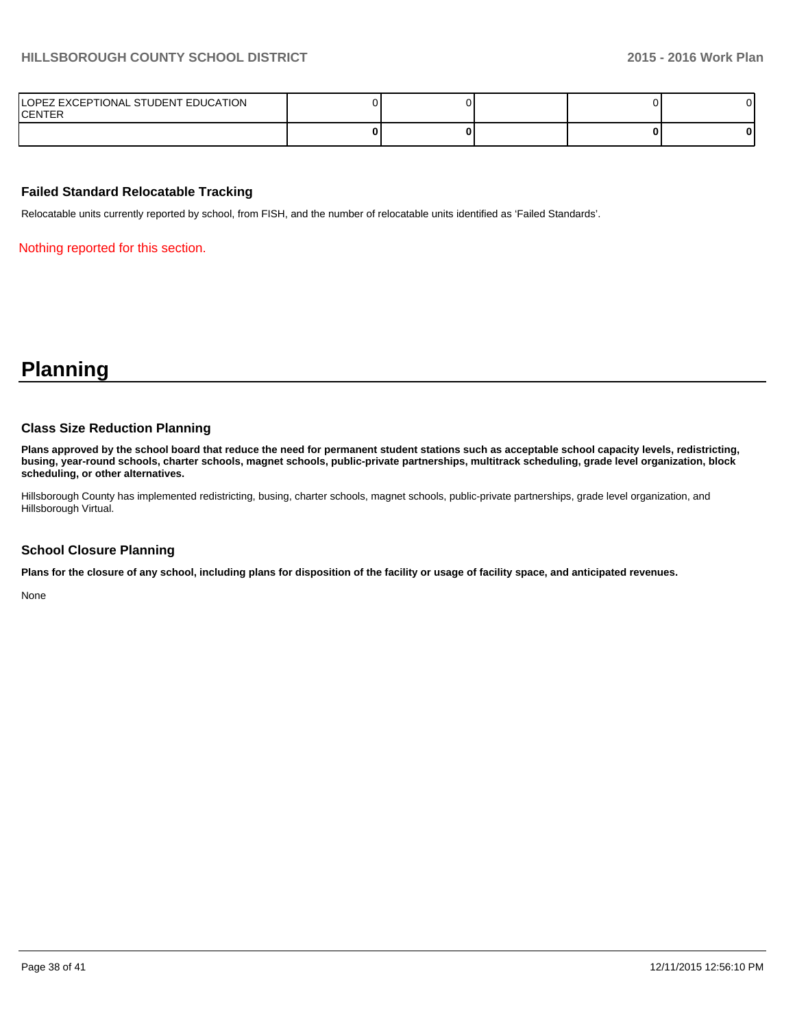| LOPEZ EXCEPTIONAL STUDENT EDUCATION<br><b>CENTER</b> |  |  |   |
|------------------------------------------------------|--|--|---|
|                                                      |  |  | 0 |

#### **Failed Standard Relocatable Tracking**

Relocatable units currently reported by school, from FISH, and the number of relocatable units identified as 'Failed Standards'.

Nothing reported for this section.

**Planning**

#### **Class Size Reduction Planning**

**Plans approved by the school board that reduce the need for permanent student stations such as acceptable school capacity levels, redistricting, busing, year-round schools, charter schools, magnet schools, public-private partnerships, multitrack scheduling, grade level organization, block scheduling, or other alternatives.**

Hillsborough County has implemented redistricting, busing, charter schools, magnet schools, public-private partnerships, grade level organization, and Hillsborough Virtual.

#### **School Closure Planning**

**Plans for the closure of any school, including plans for disposition of the facility or usage of facility space, and anticipated revenues.**

None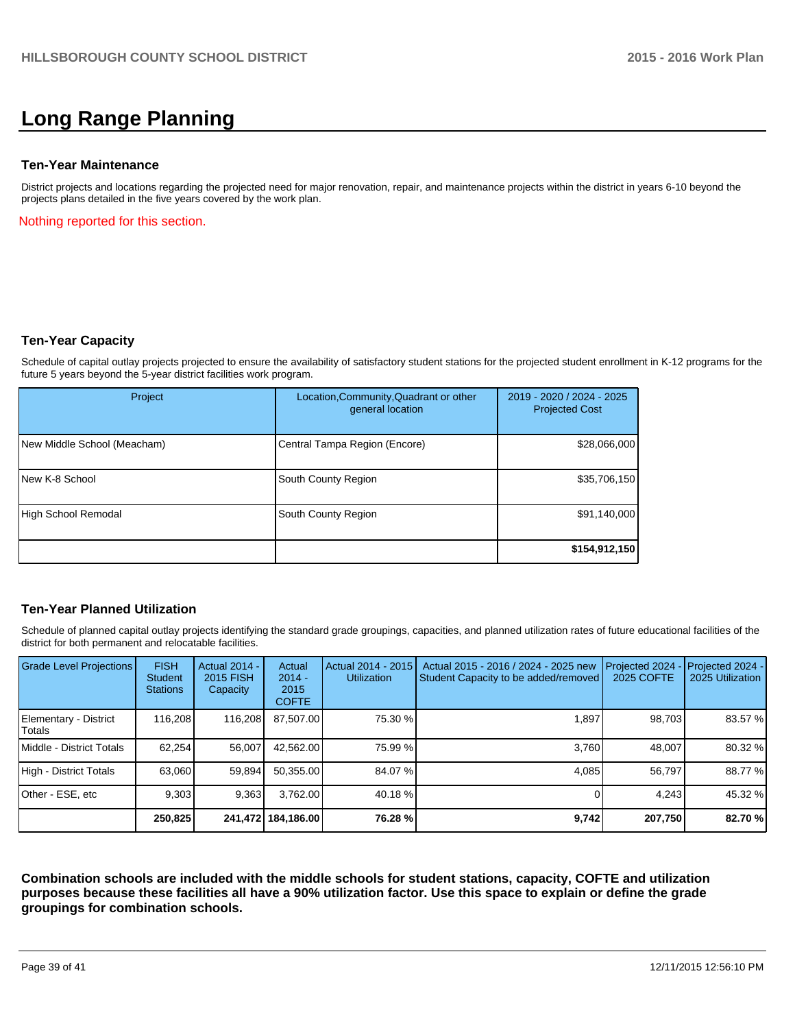# **Long Range Planning**

#### **Ten-Year Maintenance**

District projects and locations regarding the projected need for major renovation, repair, and maintenance projects within the district in years 6-10 beyond the projects plans detailed in the five years covered by the work plan.

Nothing reported for this section.

#### **Ten-Year Capacity**

Schedule of capital outlay projects projected to ensure the availability of satisfactory student stations for the projected student enrollment in K-12 programs for the future 5 years beyond the 5-year district facilities work program.

| Project                     | Location, Community, Quadrant or other<br>general location | 2019 - 2020 / 2024 - 2025<br><b>Projected Cost</b> |
|-----------------------------|------------------------------------------------------------|----------------------------------------------------|
| New Middle School (Meacham) | Central Tampa Region (Encore)                              | \$28,066,000                                       |
| New K-8 School              | South County Region                                        | \$35,706,150                                       |
| High School Remodal         | South County Region                                        | \$91,140,000                                       |
|                             |                                                            | \$154,912,150                                      |

#### **Ten-Year Planned Utilization**

Schedule of planned capital outlay projects identifying the standard grade groupings, capacities, and planned utilization rates of future educational facilities of the district for both permanent and relocatable facilities.

| <b>Grade Level Projections</b>  | <b>FISH</b><br><b>Student</b><br><b>Stations</b> | Actual 2014 -<br>2015 FISH<br>Capacity | Actual<br>$2014 -$<br>2015<br><b>COFTE</b> | Actual 2014 - 2015<br><b>Utilization</b> | Actual 2015 - 2016 / 2024 - 2025 new<br>Student Capacity to be added/removed | Projected 2024<br>2025 COFTE | Projected 2024 -<br>2025 Utilization |
|---------------------------------|--------------------------------------------------|----------------------------------------|--------------------------------------------|------------------------------------------|------------------------------------------------------------------------------|------------------------------|--------------------------------------|
| Elementary - District<br>Totals | 116.208                                          | 116,208                                | 87,507.00                                  | 75.30 %                                  | 1,897                                                                        | 98.703                       | 83.57 %                              |
| Middle - District Totals        | 62.254                                           | 56.007                                 | 42.562.00                                  | 75.99 %                                  | 3.760                                                                        | 48.007                       | 80.32 %                              |
| High - District Totals          | 63,060                                           | 59,894                                 | 50.355.00                                  | 84.07 %                                  | 4.085                                                                        | 56.797                       | 88.77 %                              |
| Other - ESE, etc                | 9.303                                            | 9,363                                  | 3.762.00                                   | 40.18 %                                  |                                                                              | 4.243                        | 45.32 %                              |
|                                 | 250,825                                          |                                        | 241,472   184,186.00                       | 76.28 %                                  | 9,742                                                                        | 207,750                      | 82.70 %                              |

**Combination schools are included with the middle schools for student stations, capacity, COFTE and utilization purposes because these facilities all have a 90% utilization factor. Use this space to explain or define the grade groupings for combination schools.**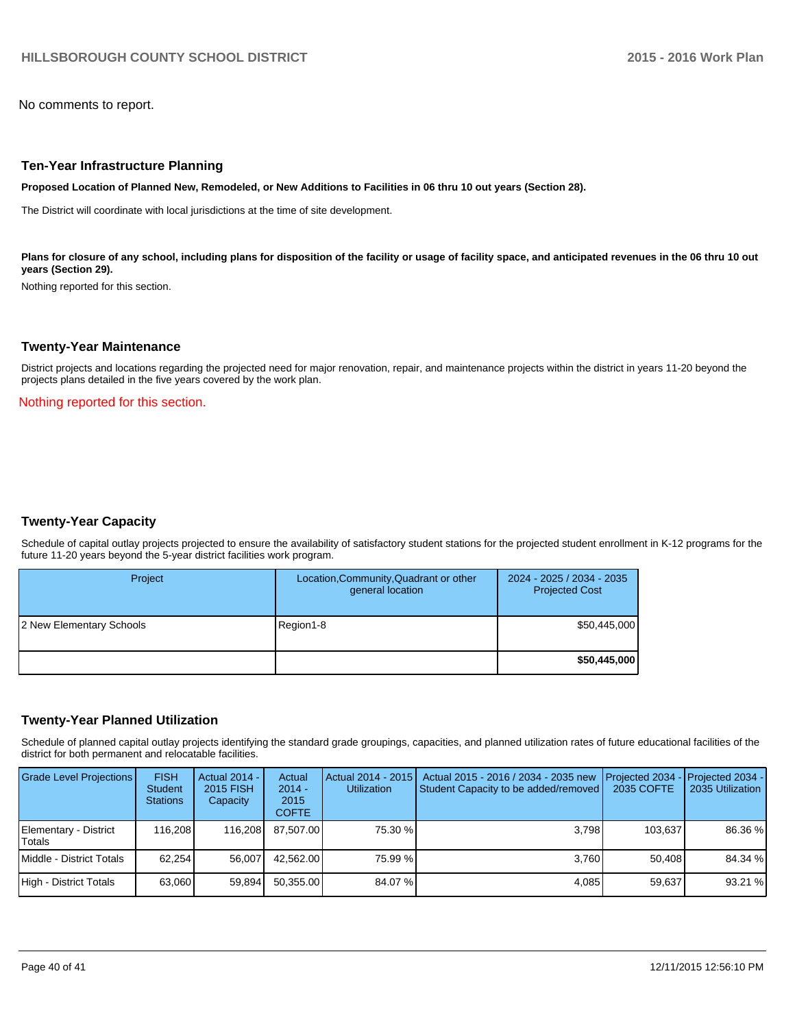No comments to report.

#### **Ten-Year Infrastructure Planning**

**Proposed Location of Planned New, Remodeled, or New Additions to Facilities in 06 thru 10 out years (Section 28).**

The District will coordinate with local jurisdictions at the time of site development.

Plans for closure of any school, including plans for disposition of the facility or usage of facility space, and anticipated revenues in the 06 thru 10 out **years (Section 29).**

Nothing reported for this section.

#### **Twenty-Year Maintenance**

District projects and locations regarding the projected need for major renovation, repair, and maintenance projects within the district in years 11-20 beyond the projects plans detailed in the five years covered by the work plan.

Nothing reported for this section.

#### **Twenty-Year Capacity**

Schedule of capital outlay projects projected to ensure the availability of satisfactory student stations for the projected student enrollment in K-12 programs for the future 11-20 years beyond the 5-year district facilities work program.

| Project                  | Location, Community, Quadrant or other<br>general location | 2024 - 2025 / 2034 - 2035<br><b>Projected Cost</b> |
|--------------------------|------------------------------------------------------------|----------------------------------------------------|
| 2 New Elementary Schools | Region1-8                                                  | \$50,445,000                                       |
|                          |                                                            | \$50,445,000                                       |

#### **Twenty-Year Planned Utilization**

Schedule of planned capital outlay projects identifying the standard grade groupings, capacities, and planned utilization rates of future educational facilities of the district for both permanent and relocatable facilities.

| <b>Grade Level Projections</b>  | <b>FISH</b><br><b>Student</b><br><b>Stations</b> | Actual 2014 -<br>2015 FISH<br>Capacity | Actual<br>$2014 -$<br>2015<br><b>COFTE</b> | Actual 2014 - 2015<br><b>Utilization</b> | Actual 2015 - 2016 / 2034 - 2035 new<br>Student Capacity to be added/removed | <b>Projected 2034</b><br>2035 COFTE | <b>IProjected 2034 -</b><br>2035 Utilization |
|---------------------------------|--------------------------------------------------|----------------------------------------|--------------------------------------------|------------------------------------------|------------------------------------------------------------------------------|-------------------------------------|----------------------------------------------|
| Elementary - District<br>Totals | 116.208                                          | 116.208                                | 87.507.00                                  | 75.30 %                                  | 3.798                                                                        | 103.637                             | 86.36 %                                      |
| Middle - District Totals        | 62.254                                           | 56.007                                 | 42.562.00                                  | 75.99 %                                  | 3.760                                                                        | 50.408                              | 84.34 %                                      |
| High - District Totals          | 63.060                                           | 59,894                                 | 50,355.00                                  | 84.07 %                                  | 4,085                                                                        | 59.637                              | 93.21 %                                      |